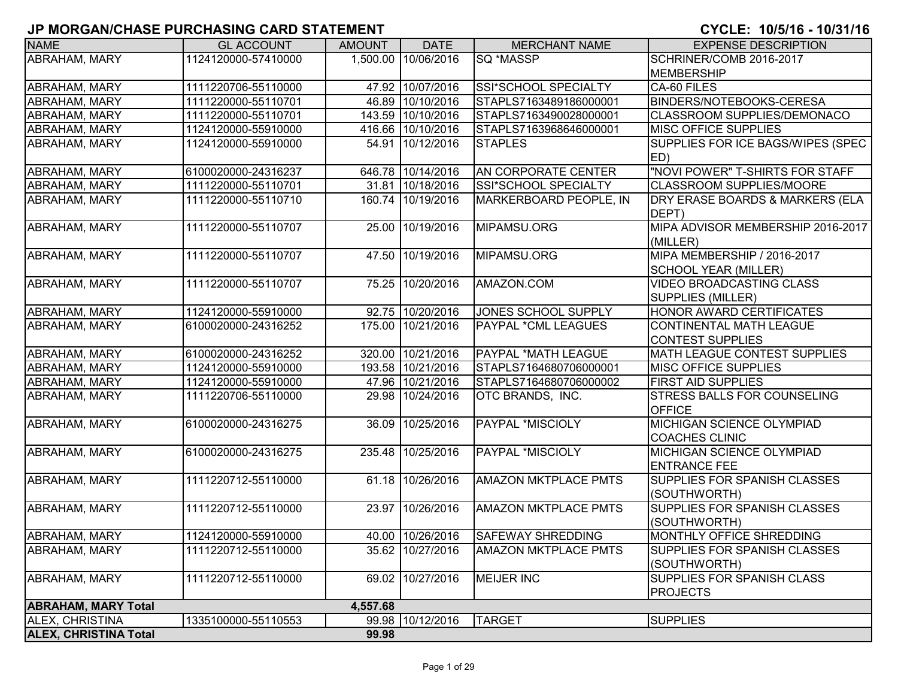| <b>NAME</b>                  | <b>GL ACCOUNT</b>   | <b>AMOUNT</b> | <b>DATE</b>         | <b>MERCHANT NAME</b>        | <b>EXPENSE DESCRIPTION</b>                                  |
|------------------------------|---------------------|---------------|---------------------|-----------------------------|-------------------------------------------------------------|
| ABRAHAM, MARY                | 1124120000-57410000 |               | 1,500.00 10/06/2016 | SQ *MASSP                   | SCHRINER/COMB 2016-2017                                     |
|                              |                     |               |                     |                             | <b>MEMBERSHIP</b>                                           |
| <b>ABRAHAM, MARY</b>         | 1111220706-55110000 |               | 47.92 10/07/2016    | SSI*SCHOOL SPECIALTY        | CA-60 FILES                                                 |
| ABRAHAM, MARY                | 1111220000-55110701 | 46.89         | 10/10/2016          | STAPLS7163489186000001      | <b>BINDERS/NOTEBOOKS-CERESA</b>                             |
| <b>ABRAHAM, MARY</b>         | 1111220000-55110701 | 143.59        | 10/10/2016          | STAPLS7163490028000001      | <b>CLASSROOM SUPPLIES/DEMONACO</b>                          |
| ABRAHAM, MARY                | 1124120000-55910000 |               | 416.66 10/10/2016   | STAPLS7163968646000001      | MISC OFFICE SUPPLIES                                        |
| <b>ABRAHAM, MARY</b>         | 1124120000-55910000 |               | 54.91 10/12/2016    | <b>STAPLES</b>              | SUPPLIES FOR ICE BAGS/WIPES (SPEC<br>ED)                    |
| ABRAHAM, MARY                | 6100020000-24316237 |               | 646.78 10/14/2016   | AN CORPORATE CENTER         | "NOVI POWER" T-SHIRTS FOR STAFF                             |
| ABRAHAM, MARY                | 1111220000-55110701 |               | 31.81 10/18/2016    | SSI*SCHOOL SPECIALTY        | CLASSROOM SUPPLIES/MOORE                                    |
| ABRAHAM, MARY                | 1111220000-55110710 |               | 160.74 10/19/2016   | MARKERBOARD PEOPLE, IN      | DRY ERASE BOARDS & MARKERS (ELA<br>DEPT)                    |
| <b>ABRAHAM, MARY</b>         | 1111220000-55110707 | 25.00         | 10/19/2016          | MIPAMSU.ORG                 | MIPA ADVISOR MEMBERSHIP 2016-2017<br>(MILLER)               |
| <b>ABRAHAM, MARY</b>         | 1111220000-55110707 | 47.50         | 10/19/2016          | MIPAMSU.ORG                 | MIPA MEMBERSHIP / 2016-2017<br><b>SCHOOL YEAR (MILLER)</b>  |
| ABRAHAM, MARY                | 1111220000-55110707 |               | 75.25 10/20/2016    | AMAZON.COM                  | <b>VIDEO BROADCASTING CLASS</b><br><b>SUPPLIES (MILLER)</b> |
| <b>ABRAHAM, MARY</b>         | 1124120000-55910000 |               | 92.75 10/20/2016    | <b>JONES SCHOOL SUPPLY</b>  | HONOR AWARD CERTIFICATES                                    |
| <b>ABRAHAM, MARY</b>         | 6100020000-24316252 |               | 175.00 10/21/2016   | PAYPAL *CML LEAGUES         | CONTINENTAL MATH LEAGUE                                     |
|                              |                     |               |                     |                             | <b>CONTEST SUPPLIES</b>                                     |
| <b>ABRAHAM, MARY</b>         | 6100020000-24316252 | 320.00        | 10/21/2016          | <b>PAYPAL *MATH LEAGUE</b>  | <b>MATH LEAGUE CONTEST SUPPLIES</b>                         |
| ABRAHAM, MARY                | 1124120000-55910000 |               | 193.58 10/21/2016   | STAPLS7164680706000001      | MISC OFFICE SUPPLIES                                        |
| <b>ABRAHAM, MARY</b>         | 1124120000-55910000 |               | 47.96 10/21/2016    | STAPLS7164680706000002      | <b>FIRST AID SUPPLIES</b>                                   |
| ABRAHAM, MARY                | 1111220706-55110000 |               | 29.98 10/24/2016    | OTC BRANDS, INC.            | STRESS BALLS FOR COUNSELING<br><b>OFFICE</b>                |
| <b>ABRAHAM, MARY</b>         | 6100020000-24316275 |               | 36.09 10/25/2016    | <b>PAYPAL *MISCIOLY</b>     | <b>MICHIGAN SCIENCE OLYMPIAD</b><br><b>COACHES CLINIC</b>   |
| ABRAHAM, MARY                | 6100020000-24316275 | 235.48        | 10/25/2016          | PAYPAL *MISCIOLY            | MICHIGAN SCIENCE OLYMPIAD<br><b>ENTRANCE FEE</b>            |
| <b>ABRAHAM, MARY</b>         | 1111220712-55110000 |               | 61.18 10/26/2016    | <b>AMAZON MKTPLACE PMTS</b> | SUPPLIES FOR SPANISH CLASSES<br>(SOUTHWORTH)                |
| <b>ABRAHAM, MARY</b>         | 1111220712-55110000 |               | 23.97 10/26/2016    | <b>AMAZON MKTPLACE PMTS</b> | SUPPLIES FOR SPANISH CLASSES<br>(SOUTHWORTH)                |
| <b>ABRAHAM, MARY</b>         | 1124120000-55910000 |               | 40.00 10/26/2016    | <b>SAFEWAY SHREDDING</b>    | MONTHLY OFFICE SHREDDING                                    |
| ABRAHAM, MARY                | 1111220712-55110000 |               | 35.62 10/27/2016    | <b>AMAZON MKTPLACE PMTS</b> | SUPPLIES FOR SPANISH CLASSES<br>(SOUTHWORTH)                |
| <b>ABRAHAM, MARY</b>         | 1111220712-55110000 |               | 69.02 10/27/2016    | <b>MEIJER INC</b>           | <b>SUPPLIES FOR SPANISH CLASS</b><br><b>PROJECTS</b>        |
| <b>ABRAHAM, MARY Total</b>   |                     | 4,557.68      |                     |                             |                                                             |
| ALEX, CHRISTINA              | 1335100000-55110553 |               | 99.98 10/12/2016    | <b>TARGET</b>               | <b>SUPPLIES</b>                                             |
| <b>ALEX, CHRISTINA Total</b> |                     | 99.98         |                     |                             |                                                             |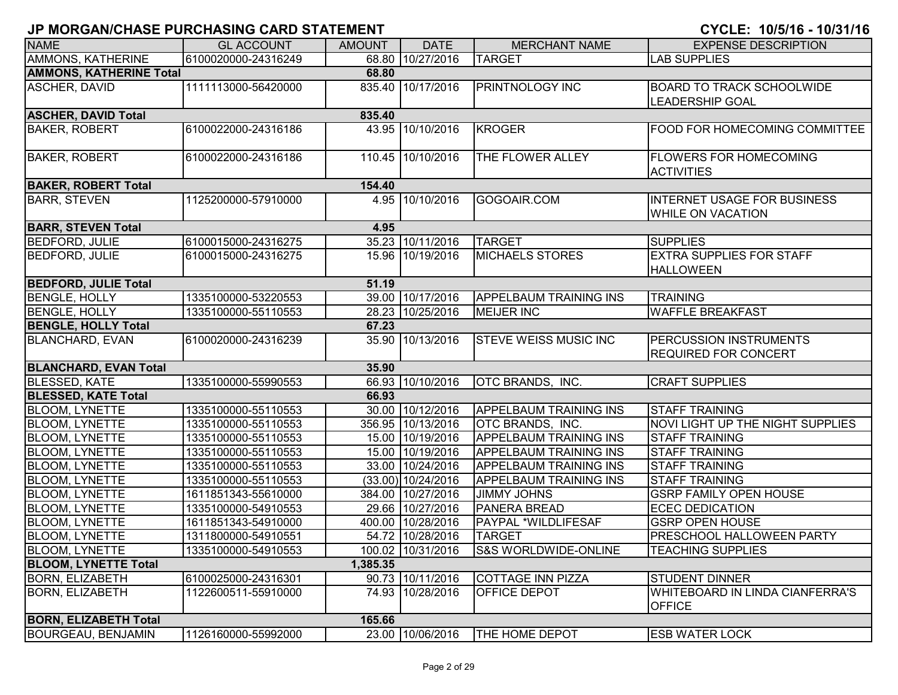| <b>NAME</b>                    | <b>GL ACCOUNT</b>   | <b>AMOUNT</b> | <b>DATE</b>        | <b>MERCHANT NAME</b>            | <b>EXPENSE DESCRIPTION</b>                                     |
|--------------------------------|---------------------|---------------|--------------------|---------------------------------|----------------------------------------------------------------|
| AMMONS, KATHERINE              | 6100020000-24316249 |               | 68.80 10/27/2016   | <b>TARGET</b>                   | <b>LAB SUPPLIES</b>                                            |
| <b>AMMONS, KATHERINE Total</b> |                     | 68.80         |                    |                                 |                                                                |
| ASCHER, DAVID                  | 1111113000-56420000 |               | 835.40 10/17/2016  | <b>PRINTNOLOGY INC</b>          | <b>BOARD TO TRACK SCHOOLWIDE</b><br><b>LEADERSHIP GOAL</b>     |
| <b>ASCHER, DAVID Total</b>     |                     | 835.40        |                    |                                 |                                                                |
| <b>BAKER, ROBERT</b>           | 6100022000-24316186 |               | 43.95 10/10/2016   | <b>KROGER</b>                   | <b>FOOD FOR HOMECOMING COMMITTEE</b>                           |
| <b>BAKER, ROBERT</b>           | 6100022000-24316186 |               | 110.45 10/10/2016  | THE FLOWER ALLEY                | <b>FLOWERS FOR HOMECOMING</b><br><b>ACTIVITIES</b>             |
| <b>BAKER, ROBERT Total</b>     |                     | 154.40        |                    |                                 |                                                                |
| <b>BARR, STEVEN</b>            | 1125200000-57910000 |               | 4.95 10/10/2016    | GOGOAIR.COM                     | <b>INTERNET USAGE FOR BUSINESS</b><br><b>WHILE ON VACATION</b> |
| <b>BARR, STEVEN Total</b>      |                     | 4.95          |                    |                                 |                                                                |
| <b>BEDFORD, JULIE</b>          | 6100015000-24316275 |               | 35.23 10/11/2016   | <b>TARGET</b>                   | <b>SUPPLIES</b>                                                |
| <b>BEDFORD, JULIE</b>          | 6100015000-24316275 |               | 15.96 10/19/2016   | <b>MICHAELS STORES</b>          | <b>EXTRA SUPPLIES FOR STAFF</b><br><b>HALLOWEEN</b>            |
| <b>BEDFORD, JULIE Total</b>    |                     | 51.19         |                    |                                 |                                                                |
| <b>BENGLE, HOLLY</b>           | 1335100000-53220553 |               | 39.00 10/17/2016   | <b>APPELBAUM TRAINING INS</b>   | <b>TRAINING</b>                                                |
| <b>BENGLE, HOLLY</b>           | 1335100000-55110553 |               | 28.23 10/25/2016   | <b>MEIJER INC</b>               | <b>WAFFLE BREAKFAST</b>                                        |
| <b>BENGLE, HOLLY Total</b>     |                     | 67.23         |                    |                                 |                                                                |
| <b>BLANCHARD, EVAN</b>         | 6100020000-24316239 |               | 35.90 10/13/2016   | <b>STEVE WEISS MUSIC INC</b>    | PERCUSSION INSTRUMENTS<br><b>REQUIRED FOR CONCERT</b>          |
| <b>BLANCHARD, EVAN Total</b>   |                     | 35.90         |                    |                                 |                                                                |
| <b>BLESSED, KATE</b>           | 1335100000-55990553 |               | 66.93 10/10/2016   | OTC BRANDS, INC.                | <b>CRAFT SUPPLIES</b>                                          |
| <b>BLESSED, KATE Total</b>     |                     | 66.93         |                    |                                 |                                                                |
| <b>BLOOM, LYNETTE</b>          | 1335100000-55110553 |               | 30.00 10/12/2016   | <b>APPELBAUM TRAINING INS</b>   | <b>STAFF TRAINING</b>                                          |
| <b>BLOOM, LYNETTE</b>          | 1335100000-55110553 |               | 356.95 10/13/2016  | <b>OTC BRANDS, INC.</b>         | NOVI LIGHT UP THE NIGHT SUPPLIES                               |
| <b>BLOOM, LYNETTE</b>          | 1335100000-55110553 |               | 15.00 10/19/2016   | <b>APPELBAUM TRAINING INS</b>   | <b>STAFF TRAINING</b>                                          |
| <b>BLOOM, LYNETTE</b>          | 1335100000-55110553 |               | 15.00 10/19/2016   | <b>APPELBAUM TRAINING INS</b>   | <b>STAFF TRAINING</b>                                          |
| <b>BLOOM, LYNETTE</b>          | 1335100000-55110553 |               | 33.00 10/24/2016   | <b>APPELBAUM TRAINING INS</b>   | <b>STAFF TRAINING</b>                                          |
| <b>BLOOM, LYNETTE</b>          | 1335100000-55110553 |               | (33.00) 10/24/2016 | <b>APPELBAUM TRAINING INS</b>   | <b>STAFF TRAINING</b>                                          |
| <b>BLOOM, LYNETTE</b>          | 1611851343-55610000 |               | 384.00 10/27/2016  | <b>JIMMY JOHNS</b>              | <b>GSRP FAMILY OPEN HOUSE</b>                                  |
| <b>BLOOM, LYNETTE</b>          | 1335100000-54910553 |               | 29.66 10/27/2016   | <b>PANERA BREAD</b>             | <b>ECEC DEDICATION</b>                                         |
| <b>BLOOM, LYNETTE</b>          | 1611851343-54910000 | 400.00        | 10/28/2016         | PAYPAL *WILDLIFESAF             | <b>GSRP OPEN HOUSE</b>                                         |
| <b>BLOOM, LYNETTE</b>          | 1311800000-54910551 |               | 54.72 10/28/2016   | <b>TARGET</b>                   | PRESCHOOL HALLOWEEN PARTY                                      |
| <b>BLOOM, LYNETTE</b>          | 1335100000-54910553 |               | 100.02 10/31/2016  | <b>S&amp;S WORLDWIDE-ONLINE</b> | <b>TEACHING SUPPLIES</b>                                       |
| <b>BLOOM, LYNETTE Total</b>    |                     | 1,385.35      |                    |                                 |                                                                |
| <b>BORN, ELIZABETH</b>         | 6100025000-24316301 |               | 90.73 10/11/2016   | <b>COTTAGE INN PIZZA</b>        | <b>STUDENT DINNER</b>                                          |
| <b>BORN, ELIZABETH</b>         | 1122600511-55910000 |               | 74.93 10/28/2016   | <b>OFFICE DEPOT</b>             | <b>WHITEBOARD IN LINDA CIANFERRA'S</b><br><b>OFFICE</b>        |
| <b>BORN, ELIZABETH Total</b>   |                     | 165.66        |                    |                                 |                                                                |
| <b>BOURGEAU, BENJAMIN</b>      | 1126160000-55992000 |               | 23.00 10/06/2016   | <b>THE HOME DEPOT</b>           | <b>ESB WATER LOCK</b>                                          |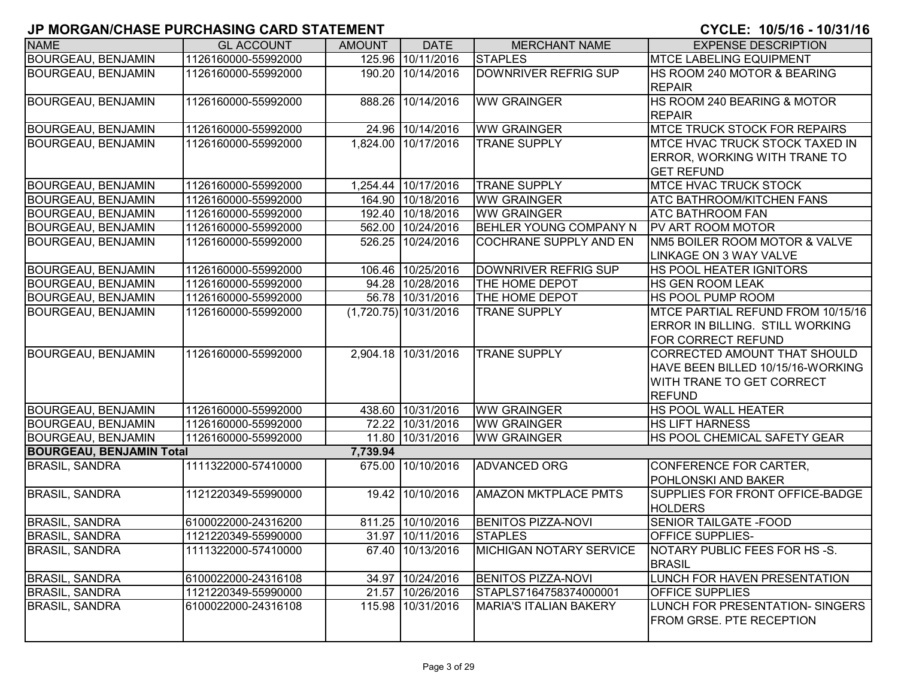| <b>NAME</b>                     | <b>GL ACCOUNT</b>   | <b>AMOUNT</b> | <b>DATE</b>             | <b>MERCHANT NAME</b>           | <b>EXPENSE DESCRIPTION</b>                                                                                      |
|---------------------------------|---------------------|---------------|-------------------------|--------------------------------|-----------------------------------------------------------------------------------------------------------------|
| <b>BOURGEAU, BENJAMIN</b>       | 1126160000-55992000 |               | 125.96 10/11/2016       | <b>STAPLES</b>                 | <b>MTCE LABELING EQUIPMENT</b>                                                                                  |
| <b>BOURGEAU, BENJAMIN</b>       | 1126160000-55992000 |               | 190.20 10/14/2016       | <b>DOWNRIVER REFRIG SUP</b>    | HS ROOM 240 MOTOR & BEARING<br><b>REPAIR</b>                                                                    |
| BOURGEAU, BENJAMIN              | 1126160000-55992000 |               | 888.26 10/14/2016       | <b>WW GRAINGER</b>             | HS ROOM 240 BEARING & MOTOR<br><b>REPAIR</b>                                                                    |
| <b>BOURGEAU, BENJAMIN</b>       | 1126160000-55992000 |               | 24.96 10/14/2016        | <b>WW GRAINGER</b>             | <b>MTCE TRUCK STOCK FOR REPAIRS</b>                                                                             |
| <b>BOURGEAU, BENJAMIN</b>       | 1126160000-55992000 |               | 1,824.00 10/17/2016     | <b>TRANE SUPPLY</b>            | MTCE HVAC TRUCK STOCK TAXED IN<br><b>ERROR, WORKING WITH TRANE TO</b><br><b>GET REFUND</b>                      |
| <b>BOURGEAU, BENJAMIN</b>       | 1126160000-55992000 |               | 1,254.44 10/17/2016     | <b>TRANE SUPPLY</b>            | MTCE HVAC TRUCK STOCK                                                                                           |
| <b>BOURGEAU, BENJAMIN</b>       | 1126160000-55992000 |               | 164.90 10/18/2016       | <b>WW GRAINGER</b>             | ATC BATHROOM/KITCHEN FANS                                                                                       |
| <b>BOURGEAU, BENJAMIN</b>       | 1126160000-55992000 |               | 192.40 10/18/2016       | <b>WW GRAINGER</b>             | ATC BATHROOM FAN                                                                                                |
| <b>BOURGEAU, BENJAMIN</b>       | 1126160000-55992000 |               | 562.00 10/24/2016       | BEHLER YOUNG COMPANY N         | PV ART ROOM MOTOR                                                                                               |
| <b>BOURGEAU, BENJAMIN</b>       | 1126160000-55992000 |               | 526.25 10/24/2016       | COCHRANE SUPPLY AND EN         | NM5 BOILER ROOM MOTOR & VALVE<br>LINKAGE ON 3 WAY VALVE                                                         |
| <b>BOURGEAU, BENJAMIN</b>       | 1126160000-55992000 |               | 106.46 10/25/2016       | DOWNRIVER REFRIG SUP           | <b>HS POOL HEATER IGNITORS</b>                                                                                  |
| <b>BOURGEAU, BENJAMIN</b>       | 1126160000-55992000 |               | 94.28 10/28/2016        | THE HOME DEPOT                 | HS GEN ROOM LEAK                                                                                                |
| <b>BOURGEAU, BENJAMIN</b>       | 1126160000-55992000 |               | 56.78 10/31/2016        | THE HOME DEPOT                 | HS POOL PUMP ROOM                                                                                               |
| BOURGEAU, BENJAMIN              | 1126160000-55992000 |               | $(1,720.75)$ 10/31/2016 | <b>TRANE SUPPLY</b>            | MTCE PARTIAL REFUND FROM 10/15/16<br>ERROR IN BILLING. STILL WORKING<br>FOR CORRECT REFUND                      |
| <b>BOURGEAU, BENJAMIN</b>       | 1126160000-55992000 |               | 2,904.18 10/31/2016     | <b>TRANE SUPPLY</b>            | CORRECTED AMOUNT THAT SHOULD<br>HAVE BEEN BILLED 10/15/16-WORKING<br>WITH TRANE TO GET CORRECT<br><b>REFUND</b> |
| <b>BOURGEAU, BENJAMIN</b>       | 1126160000-55992000 |               | 438.60 10/31/2016       | <b>WW GRAINGER</b>             | HS POOL WALL HEATER                                                                                             |
| <b>BOURGEAU, BENJAMIN</b>       | 1126160000-55992000 |               | 72.22 10/31/2016        | <b>WW GRAINGER</b>             | <b>HS LIFT HARNESS</b>                                                                                          |
| <b>BOURGEAU, BENJAMIN</b>       | 1126160000-55992000 |               | 11.80 10/31/2016        | <b>WW GRAINGER</b>             | HS POOL CHEMICAL SAFETY GEAR                                                                                    |
| <b>BOURGEAU, BENJAMIN Total</b> |                     | 7,739.94      |                         |                                |                                                                                                                 |
| <b>BRASIL, SANDRA</b>           | 1111322000-57410000 |               | 675.00 10/10/2016       | <b>ADVANCED ORG</b>            | CONFERENCE FOR CARTER,<br>POHLONSKI AND BAKER                                                                   |
| <b>BRASIL, SANDRA</b>           | 1121220349-55990000 |               | 19.42 10/10/2016        | <b>AMAZON MKTPLACE PMTS</b>    | SUPPLIES FOR FRONT OFFICE-BADGE<br><b>HOLDERS</b>                                                               |
| <b>BRASIL, SANDRA</b>           | 6100022000-24316200 |               | 811.25 10/10/2016       | <b>BENITOS PIZZA-NOVI</b>      | <b>SENIOR TAILGATE - FOOD</b>                                                                                   |
| <b>BRASIL, SANDRA</b>           | 1121220349-55990000 |               | 31.97 10/11/2016        | <b>STAPLES</b>                 | <b>OFFICE SUPPLIES-</b>                                                                                         |
| <b>BRASIL, SANDRA</b>           | 1111322000-57410000 |               | 67.40 10/13/2016        | <b>MICHIGAN NOTARY SERVICE</b> | NOTARY PUBLIC FEES FOR HS-S.<br><b>BRASIL</b>                                                                   |
| <b>BRASIL, SANDRA</b>           | 6100022000-24316108 |               | 34.97 10/24/2016        | <b>BENITOS PIZZA-NOVI</b>      | LUNCH FOR HAVEN PRESENTATION                                                                                    |
| <b>BRASIL, SANDRA</b>           | 1121220349-55990000 |               | 21.57 10/26/2016        | STAPLS7164758374000001         | <b>OFFICE SUPPLIES</b>                                                                                          |
| <b>BRASIL, SANDRA</b>           | 6100022000-24316108 |               | 115.98 10/31/2016       | <b>MARIA'S ITALIAN BAKERY</b>  | LUNCH FOR PRESENTATION- SINGERS<br><b>FROM GRSE. PTE RECEPTION</b>                                              |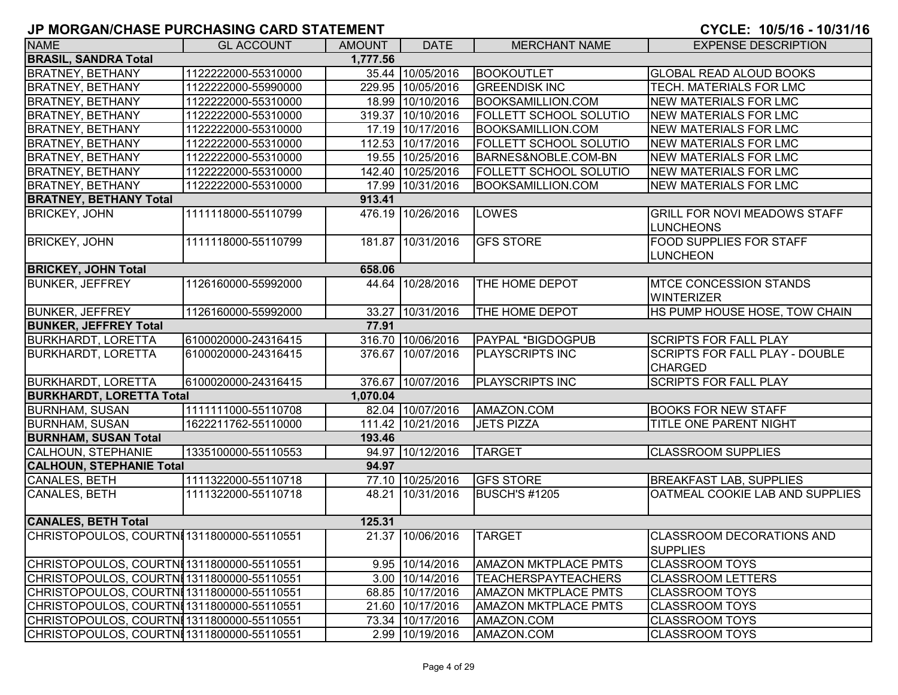| <b>NAME</b>                                | <b>GL ACCOUNT</b>   | <b>AMOUNT</b> | <b>DATE</b>       | <b>MERCHANT NAME</b>          | <b>EXPENSE DESCRIPTION</b>                              |
|--------------------------------------------|---------------------|---------------|-------------------|-------------------------------|---------------------------------------------------------|
| <b>BRASIL, SANDRA Total</b>                |                     | 1,777.56      |                   |                               |                                                         |
|                                            |                     |               |                   |                               |                                                         |
| <b>BRATNEY, BETHANY</b>                    | 1122222000-55310000 |               | 35.44 10/05/2016  | <b>BOOKOUTLET</b>             | GLOBAL READ ALOUD BOOKS                                 |
| <b>BRATNEY, BETHANY</b>                    | 1122222000-55990000 |               | 229.95 10/05/2016 | <b>GREENDISK INC</b>          | TECH. MATERIALS FOR LMC                                 |
| <b>BRATNEY, BETHANY</b>                    | 1122222000-55310000 |               | 18.99 10/10/2016  | <b>BOOKSAMILLION.COM</b>      | <b>NEW MATERIALS FOR LMC</b>                            |
| <b>BRATNEY, BETHANY</b>                    | 1122222000-55310000 |               | 319.37 10/10/2016 | <b>FOLLETT SCHOOL SOLUTIO</b> | <b>NEW MATERIALS FOR LMC</b>                            |
| <b>BRATNEY, BETHANY</b>                    | 1122222000-55310000 |               | 17.19 10/17/2016  | <b>BOOKSAMILLION.COM</b>      | <b>NEW MATERIALS FOR LMC</b>                            |
| <b>BRATNEY, BETHANY</b>                    | 1122222000-55310000 |               | 112.53 10/17/2016 | <b>FOLLETT SCHOOL SOLUTIO</b> | <b>NEW MATERIALS FOR LMC</b>                            |
| <b>BRATNEY, BETHANY</b>                    | 1122222000-55310000 |               | 19.55 10/25/2016  | BARNES&NOBLE.COM-BN           | <b>NEW MATERIALS FOR LMC</b>                            |
| <b>BRATNEY, BETHANY</b>                    | 1122222000-55310000 |               | 142.40 10/25/2016 | <b>FOLLETT SCHOOL SOLUTIO</b> | <b>NEW MATERIALS FOR LMC</b>                            |
| <b>BRATNEY, BETHANY</b>                    | 1122222000-55310000 |               | 17.99 10/31/2016  | <b>BOOKSAMILLION.COM</b>      | NEW MATERIALS FOR LMC                                   |
| <b>BRATNEY, BETHANY Total</b>              |                     | 913.41        |                   |                               |                                                         |
| <b>BRICKEY, JOHN</b>                       | 1111118000-55110799 |               | 476.19 10/26/2016 | LOWES                         | <b>GRILL FOR NOVI MEADOWS STAFF</b><br><b>LUNCHEONS</b> |
| <b>BRICKEY, JOHN</b>                       | 1111118000-55110799 |               | 181.87 10/31/2016 | <b>GFS STORE</b>              | FOOD SUPPLIES FOR STAFF<br><b>LUNCHEON</b>              |
| <b>BRICKEY, JOHN Total</b>                 |                     | 658.06        |                   |                               |                                                         |
| <b>BUNKER, JEFFREY</b>                     | 1126160000-55992000 |               | 44.64 10/28/2016  | THE HOME DEPOT                | <b>MTCE CONCESSION STANDS</b><br><b>WINTERIZER</b>      |
| <b>BUNKER, JEFFREY</b>                     | 1126160000-55992000 |               | 33.27 10/31/2016  | <b>THE HOME DEPOT</b>         | HS PUMP HOUSE HOSE, TOW CHAIN                           |
| <b>BUNKER, JEFFREY Total</b>               |                     | 77.91         |                   |                               |                                                         |
| <b>BURKHARDT, LORETTA</b>                  | 6100020000-24316415 |               | 316.70 10/06/2016 | PAYPAL *BIGDOGPUB             | <b>SCRIPTS FOR FALL PLAY</b>                            |
| <b>BURKHARDT, LORETTA</b>                  | 6100020000-24316415 |               | 376.67 10/07/2016 | <b>PLAYSCRIPTS INC</b>        | <b>SCRIPTS FOR FALL PLAY - DOUBLE</b><br><b>CHARGED</b> |
| <b>BURKHARDT, LORETTA</b>                  | 6100020000-24316415 |               | 376.67 10/07/2016 | <b>PLAYSCRIPTS INC</b>        | <b>SCRIPTS FOR FALL PLAY</b>                            |
| <b>BURKHARDT, LORETTA Total</b>            |                     | 1,070.04      |                   |                               |                                                         |
| <b>BURNHAM, SUSAN</b>                      | 1111111000-55110708 |               | 82.04 10/07/2016  | AMAZON.COM                    | <b>BOOKS FOR NEW STAFF</b>                              |
| <b>BURNHAM, SUSAN</b>                      | 1622211762-55110000 |               | 111.42 10/21/2016 | JETS PIZZA                    | TITLE ONE PARENT NIGHT                                  |
| <b>BURNHAM, SUSAN Total</b>                |                     | 193.46        |                   |                               |                                                         |
| CALHOUN, STEPHANIE                         | 1335100000-55110553 |               | 94.97 10/12/2016  | <b>TARGET</b>                 | <b>CLASSROOM SUPPLIES</b>                               |
| <b>CALHOUN, STEPHANIE Total</b>            |                     | 94.97         |                   |                               |                                                         |
| CANALES, BETH                              | 1111322000-55110718 |               | 77.10 10/25/2016  | <b>GFS STORE</b>              | <b>BREAKFAST LAB, SUPPLIES</b>                          |
| CANALES, BETH                              | 1111322000-55110718 |               | 48.21 10/31/2016  | <b>BUSCH'S #1205</b>          | OATMEAL COOKIE LAB AND SUPPLIES                         |
| <b>CANALES, BETH Total</b>                 |                     | 125.31        |                   |                               |                                                         |
| CHRISTOPOULOS, COURTNI 1311800000-55110551 |                     |               | 21.37 10/06/2016  | <b>TARGET</b>                 | CLASSROOM DECORATIONS AND<br><b>SUPPLIES</b>            |
| CHRISTOPOULOS, COURTNI1311800000-55110551  |                     |               | 9.95 10/14/2016   | <b>AMAZON MKTPLACE PMTS</b>   | <b>CLASSROOM TOYS</b>                                   |
| CHRISTOPOULOS, COURTNI 1311800000-55110551 |                     |               | 3.00 10/14/2016   | <b>TEACHERSPAYTEACHERS</b>    | <b>CLASSROOM LETTERS</b>                                |
| CHRISTOPOULOS, COURTNI1311800000-55110551  |                     |               | 68.85 10/17/2016  | <b>AMAZON MKTPLACE PMTS</b>   | <b>CLASSROOM TOYS</b>                                   |
| CHRISTOPOULOS, COURTNI1311800000-55110551  |                     |               | 21.60 10/17/2016  | <b>AMAZON MKTPLACE PMTS</b>   | <b>CLASSROOM TOYS</b>                                   |
| CHRISTOPOULOS, COURTNI1311800000-55110551  |                     |               | 73.34 10/17/2016  | AMAZON.COM                    | <b>CLASSROOM TOYS</b>                                   |
| CHRISTOPOULOS, COURTNI 1311800000-55110551 |                     |               | 2.99 10/19/2016   | AMAZON.COM                    | <b>CLASSROOM TOYS</b>                                   |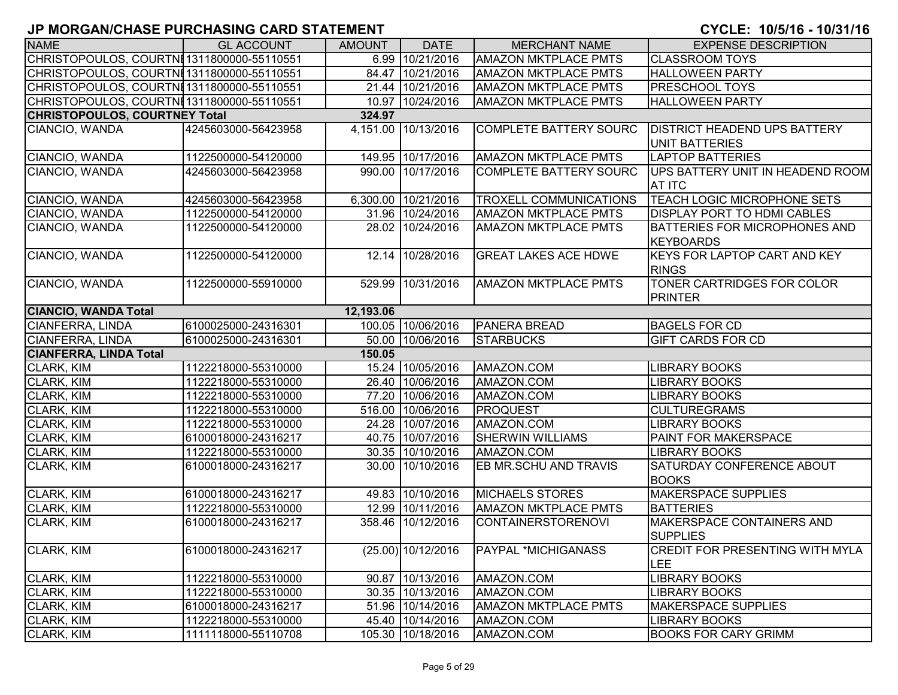| <b>NAME</b>                                | <b>GL ACCOUNT</b>   | <b>AMOUNT</b> | <b>DATE</b>         | <b>MERCHANT NAME</b>          | <b>EXPENSE DESCRIPTION</b>                          |
|--------------------------------------------|---------------------|---------------|---------------------|-------------------------------|-----------------------------------------------------|
| CHRISTOPOULOS, COURTNI 1311800000-55110551 |                     |               | 6.99 10/21/2016     | <b>AMAZON MKTPLACE PMTS</b>   | <b>CLASSROOM TOYS</b>                               |
| CHRISTOPOULOS, COURTNI1311800000-55110551  |                     |               | 84.47 10/21/2016    | <b>AMAZON MKTPLACE PMTS</b>   | <b>HALLOWEEN PARTY</b>                              |
| CHRISTOPOULOS, COURTNI 1311800000-55110551 |                     |               | 21.44 10/21/2016    | <b>AMAZON MKTPLACE PMTS</b>   | <b>PRESCHOOL TOYS</b>                               |
| CHRISTOPOULOS, COURTNI1311800000-55110551  |                     |               | 10.97 10/24/2016    | <b>AMAZON MKTPLACE PMTS</b>   | <b>HALLOWEEN PARTY</b>                              |
| <b>CHRISTOPOULOS, COURTNEY Total</b>       |                     | 324.97        |                     |                               |                                                     |
| CIANCIO, WANDA                             | 4245603000-56423958 | 4,151.00      | 10/13/2016          | <b>COMPLETE BATTERY SOURC</b> | <b>DISTRICT HEADEND UPS BATTERY</b>                 |
|                                            |                     |               |                     |                               | <b>UNIT BATTERIES</b>                               |
| CIANCIO, WANDA                             | 1122500000-54120000 |               | 149.95 10/17/2016   | <b>AMAZON MKTPLACE PMTS</b>   | <b>LAPTOP BATTERIES</b>                             |
| CIANCIO, WANDA                             | 4245603000-56423958 |               | 990.00 10/17/2016   | <b>COMPLETE BATTERY SOURC</b> | UPS BATTERY UNIT IN HEADEND ROOM<br><b>AT ITC</b>   |
| CIANCIO, WANDA                             | 4245603000-56423958 |               | 6,300.00 10/21/2016 | <b>TROXELL COMMUNICATIONS</b> | TEACH LOGIC MICROPHONE SETS                         |
| CIANCIO, WANDA                             | 1122500000-54120000 |               | 31.96 10/24/2016    | <b>AMAZON MKTPLACE PMTS</b>   | <b>DISPLAY PORT TO HDMI CABLES</b>                  |
| CIANCIO, WANDA                             | 1122500000-54120000 |               | 28.02 10/24/2016    | <b>AMAZON MKTPLACE PMTS</b>   | <b>BATTERIES FOR MICROPHONES AND</b><br>KEYBOARDS   |
| CIANCIO, WANDA                             | 1122500000-54120000 |               | 12.14 10/28/2016    | <b>GREAT LAKES ACE HDWE</b>   | <b>KEYS FOR LAPTOP CART AND KEY</b><br><b>RINGS</b> |
| CIANCIO, WANDA                             | 1122500000-55910000 |               | 529.99 10/31/2016   | <b>AMAZON MKTPLACE PMTS</b>   | <b>TONER CARTRIDGES FOR COLOR</b><br><b>PRINTER</b> |
| <b>CIANCIO, WANDA Total</b>                |                     | 12,193.06     |                     |                               |                                                     |
| CIANFERRA, LINDA                           | 6100025000-24316301 |               | 100.05 10/06/2016   | <b>PANERA BREAD</b>           | <b>BAGELS FOR CD</b>                                |
| CIANFERRA, LINDA                           | 6100025000-24316301 |               | 50.00 10/06/2016    | <b>STARBUCKS</b>              | <b>GIFT CARDS FOR CD</b>                            |
| <b>CIANFERRA, LINDA Total</b>              |                     | 150.05        |                     |                               |                                                     |
| CLARK, KIM                                 | 1122218000-55310000 |               | 15.24 10/05/2016    | AMAZON.COM                    | <b>LIBRARY BOOKS</b>                                |
| CLARK, KIM                                 | 1122218000-55310000 |               | 26.40 10/06/2016    | AMAZON.COM                    | <b>LIBRARY BOOKS</b>                                |
| CLARK, KIM                                 | 1122218000-55310000 |               | 77.20 10/06/2016    | AMAZON.COM                    | <b>LIBRARY BOOKS</b>                                |
| CLARK, KIM                                 | 1122218000-55310000 |               | 516.00 10/06/2016   | <b>PROQUEST</b>               | <b>CULTUREGRAMS</b>                                 |
| CLARK, KIM                                 | 1122218000-55310000 |               | 24.28 10/07/2016    | AMAZON.COM                    | <b>LIBRARY BOOKS</b>                                |
| CLARK, KIM                                 | 6100018000-24316217 |               | 40.75 10/07/2016    | <b>SHERWIN WILLIAMS</b>       | <b>PAINT FOR MAKERSPACE</b>                         |
| CLARK, KIM                                 | 1122218000-55310000 |               | 30.35 10/10/2016    | AMAZON.COM                    | <b>LIBRARY BOOKS</b>                                |
| <b>CLARK, KIM</b>                          | 6100018000-24316217 |               | 30.00 10/10/2016    | EB MR.SCHU AND TRAVIS         | <b>SATURDAY CONFERENCE ABOUT</b><br><b>BOOKS</b>    |
| CLARK, KIM                                 | 6100018000-24316217 |               | 49.83 10/10/2016    | <b>MICHAELS STORES</b>        | <b>MAKERSPACE SUPPLIES</b>                          |
| <b>CLARK, KIM</b>                          | 1122218000-55310000 |               | 12.99 10/11/2016    | <b>AMAZON MKTPLACE PMTS</b>   | <b>BATTERIES</b>                                    |
| <b>CLARK, KIM</b>                          | 6100018000-24316217 |               | 358.46 10/12/2016   | <b>CONTAINERSTORENOVI</b>     | MAKERSPACE CONTAINERS AND<br><b>SUPPLIES</b>        |
| CLARK, KIM                                 | 6100018000-24316217 |               | (25.00) 10/12/2016  | <b>PAYPAL *MICHIGANASS</b>    | <b>CREDIT FOR PRESENTING WITH MYLA</b><br>LEE       |
| CLARK, KIM                                 | 1122218000-55310000 |               | 90.87 10/13/2016    | AMAZON.COM                    | <b>LIBRARY BOOKS</b>                                |
| CLARK, KIM                                 | 1122218000-55310000 |               | 30.35 10/13/2016    | AMAZON.COM                    | <b>LIBRARY BOOKS</b>                                |
| CLARK, KIM                                 | 6100018000-24316217 |               | 51.96 10/14/2016    | <b>AMAZON MKTPLACE PMTS</b>   | MAKERSPACE SUPPLIES                                 |
| CLARK, KIM                                 | 1122218000-55310000 |               | 45.40 10/14/2016    | AMAZON.COM                    | <b>LIBRARY BOOKS</b>                                |
| CLARK, KIM                                 | 1111118000-55110708 |               | 105.30 10/18/2016   | AMAZON.COM                    | <b>BOOKS FOR CARY GRIMM</b>                         |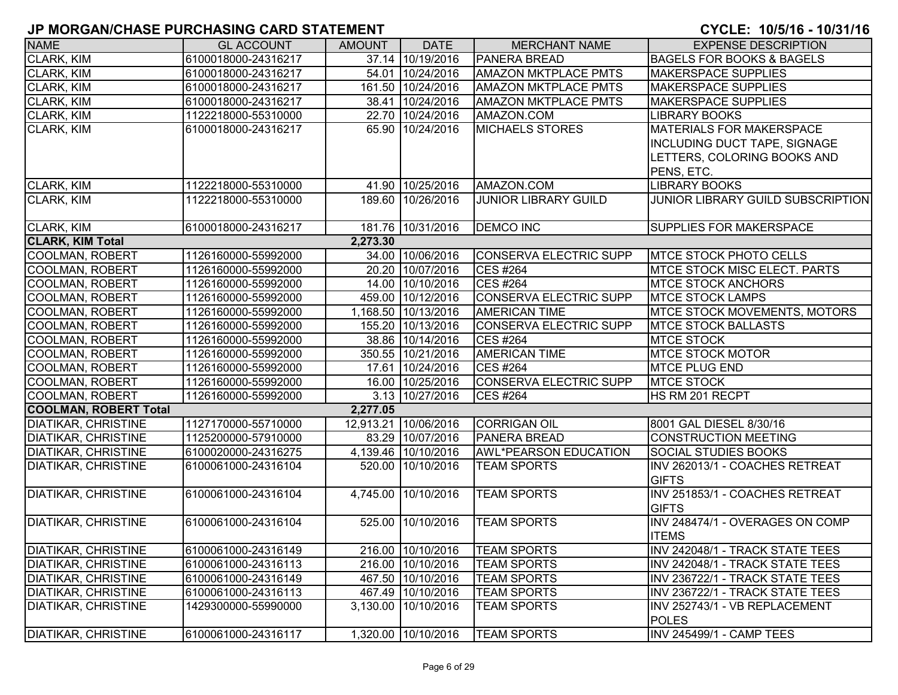| <b>NAME</b>                  | <b>GL ACCOUNT</b>   | <b>AMOUNT</b> | <b>DATE</b>          | <b>MERCHANT NAME</b>          | <b>EXPENSE DESCRIPTION</b>           |
|------------------------------|---------------------|---------------|----------------------|-------------------------------|--------------------------------------|
| CLARK, KIM                   | 6100018000-24316217 |               | 37.14 10/19/2016     | <b>PANERA BREAD</b>           | <b>BAGELS FOR BOOKS &amp; BAGELS</b> |
| CLARK, KIM                   | 6100018000-24316217 |               | 54.01 10/24/2016     | <b>AMAZON MKTPLACE PMTS</b>   | <b>MAKERSPACE SUPPLIES</b>           |
| <b>CLARK, KIM</b>            | 6100018000-24316217 |               | 161.50 10/24/2016    | <b>AMAZON MKTPLACE PMTS</b>   | <b>MAKERSPACE SUPPLIES</b>           |
| CLARK, KIM                   | 6100018000-24316217 |               | 38.41 10/24/2016     | <b>AMAZON MKTPLACE PMTS</b>   | <b>MAKERSPACE SUPPLIES</b>           |
| CLARK, KIM                   | 1122218000-55310000 |               | 22.70 10/24/2016     | AMAZON.COM                    | <b>LIBRARY BOOKS</b>                 |
| CLARK, KIM                   | 6100018000-24316217 |               | 65.90 10/24/2016     | <b>MICHAELS STORES</b>        | <b>MATERIALS FOR MAKERSPACE</b>      |
|                              |                     |               |                      |                               | INCLUDING DUCT TAPE, SIGNAGE         |
|                              |                     |               |                      |                               | LETTERS, COLORING BOOKS AND          |
|                              |                     |               |                      |                               | PENS, ETC.                           |
| <b>CLARK, KIM</b>            | 1122218000-55310000 |               | 41.90 10/25/2016     | AMAZON.COM                    | <b>LIBRARY BOOKS</b>                 |
| <b>CLARK, KIM</b>            | 1122218000-55310000 |               | 189.60 10/26/2016    | <b>JUNIOR LIBRARY GUILD</b>   | JUNIOR LIBRARY GUILD SUBSCRIPTION    |
|                              |                     |               |                      |                               |                                      |
| CLARK, KIM                   | 6100018000-24316217 |               | 181.76 10/31/2016    | <b>DEMCO INC</b>              | <b>SUPPLIES FOR MAKERSPACE</b>       |
| <b>CLARK, KIM Total</b>      |                     | 2,273.30      |                      |                               |                                      |
| <b>COOLMAN, ROBERT</b>       | 1126160000-55992000 |               | 34.00 10/06/2016     | CONSERVA ELECTRIC SUPP        | <b>MTCE STOCK PHOTO CELLS</b>        |
| <b>COOLMAN, ROBERT</b>       | 1126160000-55992000 |               | 20.20 10/07/2016     | <b>CES #264</b>               | <b>MTCE STOCK MISC ELECT. PARTS</b>  |
| <b>COOLMAN, ROBERT</b>       | 1126160000-55992000 |               | 14.00 10/10/2016     | <b>CES #264</b>               | <b>MTCE STOCK ANCHORS</b>            |
| <b>COOLMAN, ROBERT</b>       | 1126160000-55992000 |               | 459.00 10/12/2016    | CONSERVA ELECTRIC SUPP        | <b>MTCE STOCK LAMPS</b>              |
| <b>COOLMAN, ROBERT</b>       | 1126160000-55992000 |               | 1,168.50 10/13/2016  | <b>AMERICAN TIME</b>          | <b>IMTCE STOCK MOVEMENTS, MOTORS</b> |
| <b>COOLMAN, ROBERT</b>       | 1126160000-55992000 |               | 155.20 10/13/2016    | CONSERVA ELECTRIC SUPP        | <b>IMTCE STOCK BALLASTS</b>          |
| COOLMAN, ROBERT              | 1126160000-55992000 |               | 38.86 10/14/2016     | <b>CES #264</b>               | <b>MTCE STOCK</b>                    |
| <b>COOLMAN, ROBERT</b>       | 1126160000-55992000 |               | 350.55 10/21/2016    | <b>AMERICAN TIME</b>          | <b>MTCE STOCK MOTOR</b>              |
| <b>COOLMAN, ROBERT</b>       | 1126160000-55992000 |               | 17.61 10/24/2016     | <b>CES #264</b>               | <b>MTCE PLUG END</b>                 |
| COOLMAN, ROBERT              | 1126160000-55992000 |               | 16.00 10/25/2016     | <b>CONSERVA ELECTRIC SUPP</b> | <b>MTCE STOCK</b>                    |
| COOLMAN, ROBERT              | 1126160000-55992000 |               | 3.13 10/27/2016      | <b>CES #264</b>               | HS RM 201 RECPT                      |
| <b>COOLMAN, ROBERT Total</b> |                     | 2,277.05      |                      |                               |                                      |
| <b>DIATIKAR, CHRISTINE</b>   | 1127170000-55710000 |               | 12,913.21 10/06/2016 | <b>CORRIGAN OIL</b>           | 8001 GAL DIESEL 8/30/16              |
| <b>DIATIKAR, CHRISTINE</b>   | 1125200000-57910000 |               | 83.29 10/07/2016     | <b>PANERA BREAD</b>           | <b>CONSTRUCTION MEETING</b>          |
| <b>DIATIKAR, CHRISTINE</b>   | 6100020000-24316275 |               | 4,139.46 10/10/2016  | <b>AWL*PEARSON EDUCATION</b>  | <b>SOCIAL STUDIES BOOKS</b>          |
| <b>DIATIKAR, CHRISTINE</b>   | 6100061000-24316104 |               | 520.00 10/10/2016    | <b>TEAM SPORTS</b>            | INV 262013/1 - COACHES RETREAT       |
|                              |                     |               |                      |                               | <b>GIFTS</b>                         |
| <b>DIATIKAR, CHRISTINE</b>   | 6100061000-24316104 |               | 4,745.00 10/10/2016  | <b>TEAM SPORTS</b>            | INV 251853/1 - COACHES RETREAT       |
|                              |                     |               |                      |                               | <b>GIFTS</b>                         |
| <b>DIATIKAR, CHRISTINE</b>   | 6100061000-24316104 |               | 525.00 10/10/2016    | <b>TEAM SPORTS</b>            | INV 248474/1 - OVERAGES ON COMP      |
|                              |                     |               |                      |                               | <b>ITEMS</b>                         |
| DIATIKAR, CHRISTINE          | 6100061000-24316149 |               | 216.00 10/10/2016    | <b>TEAM SPORTS</b>            | INV 242048/1 - TRACK STATE TEES      |
| <b>DIATIKAR, CHRISTINE</b>   | 6100061000-24316113 |               | 216.00 10/10/2016    | <b>TEAM SPORTS</b>            | INV 242048/1 - TRACK STATE TEES      |
| <b>DIATIKAR, CHRISTINE</b>   | 6100061000-24316149 |               | 467.50 10/10/2016    | <b>TEAM SPORTS</b>            | INV 236722/1 - TRACK STATE TEES      |
| <b>DIATIKAR, CHRISTINE</b>   | 6100061000-24316113 |               | 467.49 10/10/2016    | <b>TEAM SPORTS</b>            | INV 236722/1 - TRACK STATE TEES      |
| <b>DIATIKAR, CHRISTINE</b>   | 1429300000-55990000 |               | 3,130.00 10/10/2016  | <b>TEAM SPORTS</b>            | INV 252743/1 - VB REPLACEMENT        |
|                              |                     |               |                      |                               | <b>POLES</b>                         |
| <b>DIATIKAR, CHRISTINE</b>   | 6100061000-24316117 |               | 1,320.00 10/10/2016  | <b>TEAM SPORTS</b>            | INV 245499/1 - CAMP TEES             |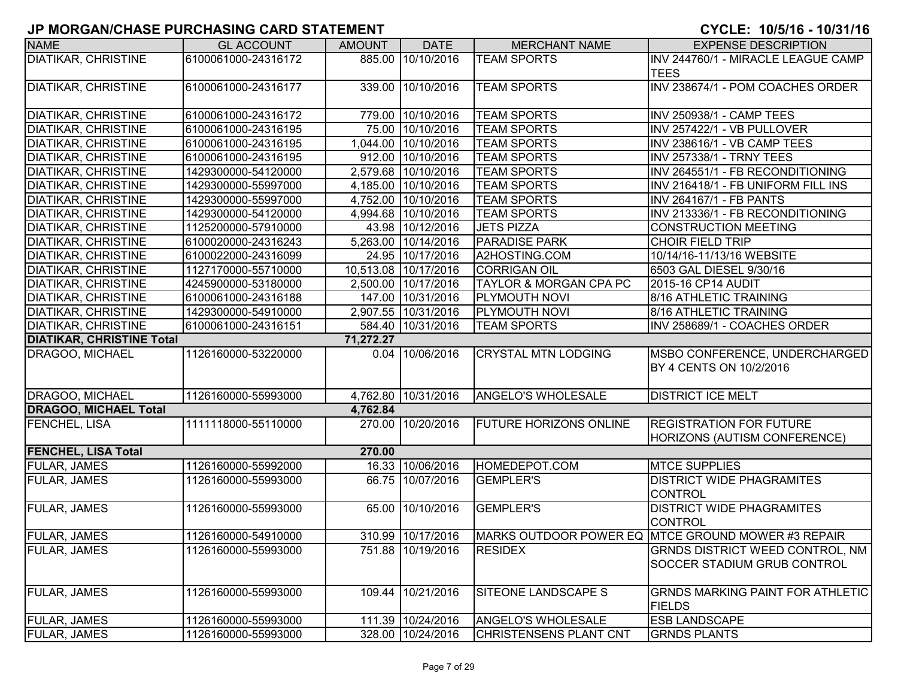| <b>NAME</b>                      | <b>GL ACCOUNT</b>   | <b>AMOUNT</b> | <b>DATE</b>          | <b>MERCHANT NAME</b>          | <b>EXPENSE DESCRIPTION</b>                         |
|----------------------------------|---------------------|---------------|----------------------|-------------------------------|----------------------------------------------------|
| <b>DIATIKAR, CHRISTINE</b>       | 6100061000-24316172 |               | 885.00 10/10/2016    | <b>TEAM SPORTS</b>            | INV 244760/1 - MIRACLE LEAGUE CAMP                 |
|                                  |                     |               |                      |                               | <b>TEES</b>                                        |
| <b>DIATIKAR, CHRISTINE</b>       | 6100061000-24316177 |               | 339.00 10/10/2016    | <b>TEAM SPORTS</b>            | INV 238674/1 - POM COACHES ORDER                   |
|                                  |                     |               |                      |                               |                                                    |
| <b>DIATIKAR, CHRISTINE</b>       | 6100061000-24316172 |               | 779.00 10/10/2016    | <b>TEAM SPORTS</b>            | INV 250938/1 - CAMP TEES                           |
| <b>DIATIKAR, CHRISTINE</b>       | 6100061000-24316195 |               | 75.00 10/10/2016     | <b>TEAM SPORTS</b>            | INV 257422/1 - VB PULLOVER                         |
| <b>DIATIKAR, CHRISTINE</b>       | 6100061000-24316195 |               | 1,044.00 10/10/2016  | <b>TEAM SPORTS</b>            | INV 238616/1 - VB CAMP TEES                        |
| <b>DIATIKAR, CHRISTINE</b>       | 6100061000-24316195 |               | 912.00 10/10/2016    | <b>TEAM SPORTS</b>            | INV 257338/1 - TRNY TEES                           |
| <b>DIATIKAR, CHRISTINE</b>       | 1429300000-54120000 |               | 2,579.68 10/10/2016  | <b>TEAM SPORTS</b>            | INV 264551/1 - FB RECONDITIONING                   |
| <b>DIATIKAR, CHRISTINE</b>       | 1429300000-55997000 |               | 4,185.00 10/10/2016  | <b>TEAM SPORTS</b>            | INV 216418/1 - FB UNIFORM FILL INS                 |
| <b>DIATIKAR, CHRISTINE</b>       | 1429300000-55997000 |               | 4,752.00 10/10/2016  | <b>TEAM SPORTS</b>            | <b>INV 264167/1 - FB PANTS</b>                     |
| <b>DIATIKAR, CHRISTINE</b>       | 1429300000-54120000 | 4,994.68      | 10/10/2016           | <b>TEAM SPORTS</b>            | INV 213336/1 - FB RECONDITIONING                   |
| <b>DIATIKAR, CHRISTINE</b>       | 1125200000-57910000 |               | 43.98 10/12/2016     | <b>JETS PIZZA</b>             | <b>CONSTRUCTION MEETING</b>                        |
| <b>DIATIKAR, CHRISTINE</b>       | 6100020000-24316243 |               | 5,263.00 10/14/2016  | <b>PARADISE PARK</b>          | <b>CHOIR FIELD TRIP</b>                            |
| <b>DIATIKAR, CHRISTINE</b>       | 6100022000-24316099 |               | 24.95 10/17/2016     | A2HOSTING.COM                 | 10/14/16-11/13/16 WEBSITE                          |
| <b>DIATIKAR, CHRISTINE</b>       | 1127170000-55710000 |               | 10,513.08 10/17/2016 | <b>CORRIGAN OIL</b>           | 6503 GAL DIESEL 9/30/16                            |
| <b>DIATIKAR, CHRISTINE</b>       | 4245900000-53180000 | 2,500.00      | 10/17/2016           | TAYLOR & MORGAN CPA PC        | 2015-16 CP14 AUDIT                                 |
| <b>DIATIKAR, CHRISTINE</b>       | 6100061000-24316188 |               | 147.00 10/31/2016    | <b>PLYMOUTH NOVI</b>          | 8/16 ATHLETIC TRAINING                             |
| <b>DIATIKAR, CHRISTINE</b>       | 1429300000-54910000 |               | 2,907.55 10/31/2016  | <b>PLYMOUTH NOVI</b>          | 8/16 ATHLETIC TRAINING                             |
| <b>DIATIKAR, CHRISTINE</b>       | 6100061000-24316151 |               | 584.40 10/31/2016    | <b>TEAM SPORTS</b>            | INV 258689/1 - COACHES ORDER                       |
| <b>DIATIKAR, CHRISTINE Total</b> |                     | 71,272.27     |                      |                               |                                                    |
| <b>DRAGOO, MICHAEL</b>           | 1126160000-53220000 | 0.04          | 10/06/2016           | <b>CRYSTAL MTN LODGING</b>    | MSBO CONFERENCE, UNDERCHARGED                      |
|                                  |                     |               |                      |                               | BY 4 CENTS ON 10/2/2016                            |
|                                  |                     |               |                      |                               |                                                    |
| DRAGOO, MICHAEL                  | 1126160000-55993000 |               | 4,762.80 10/31/2016  | <b>ANGELO'S WHOLESALE</b>     | <b>DISTRICT ICE MELT</b>                           |
| <b>DRAGOO, MICHAEL Total</b>     |                     | 4,762.84      |                      |                               |                                                    |
| FENCHEL, LISA                    | 1111118000-55110000 |               | 270.00 10/20/2016    | <b>FUTURE HORIZONS ONLINE</b> | <b>REGISTRATION FOR FUTURE</b>                     |
|                                  |                     |               |                      |                               | <b>HORIZONS (AUTISM CONFERENCE)</b>                |
| <b>FENCHEL, LISA Total</b>       |                     | 270.00        |                      |                               |                                                    |
| <b>FULAR, JAMES</b>              | 1126160000-55992000 |               | 16.33 10/06/2016     | HOMEDEPOT.COM                 | <b>MTCE SUPPLIES</b>                               |
| <b>FULAR, JAMES</b>              | 1126160000-55993000 |               | 66.75 10/07/2016     | <b>GEMPLER'S</b>              | <b>DISTRICT WIDE PHAGRAMITES</b>                   |
|                                  |                     |               |                      |                               | <b>CONTROL</b>                                     |
| <b>FULAR, JAMES</b>              | 1126160000-55993000 |               | 65.00 10/10/2016     | <b>GEMPLER'S</b>              | <b>DISTRICT WIDE PHAGRAMITES</b>                   |
|                                  |                     |               |                      |                               | <b>CONTROL</b>                                     |
| <b>FULAR, JAMES</b>              | 1126160000-54910000 |               | 310.99 10/17/2016    |                               | MARKS OUTDOOR POWER EQ MTCE GROUND MOWER #3 REPAIR |
| <b>FULAR, JAMES</b>              | 1126160000-55993000 |               | 751.88 10/19/2016    | <b>RESIDEX</b>                | <b>GRNDS DISTRICT WEED CONTROL, NM</b>             |
|                                  |                     |               |                      |                               | <b>SOCCER STADIUM GRUB CONTROL</b>                 |
|                                  |                     |               |                      |                               |                                                    |
| <b>FULAR, JAMES</b>              | 1126160000-55993000 | 109.44        | 10/21/2016           | SITEONE LANDSCAPE S           | <b>GRNDS MARKING PAINT FOR ATHLETIC</b>            |
|                                  |                     |               |                      |                               | <b>FIELDS</b>                                      |
| <b>FULAR, JAMES</b>              | 1126160000-55993000 |               | 111.39 10/24/2016    | <b>ANGELO'S WHOLESALE</b>     | <b>ESB LANDSCAPE</b>                               |
| <b>FULAR, JAMES</b>              | 1126160000-55993000 |               | 328.00 10/24/2016    | <b>CHRISTENSENS PLANT CNT</b> | <b>GRNDS PLANTS</b>                                |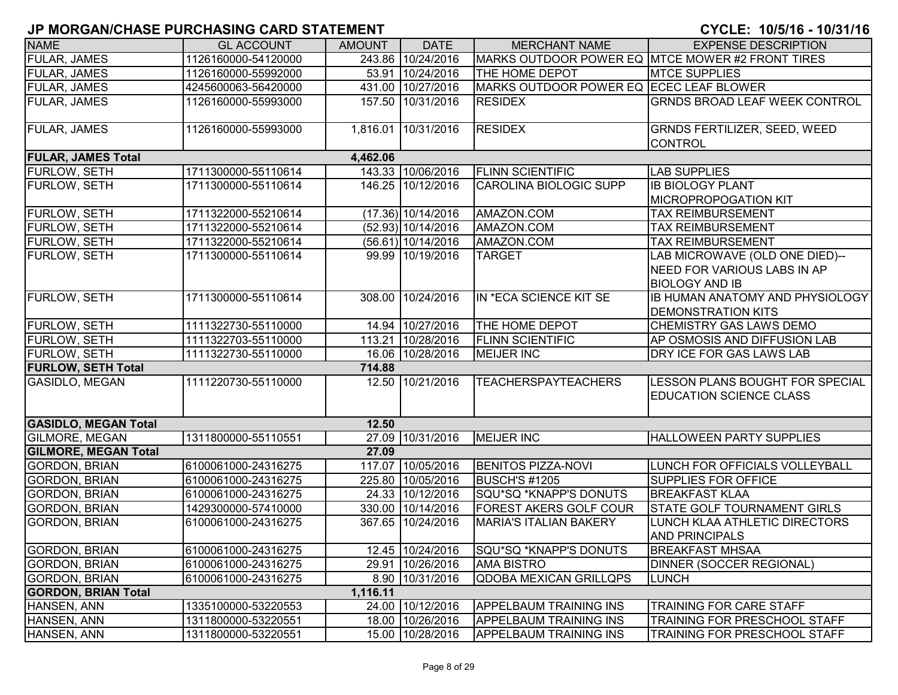| <b>NAME</b>                 | <b>GL ACCOUNT</b>   | <b>AMOUNT</b> | <b>DATE</b>          | <b>MERCHANT NAME</b>                    | <b>EXPENSE DESCRIPTION</b>                                                                    |
|-----------------------------|---------------------|---------------|----------------------|-----------------------------------------|-----------------------------------------------------------------------------------------------|
| <b>FULAR, JAMES</b>         | 1126160000-54120000 |               | 243.86 10/24/2016    |                                         | MARKS OUTDOOR POWER EQ MTCE MOWER #2 FRONT TIRES                                              |
| <b>FULAR, JAMES</b>         | 1126160000-55992000 |               | 53.91 10/24/2016     | THE HOME DEPOT                          | <b>MTCE SUPPLIES</b>                                                                          |
| <b>FULAR, JAMES</b>         | 4245600063-56420000 |               | 431.00 10/27/2016    | MARKS OUTDOOR POWER EQ ECEC LEAF BLOWER |                                                                                               |
| <b>FULAR, JAMES</b>         | 1126160000-55993000 |               | 157.50 10/31/2016    | <b>RESIDEX</b>                          | <b>GRNDS BROAD LEAF WEEK CONTROL</b>                                                          |
| <b>FULAR, JAMES</b>         | 1126160000-55993000 |               | 1,816.01 10/31/2016  | <b>RESIDEX</b>                          | GRNDS FERTILIZER, SEED, WEED<br><b>CONTROL</b>                                                |
| <b>FULAR, JAMES Total</b>   |                     | 4,462.06      |                      |                                         |                                                                                               |
| <b>FURLOW, SETH</b>         | 1711300000-55110614 |               | 143.33 10/06/2016    | <b>FLINN SCIENTIFIC</b>                 | <b>LAB SUPPLIES</b>                                                                           |
| FURLOW, SETH                | 1711300000-55110614 |               | 146.25 10/12/2016    | <b>CAROLINA BIOLOGIC SUPP</b>           | <b>IB BIOLOGY PLANT</b><br><b>MICROPROPOGATION KIT</b>                                        |
| FURLOW, SETH                | 1711322000-55210614 |               | $(17.36)$ 10/14/2016 | AMAZON.COM                              | <b>TAX REIMBURSEMENT</b>                                                                      |
| FURLOW, SETH                | 1711322000-55210614 |               | (52.93) 10/14/2016   | AMAZON.COM                              | <b>TAX REIMBURSEMENT</b>                                                                      |
| <b>FURLOW, SETH</b>         | 1711322000-55210614 |               | (56.61) 10/14/2016   | AMAZON.COM                              | <b>TAX REIMBURSEMENT</b>                                                                      |
| <b>FURLOW, SETH</b>         | 1711300000-55110614 |               | 99.99 10/19/2016     | <b>TARGET</b>                           | LAB MICROWAVE (OLD ONE DIED)--<br><b>NEED FOR VARIOUS LABS IN AP</b><br><b>BIOLOGY AND IB</b> |
| <b>FURLOW, SETH</b>         | 1711300000-55110614 |               | 308.00 10/24/2016    | IN *ECA SCIENCE KIT SE                  | <b>IB HUMAN ANATOMY AND PHYSIOLOGY</b><br><b>DEMONSTRATION KITS</b>                           |
| <b>FURLOW, SETH</b>         | 1111322730-55110000 |               | 14.94 10/27/2016     | THE HOME DEPOT                          | <b>CHEMISTRY GAS LAWS DEMO</b>                                                                |
| FURLOW, SETH                | 1111322703-55110000 |               | 113.21 10/28/2016    | <b>FLINN SCIENTIFIC</b>                 | AP OSMOSIS AND DIFFUSION LAB                                                                  |
| <b>FURLOW, SETH</b>         | 1111322730-55110000 |               | 16.06 10/28/2016     | <b>MEIJER INC</b>                       | DRY ICE FOR GAS LAWS LAB                                                                      |
| <b>FURLOW, SETH Total</b>   |                     | 714.88        |                      |                                         |                                                                                               |
| <b>GASIDLO, MEGAN</b>       | 1111220730-55110000 |               | 12.50 10/21/2016     | <b>TEACHERSPAYTEACHERS</b>              | LESSON PLANS BOUGHT FOR SPECIAL<br><b>EDUCATION SCIENCE CLASS</b>                             |
| <b>GASIDLO, MEGAN Total</b> |                     | 12.50         |                      |                                         |                                                                                               |
| <b>GILMORE, MEGAN</b>       | 1311800000-55110551 |               | 27.09 10/31/2016     | <b>MEIJER INC</b>                       | <b>HALLOWEEN PARTY SUPPLIES</b>                                                               |
| <b>GILMORE, MEGAN Total</b> |                     | 27.09         |                      |                                         |                                                                                               |
| <b>GORDON, BRIAN</b>        | 6100061000-24316275 |               | 117.07 10/05/2016    | <b>BENITOS PIZZA-NOVI</b>               | LUNCH FOR OFFICIALS VOLLEYBALL                                                                |
| <b>GORDON, BRIAN</b>        | 6100061000-24316275 |               | 225.80 10/05/2016    | <b>BUSCH'S #1205</b>                    | <b>SUPPLIES FOR OFFICE</b>                                                                    |
| <b>GORDON, BRIAN</b>        | 6100061000-24316275 |               | 24.33 10/12/2016     | SQU*SQ *KNAPP'S DONUTS                  | <b>BREAKFAST KLAA</b>                                                                         |
| <b>GORDON, BRIAN</b>        | 1429300000-57410000 |               | 330.00 10/14/2016    | <b>FOREST AKERS GOLF COUR</b>           | <b>STATE GOLF TOURNAMENT GIRLS</b>                                                            |
| <b>GORDON, BRIAN</b>        | 6100061000-24316275 |               | 367.65 10/24/2016    | <b>MARIA'S ITALIAN BAKERY</b>           | LUNCH KLAA ATHLETIC DIRECTORS<br><b>AND PRINCIPALS</b>                                        |
| <b>GORDON, BRIAN</b>        | 6100061000-24316275 |               | 12.45 10/24/2016     | SQU*SQ *KNAPP'S DONUTS                  | <b>BREAKFAST MHSAA</b>                                                                        |
| <b>GORDON, BRIAN</b>        | 6100061000-24316275 |               | 29.91 10/26/2016     | <b>AMA BISTRO</b>                       | DINNER (SOCCER REGIONAL)                                                                      |
| <b>GORDON, BRIAN</b>        | 6100061000-24316275 |               | 8.90 10/31/2016      | <b>QDOBA MEXICAN GRILLQPS</b>           | <b>LUNCH</b>                                                                                  |
| <b>GORDON, BRIAN Total</b>  |                     | 1,116.11      |                      |                                         |                                                                                               |
| HANSEN, ANN                 | 1335100000-53220553 |               | 24.00 10/12/2016     | <b>APPELBAUM TRAINING INS</b>           | TRAINING FOR CARE STAFF                                                                       |
| HANSEN, ANN                 | 1311800000-53220551 |               | 18.00 10/26/2016     | <b>APPELBAUM TRAINING INS</b>           | TRAINING FOR PRESCHOOL STAFF                                                                  |
| HANSEN, ANN                 | 1311800000-53220551 |               | 15.00 10/28/2016     | <b>APPELBAUM TRAINING INS</b>           | <b>TRAINING FOR PRESCHOOL STAFF</b>                                                           |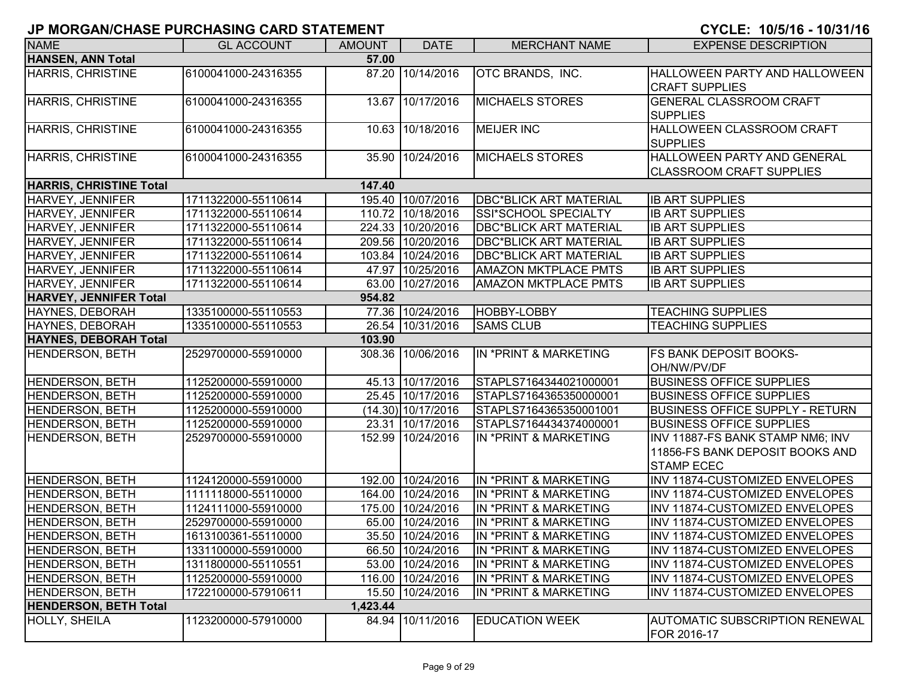| <b>NAME</b>                    | <b>GL ACCOUNT</b>   | <b>AMOUNT</b> | <b>DATE</b>          | <b>MERCHANT NAME</b>          | <b>EXPENSE DESCRIPTION</b>             |
|--------------------------------|---------------------|---------------|----------------------|-------------------------------|----------------------------------------|
| <b>HANSEN, ANN Total</b>       |                     | 57.00         |                      |                               |                                        |
| HARRIS, CHRISTINE              | 6100041000-24316355 |               | 87.20 10/14/2016     | OTC BRANDS, INC.              | <b>HALLOWEEN PARTY AND HALLOWEEN</b>   |
|                                |                     |               |                      |                               | <b>CRAFT SUPPLIES</b>                  |
| HARRIS, CHRISTINE              | 6100041000-24316355 |               | 13.67 10/17/2016     | <b>MICHAELS STORES</b>        | <b>GENERAL CLASSROOM CRAFT</b>         |
|                                |                     |               |                      |                               | <b>SUPPLIES</b>                        |
| HARRIS, CHRISTINE              | 6100041000-24316355 |               | 10.63 10/18/2016     | <b>MEIJER INC</b>             | <b>HALLOWEEN CLASSROOM CRAFT</b>       |
|                                |                     |               |                      |                               | <b>SUPPLIES</b>                        |
| HARRIS, CHRISTINE              | 6100041000-24316355 | 35.90         | 10/24/2016           | <b>MICHAELS STORES</b>        | HALLOWEEN PARTY AND GENERAL            |
|                                |                     |               |                      |                               | <b>CLASSROOM CRAFT SUPPLIES</b>        |
| <b>HARRIS, CHRISTINE Total</b> |                     | 147.40        |                      |                               |                                        |
| HARVEY, JENNIFER               | 1711322000-55110614 |               | 195.40 10/07/2016    | <b>DBC*BLICK ART MATERIAL</b> | <b>IB ART SUPPLIES</b>                 |
| <b>HARVEY, JENNIFER</b>        | 1711322000-55110614 |               | 110.72 10/18/2016    | SSI*SCHOOL SPECIALTY          | <b>IB ART SUPPLIES</b>                 |
| HARVEY, JENNIFER               | 1711322000-55110614 |               | 224.33 10/20/2016    | <b>DBC*BLICK ART MATERIAL</b> | <b>IB ART SUPPLIES</b>                 |
| <b>HARVEY, JENNIFER</b>        | 1711322000-55110614 |               | 209.56 10/20/2016    | <b>DBC*BLICK ART MATERIAL</b> | <b>IB ART SUPPLIES</b>                 |
| HARVEY, JENNIFER               | 1711322000-55110614 |               | 103.84 10/24/2016    | <b>DBC*BLICK ART MATERIAL</b> | <b>IB ART SUPPLIES</b>                 |
| HARVEY, JENNIFER               | 1711322000-55110614 |               | 47.97 10/25/2016     | <b>AMAZON MKTPLACE PMTS</b>   | <b>IB ART SUPPLIES</b>                 |
| HARVEY, JENNIFER               | 1711322000-55110614 |               | 63.00 10/27/2016     | <b>AMAZON MKTPLACE PMTS</b>   | <b>IB ART SUPPLIES</b>                 |
| <b>HARVEY, JENNIFER Total</b>  |                     | 954.82        |                      |                               |                                        |
| HAYNES, DEBORAH                | 1335100000-55110553 |               | 77.36 10/24/2016     | HOBBY-LOBBY                   | <b>TEACHING SUPPLIES</b>               |
| HAYNES, DEBORAH                | 1335100000-55110553 |               | 26.54 10/31/2016     | <b>SAMS CLUB</b>              | <b>TEACHING SUPPLIES</b>               |
| <b>HAYNES, DEBORAH Total</b>   |                     | 103.90        |                      |                               |                                        |
| <b>HENDERSON, BETH</b>         | 2529700000-55910000 | 308.36        | 10/06/2016           | IN *PRINT & MARKETING         | <b>FS BANK DEPOSIT BOOKS-</b>          |
|                                |                     |               |                      |                               | OH/NW/PV/DF                            |
| <b>HENDERSON, BETH</b>         | 1125200000-55910000 |               | 45.13 10/17/2016     | STAPLS7164344021000001        | <b>BUSINESS OFFICE SUPPLIES</b>        |
| <b>HENDERSON, BETH</b>         | 1125200000-55910000 |               | 25.45 10/17/2016     | STAPLS7164365350000001        | <b>BUSINESS OFFICE SUPPLIES</b>        |
| <b>HENDERSON, BETH</b>         | 1125200000-55910000 |               | $(14.30)$ 10/17/2016 | STAPLS7164365350001001        | <b>BUSINESS OFFICE SUPPLY - RETURN</b> |
| <b>HENDERSON, BETH</b>         | 1125200000-55910000 |               | 23.31 10/17/2016     | STAPLS7164434374000001        | <b>BUSINESS OFFICE SUPPLIES</b>        |
| <b>HENDERSON, BETH</b>         | 2529700000-55910000 |               | 152.99 10/24/2016    | IN *PRINT & MARKETING         | INV 11887-FS BANK STAMP NM6; INV       |
|                                |                     |               |                      |                               | 11856-FS BANK DEPOSIT BOOKS AND        |
|                                |                     |               |                      |                               | <b>STAMP ECEC</b>                      |
| HENDERSON, BETH                | 1124120000-55910000 |               | 192.00 10/24/2016    | IN *PRINT & MARKETING         | INV 11874-CUSTOMIZED ENVELOPES         |
| <b>HENDERSON, BETH</b>         | 1111118000-55110000 |               | 164.00 10/24/2016    | IN *PRINT & MARKETING         | INV 11874-CUSTOMIZED ENVELOPES         |
| <b>HENDERSON, BETH</b>         | 1124111000-55910000 |               | 175.00 10/24/2016    | IN *PRINT & MARKETING         | INV 11874-CUSTOMIZED ENVELOPES         |
| <b>HENDERSON, BETH</b>         | 2529700000-55910000 |               | 65.00 10/24/2016     | IN *PRINT & MARKETING         | INV 11874-CUSTOMIZED ENVELOPES         |
| <b>HENDERSON, BETH</b>         | 1613100361-55110000 |               | 35.50 10/24/2016     | IN *PRINT & MARKETING         | INV 11874-CUSTOMIZED ENVELOPES         |
| <b>HENDERSON, BETH</b>         | 1331100000-55910000 |               | 66.50 10/24/2016     | IN *PRINT & MARKETING         | INV 11874-CUSTOMIZED ENVELOPES         |
| <b>HENDERSON, BETH</b>         | 1311800000-55110551 |               | 53.00 10/24/2016     | IN *PRINT & MARKETING         | INV 11874-CUSTOMIZED ENVELOPES         |
| <b>HENDERSON, BETH</b>         | 1125200000-55910000 |               | 116.00 10/24/2016    | IN *PRINT & MARKETING         | INV 11874-CUSTOMIZED ENVELOPES         |
| HENDERSON, BETH                | 1722100000-57910611 |               | 15.50 10/24/2016     | IN *PRINT & MARKETING         | INV 11874-CUSTOMIZED ENVELOPES         |
| <b>HENDERSON, BETH Total</b>   |                     | 1,423.44      |                      |                               |                                        |
| HOLLY, SHEILA                  | 1123200000-57910000 |               | 84.94 10/11/2016     | <b>EDUCATION WEEK</b>         | <b>AUTOMATIC SUBSCRIPTION RENEWAL</b>  |
|                                |                     |               |                      |                               | FOR 2016-17                            |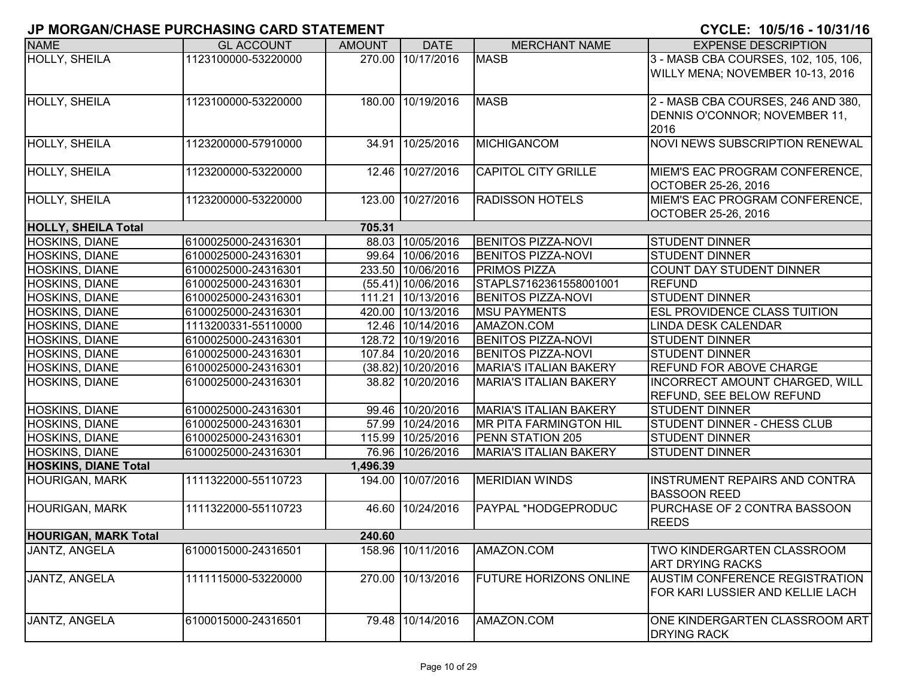| <b>NAME</b>                 | <b>GL ACCOUNT</b>   | <b>AMOUNT</b> | <b>DATE</b>          | <b>MERCHANT NAME</b>          | <b>EXPENSE DESCRIPTION</b>            |
|-----------------------------|---------------------|---------------|----------------------|-------------------------------|---------------------------------------|
| HOLLY, SHEILA               | 1123100000-53220000 |               | 270.00 10/17/2016    | <b>MASB</b>                   | 3 - MASB CBA COURSES, 102, 105, 106,  |
|                             |                     |               |                      |                               | WILLY MENA; NOVEMBER 10-13, 2016      |
|                             |                     |               |                      |                               |                                       |
| <b>HOLLY, SHEILA</b>        | 1123100000-53220000 |               | 180.00 10/19/2016    | <b>MASB</b>                   | 2 - MASB CBA COURSES, 246 AND 380,    |
|                             |                     |               |                      |                               | DENNIS O'CONNOR; NOVEMBER 11,         |
|                             |                     |               |                      |                               | 2016                                  |
| <b>HOLLY, SHEILA</b>        | 1123200000-57910000 | 34.91         | 10/25/2016           | <b>MICHIGANCOM</b>            | NOVI NEWS SUBSCRIPTION RENEWAL        |
|                             |                     |               |                      |                               |                                       |
| HOLLY, SHEILA               | 1123200000-53220000 |               | 12.46 10/27/2016     | <b>CAPITOL CITY GRILLE</b>    | MIEM'S EAC PROGRAM CONFERENCE,        |
|                             |                     |               |                      |                               | OCTOBER 25-26, 2016                   |
| HOLLY, SHEILA               | 1123200000-53220000 |               | 123.00 10/27/2016    | <b>RADISSON HOTELS</b>        | MIEM'S EAC PROGRAM CONFERENCE,        |
|                             |                     |               |                      |                               | OCTOBER 25-26, 2016                   |
| <b>HOLLY, SHEILA Total</b>  |                     | 705.31        |                      |                               |                                       |
| <b>HOSKINS, DIANE</b>       | 6100025000-24316301 |               | 88.03 10/05/2016     | <b>BENITOS PIZZA-NOVI</b>     | <b>STUDENT DINNER</b>                 |
| <b>HOSKINS, DIANE</b>       | 6100025000-24316301 |               | 99.64 10/06/2016     | <b>BENITOS PIZZA-NOVI</b>     | <b>STUDENT DINNER</b>                 |
| <b>HOSKINS, DIANE</b>       | 6100025000-24316301 |               | 233.50 10/06/2016    | <b>PRIMOS PIZZA</b>           | COUNT DAY STUDENT DINNER              |
| <b>HOSKINS, DIANE</b>       | 6100025000-24316301 |               | $(55.41)$ 10/06/2016 | STAPLS7162361558001001        | <b>REFUND</b>                         |
| <b>HOSKINS, DIANE</b>       | 6100025000-24316301 |               | 111.21 10/13/2016    | <b>BENITOS PIZZA-NOVI</b>     | <b>STUDENT DINNER</b>                 |
| <b>HOSKINS, DIANE</b>       | 6100025000-24316301 |               | 420.00 10/13/2016    | <b>MSU PAYMENTS</b>           | <b>ESL PROVIDENCE CLASS TUITION</b>   |
| <b>HOSKINS, DIANE</b>       | 1113200331-55110000 |               | 12.46 10/14/2016     | AMAZON.COM                    | <b>LINDA DESK CALENDAR</b>            |
| <b>HOSKINS, DIANE</b>       | 6100025000-24316301 |               | 128.72 10/19/2016    | <b>BENITOS PIZZA-NOVI</b>     | <b>STUDENT DINNER</b>                 |
| <b>HOSKINS, DIANE</b>       | 6100025000-24316301 |               | 107.84 10/20/2016    | <b>BENITOS PIZZA-NOVI</b>     | <b>STUDENT DINNER</b>                 |
| <b>HOSKINS, DIANE</b>       | 6100025000-24316301 |               | $(38.82)$ 10/20/2016 | <b>MARIA'S ITALIAN BAKERY</b> | <b>REFUND FOR ABOVE CHARGE</b>        |
| HOSKINS, DIANE              | 6100025000-24316301 |               | 38.82 10/20/2016     | <b>MARIA'S ITALIAN BAKERY</b> | INCORRECT AMOUNT CHARGED, WILL        |
|                             |                     |               |                      |                               | <b>REFUND, SEE BELOW REFUND</b>       |
| <b>HOSKINS, DIANE</b>       | 6100025000-24316301 |               | 99.46 10/20/2016     | <b>MARIA'S ITALIAN BAKERY</b> | <b>STUDENT DINNER</b>                 |
| <b>HOSKINS, DIANE</b>       | 6100025000-24316301 |               | 57.99 10/24/2016     | <b>MR PITA FARMINGTON HIL</b> | STUDENT DINNER - CHESS CLUB           |
| <b>HOSKINS, DIANE</b>       | 6100025000-24316301 |               | 115.99 10/25/2016    | PENN STATION 205              | <b>STUDENT DINNER</b>                 |
| <b>HOSKINS, DIANE</b>       | 6100025000-24316301 |               | 76.96 10/26/2016     | <b>MARIA'S ITALIAN BAKERY</b> | <b>STUDENT DINNER</b>                 |
| <b>HOSKINS, DIANE Total</b> |                     | 1,496.39      |                      |                               |                                       |
| <b>HOURIGAN, MARK</b>       | 1111322000-55110723 |               | 194.00 10/07/2016    | <b>MERIDIAN WINDS</b>         | INSTRUMENT REPAIRS AND CONTRA         |
|                             |                     |               |                      |                               | <b>BASSOON REED</b>                   |
| <b>HOURIGAN, MARK</b>       | 1111322000-55110723 |               | 46.60 10/24/2016     | PAYPAL *HODGEPRODUC           | PURCHASE OF 2 CONTRA BASSOON          |
|                             |                     |               |                      |                               | <b>REEDS</b>                          |
| <b>HOURIGAN, MARK Total</b> |                     | 240.60        |                      |                               |                                       |
| JANTZ, ANGELA               | 6100015000-24316501 |               | 158.96 10/11/2016    | AMAZON.COM                    | <b>TWO KINDERGARTEN CLASSROOM</b>     |
|                             |                     |               |                      |                               | <b>ART DRYING RACKS</b>               |
| JANTZ, ANGELA               | 1111115000-53220000 |               | 270.00 10/13/2016    | <b>FUTURE HORIZONS ONLINE</b> | <b>AUSTIM CONFERENCE REGISTRATION</b> |
|                             |                     |               |                      |                               | FOR KARI LUSSIER AND KELLIE LACH      |
|                             |                     |               |                      |                               |                                       |
| JANTZ, ANGELA               | 6100015000-24316501 |               | 79.48 10/14/2016     | AMAZON.COM                    | ONE KINDERGARTEN CLASSROOM ART        |
|                             |                     |               |                      |                               | <b>IDRYING RACK</b>                   |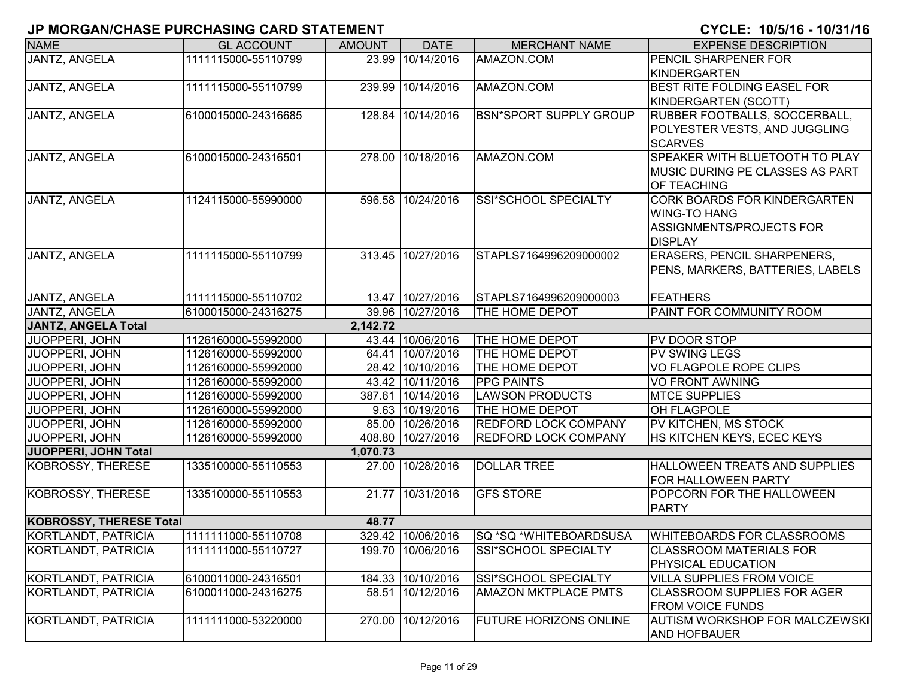| <b>NAME</b>                    | <b>GL ACCOUNT</b>   | <b>AMOUNT</b> | <b>DATE</b>       | <b>MERCHANT NAME</b>          | <b>EXPENSE DESCRIPTION</b>                                   |
|--------------------------------|---------------------|---------------|-------------------|-------------------------------|--------------------------------------------------------------|
| <b>JANTZ, ANGELA</b>           | 1111115000-55110799 |               | 23.99 10/14/2016  | AMAZON.COM                    | <b>PENCIL SHARPENER FOR</b>                                  |
|                                |                     |               |                   |                               | KINDERGARTEN                                                 |
| JANTZ, ANGELA                  | 1111115000-55110799 | 239.99        | 10/14/2016        | AMAZON.COM                    | <b>BEST RITE FOLDING EASEL FOR</b>                           |
|                                |                     |               |                   |                               | KINDERGARTEN (SCOTT)                                         |
| JANTZ, ANGELA                  | 6100015000-24316685 |               | 128.84 10/14/2016 | <b>BSN*SPORT SUPPLY GROUP</b> | <b>RUBBER FOOTBALLS, SOCCERBALL,</b>                         |
|                                |                     |               |                   |                               | POLYESTER VESTS, AND JUGGLING                                |
|                                |                     |               |                   |                               | <b>SCARVES</b>                                               |
| <b>JANTZ, ANGELA</b>           | 6100015000-24316501 |               | 278.00 10/18/2016 | AMAZON.COM                    | <b>SPEAKER WITH BLUETOOTH TO PLAY</b>                        |
|                                |                     |               |                   |                               | <b>IMUSIC DURING PE CLASSES AS PART</b>                      |
|                                |                     |               |                   |                               | OF TEACHING                                                  |
| JANTZ, ANGELA                  | 1124115000-55990000 |               | 596.58 10/24/2016 | SSI*SCHOOL SPECIALTY          | <b>CORK BOARDS FOR KINDERGARTEN</b>                          |
|                                |                     |               |                   |                               | <b>WING-TO HANG</b>                                          |
|                                |                     |               |                   |                               | ASSIGNMENTS/PROJECTS FOR                                     |
|                                |                     |               |                   |                               | <b>DISPLAY</b>                                               |
| JANTZ, ANGELA                  | 1111115000-55110799 |               | 313.45 10/27/2016 | STAPLS7164996209000002        | <b>ERASERS, PENCIL SHARPENERS,</b>                           |
|                                |                     |               |                   |                               | PENS, MARKERS, BATTERIES, LABELS                             |
|                                |                     |               |                   |                               |                                                              |
| JANTZ, ANGELA                  | 1111115000-55110702 |               | 13.47 10/27/2016  | STAPLS7164996209000003        | <b>FEATHERS</b>                                              |
| <b>JANTZ, ANGELA</b>           | 6100015000-24316275 |               | 39.96 10/27/2016  | THE HOME DEPOT                | <b>PAINT FOR COMMUNITY ROOM</b>                              |
| <b>JANTZ, ANGELA Total</b>     |                     | 2,142.72      |                   |                               |                                                              |
| JUOPPERI, JOHN                 | 1126160000-55992000 |               | 43.44 10/06/2016  | THE HOME DEPOT                | <b>PV DOOR STOP</b>                                          |
| JUOPPERI, JOHN                 | 1126160000-55992000 |               | 64.41 10/07/2016  | THE HOME DEPOT                | <b>PV SWING LEGS</b>                                         |
| JUOPPERI, JOHN                 | 1126160000-55992000 |               | 28.42 10/10/2016  | THE HOME DEPOT                | VO FLAGPOLE ROPE CLIPS                                       |
| JUOPPERI, JOHN                 | 1126160000-55992000 |               | 43.42 10/11/2016  | <b>PPG PAINTS</b>             | <b>VO FRONT AWNING</b>                                       |
| JUOPPERI, JOHN                 | 1126160000-55992000 |               | 387.61 10/14/2016 | <b>LAWSON PRODUCTS</b>        | <b>MTCE SUPPLIES</b>                                         |
| JUOPPERI, JOHN                 | 1126160000-55992000 |               | 9.63 10/19/2016   | THE HOME DEPOT                | OH FLAGPOLE                                                  |
| JUOPPERI, JOHN                 | 1126160000-55992000 |               | 85.00 10/26/2016  | <b>REDFORD LOCK COMPANY</b>   | PV KITCHEN, MS STOCK                                         |
| JUOPPERI, JOHN                 | 1126160000-55992000 |               | 408.80 10/27/2016 | <b>REDFORD LOCK COMPANY</b>   | HS KITCHEN KEYS, ECEC KEYS                                   |
| JUOPPERI, JOHN Total           |                     | 1,070.73      |                   |                               |                                                              |
| KOBROSSY, THERESE              | 1335100000-55110553 |               | 27.00 10/28/2016  | <b>DOLLAR TREE</b>            | <b>HALLOWEEN TREATS AND SUPPLIES</b>                         |
|                                |                     |               |                   |                               | <b>FOR HALLOWEEN PARTY</b>                                   |
| KOBROSSY, THERESE              | 1335100000-55110553 |               | 21.77 10/31/2016  | <b>GFS STORE</b>              | POPCORN FOR THE HALLOWEEN                                    |
|                                |                     |               |                   |                               | <b>PARTY</b>                                                 |
| <b>KOBROSSY, THERESE Total</b> |                     | 48.77         |                   |                               |                                                              |
| KORTLANDT, PATRICIA            | 1111111000-55110708 |               | 329.42 10/06/2016 | <b>SQ *SQ *WHITEBOARDSUSA</b> | <b>WHITEBOARDS FOR CLASSROOMS</b>                            |
| KORTLANDT, PATRICIA            | 1111111000-55110727 |               | 199.70 10/06/2016 | SSI*SCHOOL SPECIALTY          | <b>CLASSROOM MATERIALS FOR</b><br><b>PHYSICAL EDUCATION</b>  |
| KORTLANDT, PATRICIA            | 6100011000-24316501 |               | 184.33 10/10/2016 | SSI*SCHOOL SPECIALTY          | <b>VILLA SUPPLIES FROM VOICE</b>                             |
| KORTLANDT, PATRICIA            | 6100011000-24316275 |               | 58.51 10/12/2016  | <b>AMAZON MKTPLACE PMTS</b>   | <b>CLASSROOM SUPPLIES FOR AGER</b>                           |
|                                |                     |               |                   |                               | <b>FROM VOICE FUNDS</b>                                      |
| KORTLANDT, PATRICIA            | 1111111000-53220000 |               | 270.00 10/12/2016 | <b>FUTURE HORIZONS ONLINE</b> | <b>AUTISM WORKSHOP FOR MALCZEWSKI</b><br><b>AND HOFBAUER</b> |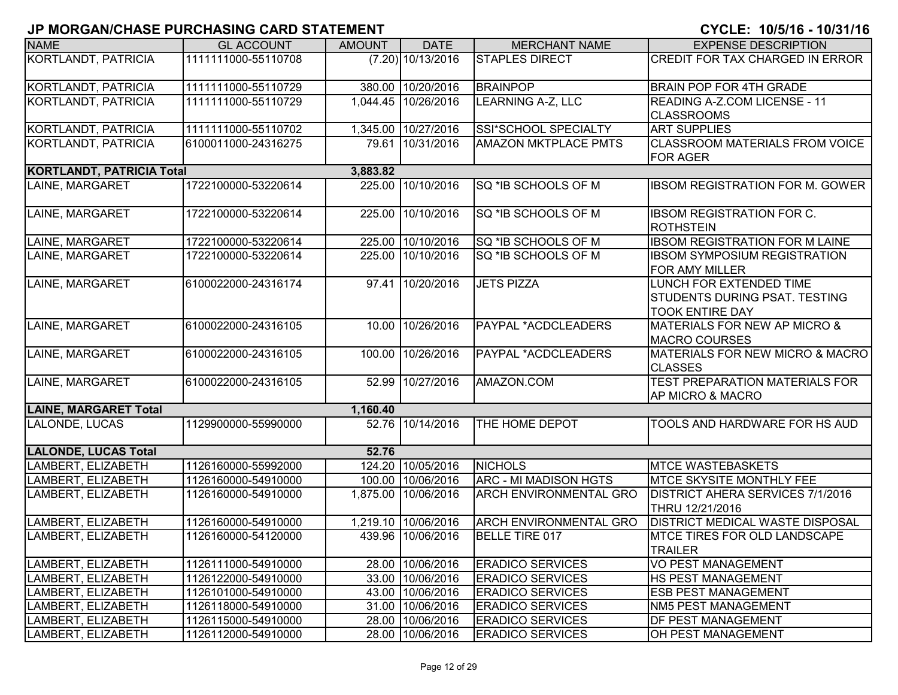| <b>NAME</b>                      | <b>GL ACCOUNT</b>   | <b>AMOUNT</b> | <b>DATE</b>         | <b>MERCHANT NAME</b>          | <b>EXPENSE DESCRIPTION</b>                               |
|----------------------------------|---------------------|---------------|---------------------|-------------------------------|----------------------------------------------------------|
| <b>KORTLANDT, PATRICIA</b>       | 1111111000-55110708 |               | $(7.20)$ 10/13/2016 | <b>STAPLES DIRECT</b>         | CREDIT FOR TAX CHARGED IN ERROR                          |
|                                  |                     |               |                     |                               |                                                          |
| KORTLANDT, PATRICIA              | 1111111000-55110729 |               | 380.00 10/20/2016   | <b>BRAINPOP</b>               | <b>BRAIN POP FOR 4TH GRADE</b>                           |
| <b>KORTLANDT, PATRICIA</b>       | 1111111000-55110729 |               | 1,044.45 10/26/2016 | <b>LEARNING A-Z, LLC</b>      | <b>READING A-Z.COM LICENSE - 11</b>                      |
|                                  |                     |               |                     |                               | <b>CLASSROOMS</b>                                        |
| KORTLANDT, PATRICIA              | 1111111000-55110702 |               | 1,345.00 10/27/2016 | SSI*SCHOOL SPECIALTY          | <b>ART SUPPLIES</b>                                      |
| KORTLANDT, PATRICIA              | 6100011000-24316275 |               | 79.61 10/31/2016    | <b>AMAZON MKTPLACE PMTS</b>   | <b>CLASSROOM MATERIALS FROM VOICE</b><br><b>FOR AGER</b> |
| <b>KORTLANDT, PATRICIA Total</b> |                     | 3,883.82      |                     |                               |                                                          |
| LAINE, MARGARET                  | 1722100000-53220614 | 225.00        | 10/10/2016          | SQ *IB SCHOOLS OF M           | <b>IBSOM REGISTRATION FOR M. GOWER</b>                   |
| LAINE, MARGARET                  | 1722100000-53220614 | 225.00        | 10/10/2016          | SQ *IB SCHOOLS OF M           | <b>IBSOM REGISTRATION FOR C.</b><br>ROTHSTEIN            |
| LAINE, MARGARET                  | 1722100000-53220614 | 225.00        | 10/10/2016          | SQ *IB SCHOOLS OF M           | <b>IBSOM REGISTRATION FOR M LAINE</b>                    |
| LAINE, MARGARET                  | 1722100000-53220614 | 225.00        | 10/10/2016          | SQ *IB SCHOOLS OF M           | <b>IBSOM SYMPOSIUM REGISTRATION</b>                      |
|                                  |                     |               |                     |                               | <b>FOR AMY MILLER</b>                                    |
| LAINE, MARGARET                  | 6100022000-24316174 |               | 97.41 10/20/2016    | <b>JETS PIZZA</b>             | LUNCH FOR EXTENDED TIME                                  |
|                                  |                     |               |                     |                               | <b>STUDENTS DURING PSAT. TESTING</b>                     |
|                                  |                     |               |                     |                               | <b>TOOK ENTIRE DAY</b>                                   |
| LAINE, MARGARET                  | 6100022000-24316105 | 10.00         | 10/26/2016          | PAYPAL *ACDCLEADERS           | <b>MATERIALS FOR NEW AP MICRO &amp;</b>                  |
|                                  |                     |               |                     |                               | <b>MACRO COURSES</b>                                     |
| LAINE, MARGARET                  | 6100022000-24316105 | 100.00        | 10/26/2016          | PAYPAL *ACDCLEADERS           | MATERIALS FOR NEW MICRO & MACRO<br><b>CLASSES</b>        |
| LAINE, MARGARET                  | 6100022000-24316105 | 52.99         | 10/27/2016          | AMAZON.COM                    | <b>TEST PREPARATION MATERIALS FOR</b>                    |
|                                  |                     |               |                     |                               | <b>AP MICRO &amp; MACRO</b>                              |
| <b>LAINE, MARGARET Total</b>     |                     | 1,160.40      |                     |                               |                                                          |
| LALONDE, LUCAS                   | 1129900000-55990000 |               | 52.76 10/14/2016    | THE HOME DEPOT                | TOOLS AND HARDWARE FOR HS AUD                            |
| <b>LALONDE, LUCAS Total</b>      |                     | 52.76         |                     |                               |                                                          |
| LAMBERT, ELIZABETH               | 1126160000-55992000 |               | 124.20 10/05/2016   | <b>NICHOLS</b>                | <b>MTCE WASTEBASKETS</b>                                 |
| LAMBERT, ELIZABETH               | 1126160000-54910000 |               | 100.00 10/06/2016   | <b>ARC - MI MADISON HGTS</b>  | <b>MTCE SKYSITE MONTHLY FEE</b>                          |
| LAMBERT, ELIZABETH               | 1126160000-54910000 | 1,875.00      | 10/06/2016          | <b>ARCH ENVIRONMENTAL GRO</b> | <b>DISTRICT AHERA SERVICES 7/1/2016</b>                  |
|                                  |                     |               |                     |                               | THRU 12/21/2016                                          |
| LAMBERT, ELIZABETH               | 1126160000-54910000 |               | 1,219.10 10/06/2016 | <b>ARCH ENVIRONMENTAL GRO</b> | <b>DISTRICT MEDICAL WASTE DISPOSAL</b>                   |
| LAMBERT, ELIZABETH               | 1126160000-54120000 |               | 439.96 10/06/2016   | <b>BELLE TIRE 017</b>         | <b>IMTCE TIRES FOR OLD LANDSCAPE</b>                     |
|                                  |                     |               |                     |                               | <b>TRAILER</b>                                           |
| LAMBERT, ELIZABETH               | 1126111000-54910000 |               | 28.00 10/06/2016    | <b>ERADICO SERVICES</b>       | <b>VO PEST MANAGEMENT</b>                                |
| LAMBERT, ELIZABETH               | 1126122000-54910000 |               | 33.00 10/06/2016    | <b>ERADICO SERVICES</b>       | <b>HS PEST MANAGEMENT</b>                                |
| LAMBERT, ELIZABETH               | 1126101000-54910000 |               | 43.00 10/06/2016    | <b>ERADICO SERVICES</b>       | <b>ESB PEST MANAGEMENT</b>                               |
| LAMBERT, ELIZABETH               | 1126118000-54910000 |               | 31.00 10/06/2016    | <b>ERADICO SERVICES</b>       | <b>NM5 PEST MANAGEMENT</b>                               |
| LAMBERT, ELIZABETH               | 1126115000-54910000 |               | 28.00 10/06/2016    | <b>ERADICO SERVICES</b>       | <b>DF PEST MANAGEMENT</b>                                |
| LAMBERT, ELIZABETH               | 1126112000-54910000 |               | 28.00 10/06/2016    | <b>ERADICO SERVICES</b>       | <b>OH PEST MANAGEMENT</b>                                |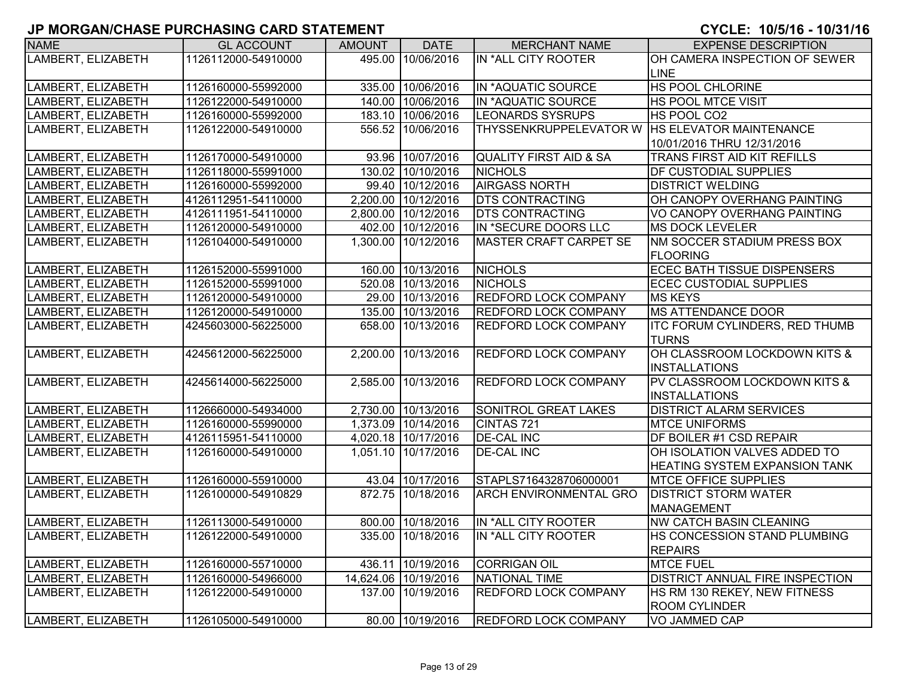| <b>NAME</b>        | <b>GL ACCOUNT</b>   | <b>AMOUNT</b> | <b>DATE</b>          | <b>MERCHANT NAME</b>                             | <b>EXPENSE DESCRIPTION</b>           |
|--------------------|---------------------|---------------|----------------------|--------------------------------------------------|--------------------------------------|
| LAMBERT, ELIZABETH | 1126112000-54910000 |               | 495.00 10/06/2016    | IN *ALL CITY ROOTER                              | OH CAMERA INSPECTION OF SEWER        |
|                    |                     |               |                      |                                                  | LINE                                 |
| LAMBERT, ELIZABETH | 1126160000-55992000 |               | 335.00 10/06/2016    | IN *AQUATIC SOURCE                               | HS POOL CHLORINE                     |
| LAMBERT, ELIZABETH | 1126122000-54910000 |               | 140.00 10/06/2016    | IN *AQUATIC SOURCE                               | HS POOL MTCE VISIT                   |
| LAMBERT, ELIZABETH | 1126160000-55992000 |               | 183.10 10/06/2016    | <b>LEONARDS SYSRUPS</b>                          | HS POOL CO2                          |
| LAMBERT, ELIZABETH | 1126122000-54910000 |               | 556.52 10/06/2016    | THYSSENKRUPPELEVATOR W   HS ELEVATOR MAINTENANCE |                                      |
|                    |                     |               |                      |                                                  | 10/01/2016 THRU 12/31/2016           |
| LAMBERT, ELIZABETH | 1126170000-54910000 |               | 93.96 10/07/2016     | <b>QUALITY FIRST AID &amp; SA</b>                | TRANS FIRST AID KIT REFILLS          |
| LAMBERT, ELIZABETH | 1126118000-55991000 |               | 130.02 10/10/2016    | <b>NICHOLS</b>                                   | DF CUSTODIAL SUPPLIES                |
| LAMBERT, ELIZABETH | 1126160000-55992000 |               | 99.40 10/12/2016     | <b>AIRGASS NORTH</b>                             | <b>DISTRICT WELDING</b>              |
| LAMBERT, ELIZABETH | 4126112951-54110000 |               | 2,200.00 10/12/2016  | <b>DTS CONTRACTING</b>                           | OH CANOPY OVERHANG PAINTING          |
| LAMBERT, ELIZABETH | 4126111951-54110000 |               | 2,800.00 10/12/2016  | <b>DTS CONTRACTING</b>                           | VO CANOPY OVERHANG PAINTING          |
| LAMBERT, ELIZABETH | 1126120000-54910000 |               | 402.00 10/12/2016    | IN *SECURE DOORS LLC                             | <b>MS DOCK LEVELER</b>               |
| LAMBERT, ELIZABETH | 1126104000-54910000 |               | 1,300.00 10/12/2016  | MASTER CRAFT CARPET SE                           | NM SOCCER STADIUM PRESS BOX          |
|                    |                     |               |                      |                                                  | <b>FLOORING</b>                      |
| LAMBERT, ELIZABETH | 1126152000-55991000 |               | 160.00 10/13/2016    | <b>NICHOLS</b>                                   | <b>ECEC BATH TISSUE DISPENSERS</b>   |
| LAMBERT, ELIZABETH | 1126152000-55991000 |               | 520.08 10/13/2016    | <b>NICHOLS</b>                                   | <b>ECEC CUSTODIAL SUPPLIES</b>       |
| LAMBERT, ELIZABETH | 1126120000-54910000 |               | 29.00 10/13/2016     | <b>REDFORD LOCK COMPANY</b>                      | <b>MS KEYS</b>                       |
| LAMBERT, ELIZABETH | 1126120000-54910000 |               | 135.00 10/13/2016    | <b>REDFORD LOCK COMPANY</b>                      | <b>MS ATTENDANCE DOOR</b>            |
| LAMBERT, ELIZABETH | 4245603000-56225000 |               | 658.00 10/13/2016    | <b>REDFORD LOCK COMPANY</b>                      | ITC FORUM CYLINDERS, RED THUMB       |
|                    |                     |               |                      |                                                  | <b>TURNS</b>                         |
| LAMBERT, ELIZABETH | 4245612000-56225000 |               | 2,200.00 10/13/2016  | REDFORD LOCK COMPANY                             | OH CLASSROOM LOCKDOWN KITS &         |
|                    |                     |               |                      |                                                  | <b>INSTALLATIONS</b>                 |
| LAMBERT, ELIZABETH | 4245614000-56225000 |               | 2,585.00 10/13/2016  | <b>REDFORD LOCK COMPANY</b>                      | PV CLASSROOM LOCKDOWN KITS &         |
|                    |                     |               |                      |                                                  | <b>INSTALLATIONS</b>                 |
| LAMBERT, ELIZABETH | 1126660000-54934000 |               | 2,730.00 10/13/2016  | <b>SONITROL GREAT LAKES</b>                      | <b>DISTRICT ALARM SERVICES</b>       |
| LAMBERT, ELIZABETH | 1126160000-55990000 |               | 1,373.09 10/14/2016  | CINTAS 721                                       | <b>MTCE UNIFORMS</b>                 |
| LAMBERT, ELIZABETH | 4126115951-54110000 |               | 4,020.18 10/17/2016  | <b>DE-CAL INC</b>                                | DF BOILER #1 CSD REPAIR              |
| LAMBERT, ELIZABETH | 1126160000-54910000 |               | 1,051.10 10/17/2016  | <b>DE-CAL INC</b>                                | OH ISOLATION VALVES ADDED TO         |
|                    |                     |               |                      |                                                  | <b>HEATING SYSTEM EXPANSION TANK</b> |
| LAMBERT, ELIZABETH | 1126160000-55910000 |               | 43.04 10/17/2016     | STAPLS7164328706000001                           | <b>MTCE OFFICE SUPPLIES</b>          |
| LAMBERT, ELIZABETH | 1126100000-54910829 |               | 872.75 10/18/2016    | <b>ARCH ENVIRONMENTAL GRO</b>                    | <b>DISTRICT STORM WATER</b>          |
|                    |                     |               |                      |                                                  | <b>MANAGEMENT</b>                    |
| LAMBERT, ELIZABETH | 1126113000-54910000 |               | 800.00 10/18/2016    | IN *ALL CITY ROOTER                              | <b>NW CATCH BASIN CLEANING</b>       |
| LAMBERT, ELIZABETH | 1126122000-54910000 |               | 335.00 10/18/2016    | IN *ALL CITY ROOTER                              | HS CONCESSION STAND PLUMBING         |
|                    |                     |               |                      |                                                  | <b>REPAIRS</b>                       |
| LAMBERT, ELIZABETH | 1126160000-55710000 |               | 436.11 10/19/2016    | <b>CORRIGAN OIL</b>                              | <b>MTCE FUEL</b>                     |
| LAMBERT, ELIZABETH | 1126160000-54966000 |               | 14,624.06 10/19/2016 | NATIONAL TIME                                    | DISTRICT ANNUAL FIRE INSPECTION      |
| LAMBERT, ELIZABETH | 1126122000-54910000 |               | 137.00 10/19/2016    | <b>REDFORD LOCK COMPANY</b>                      | HS RM 130 REKEY, NEW FITNESS         |
|                    |                     |               |                      |                                                  | <b>ROOM CYLINDER</b>                 |
| LAMBERT, ELIZABETH | 1126105000-54910000 |               | 80.00 10/19/2016     | <b>REDFORD LOCK COMPANY</b>                      | VO JAMMED CAP                        |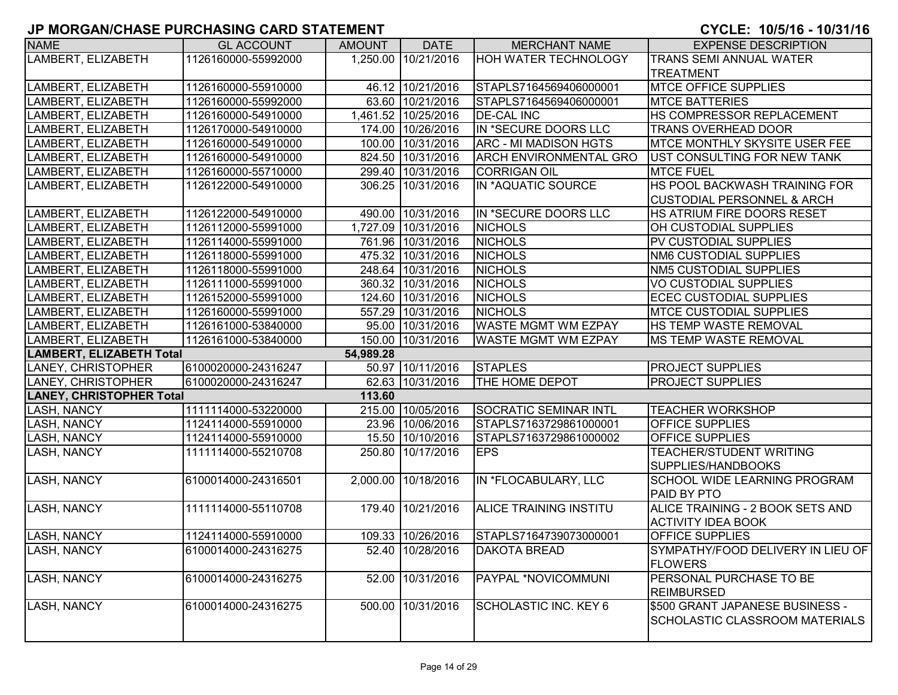| <b>NAME</b>                     | <b>GL ACCOUNT</b>   | <b>AMOUNT</b> | <b>DATE</b>         | <b>MERCHANT NAME</b>          | <b>EXPENSE DESCRIPTION</b>                          |
|---------------------------------|---------------------|---------------|---------------------|-------------------------------|-----------------------------------------------------|
| LAMBERT, ELIZABETH              | 1126160000-55992000 |               | 1,250.00 10/21/2016 | <b>HOH WATER TECHNOLOGY</b>   | <b>TRANS SEMI ANNUAL WATER</b>                      |
|                                 |                     |               |                     |                               | <b>TREATMENT</b>                                    |
| LAMBERT, ELIZABETH              | 1126160000-55910000 |               | 46.12 10/21/2016    | STAPLS7164569406000001        | <b>MTCE OFFICE SUPPLIES</b>                         |
| LAMBERT, ELIZABETH              | 1126160000-55992000 |               | 63.60 10/21/2016    | STAPLS7164569406000001        | <b>MTCE BATTERIES</b>                               |
| LAMBERT, ELIZABETH              | 1126160000-54910000 |               | 1,461.52 10/25/2016 | <b>DE-CAL INC</b>             | HS COMPRESSOR REPLACEMENT                           |
| LAMBERT, ELIZABETH              | 1126170000-54910000 |               | 174.00 10/26/2016   | IN *SECURE DOORS LLC          | TRANS OVERHEAD DOOR                                 |
| LAMBERT, ELIZABETH              | 1126160000-54910000 |               | 100.00 10/31/2016   | <b>ARC - MI MADISON HGTS</b>  | MTCE MONTHLY SKYSITE USER FEE                       |
| LAMBERT, ELIZABETH              | 1126160000-54910000 |               | 824.50 10/31/2016   | <b>ARCH ENVIRONMENTAL GRO</b> | UST CONSULTING FOR NEW TANK                         |
| LAMBERT, ELIZABETH              | 1126160000-55710000 |               | 299.40 10/31/2016   | <b>CORRIGAN OIL</b>           | <b>MTCE FUEL</b>                                    |
| LAMBERT, ELIZABETH              | 1126122000-54910000 |               | 306.25 10/31/2016   | IN *AQUATIC SOURCE            | HS POOL BACKWASH TRAINING FOR                       |
|                                 |                     |               |                     |                               | <b>CUSTODIAL PERSONNEL &amp; ARCH</b>               |
| LAMBERT, ELIZABETH              | 1126122000-54910000 |               | 490.00 10/31/2016   | IN *SECURE DOORS LLC          | HS ATRIUM FIRE DOORS RESET                          |
| LAMBERT, ELIZABETH              | 1126112000-55991000 |               | 1,727.09 10/31/2016 | <b>NICHOLS</b>                | OH CUSTODIAL SUPPLIES                               |
| LAMBERT, ELIZABETH              | 1126114000-55991000 |               | 761.96 10/31/2016   | <b>NICHOLS</b>                | PV CUSTODIAL SUPPLIES                               |
| LAMBERT, ELIZABETH              | 1126118000-55991000 |               | 475.32 10/31/2016   | <b>NICHOLS</b>                | NM6 CUSTODIAL SUPPLIES                              |
| LAMBERT, ELIZABETH              | 1126118000-55991000 |               | 248.64 10/31/2016   | <b>NICHOLS</b>                | NM5 CUSTODIAL SUPPLIES                              |
| LAMBERT, ELIZABETH              | 1126111000-55991000 |               | 360.32 10/31/2016   | <b>NICHOLS</b>                | <b>VO CUSTODIAL SUPPLIES</b>                        |
| LAMBERT, ELIZABETH              | 1126152000-55991000 |               | 124.60 10/31/2016   | <b>NICHOLS</b>                | <b>ECEC CUSTODIAL SUPPLIES</b>                      |
| LAMBERT, ELIZABETH              | 1126160000-55991000 |               | 557.29 10/31/2016   | <b>NICHOLS</b>                | <b>MTCE CUSTODIAL SUPPLIES</b>                      |
| LAMBERT, ELIZABETH              | 1126161000-53840000 |               | 95.00 10/31/2016    | <b>WASTE MGMT WM EZPAY</b>    | HS TEMP WASTE REMOVAL                               |
| LAMBERT, ELIZABETH              | 1126161000-53840000 |               | 150.00 10/31/2016   | <b>WASTE MGMT WM EZPAY</b>    | IMS TEMP WASTE REMOVAL                              |
| <b>LAMBERT, ELIZABETH Total</b> |                     | 54,989.28     |                     |                               |                                                     |
| LANEY, CHRISTOPHER              | 6100020000-24316247 |               | 50.97 10/11/2016    | <b>STAPLES</b>                | PROJECT SUPPLIES                                    |
| LANEY, CHRISTOPHER              | 6100020000-24316247 |               | 62.63 10/31/2016    | THE HOME DEPOT                | PROJECT SUPPLIES                                    |
| <b>LANEY, CHRISTOPHER Total</b> |                     | 113.60        |                     |                               |                                                     |
| <b>LASH, NANCY</b>              | 1111114000-53220000 |               | 215.00 10/05/2016   | <b>SOCRATIC SEMINAR INTL</b>  | <b>TEACHER WORKSHOP</b>                             |
| <b>LASH, NANCY</b>              | 1124114000-55910000 |               | 23.96 10/06/2016    | STAPLS7163729861000001        | OFFICE SUPPLIES                                     |
| <b>LASH, NANCY</b>              | 1124114000-55910000 |               | 15.50 10/10/2016    | STAPLS7163729861000002        | OFFICE SUPPLIES                                     |
| <b>LASH, NANCY</b>              | 1111114000-55210708 | 250.80        | 10/17/2016          | <b>EPS</b>                    | TEACHER/STUDENT WRITING                             |
|                                 |                     |               |                     |                               | SUPPLIES/HANDBOOKS                                  |
| LASH, NANCY                     | 6100014000-24316501 |               | 2,000.00 10/18/2016 | IN *FLOCABULARY, LLC          | SCHOOL WIDE LEARNING PROGRAM                        |
|                                 |                     |               |                     |                               | PAID BY PTO                                         |
| <b>LASH, NANCY</b>              | 1111114000-55110708 |               | 179.40 10/21/2016   | ALICE TRAINING INSTITU        | ALICE TRAINING - 2 BOOK SETS AND                    |
|                                 |                     |               |                     |                               | <b>ACTIVITY IDEA BOOK</b>                           |
| <b>LASH, NANCY</b>              | 1124114000-55910000 |               | 109.33 10/26/2016   | STAPLS7164739073000001        | <b>OFFICE SUPPLIES</b>                              |
| <b>LASH, NANCY</b>              | 6100014000-24316275 |               | 52.40 10/28/2016    | <b>DAKOTA BREAD</b>           | SYMPATHY/FOOD DELIVERY IN LIEU OF<br><b>FLOWERS</b> |
| <b>LASH, NANCY</b>              | 6100014000-24316275 |               | 52.00 10/31/2016    | PAYPAL *NOVICOMMUNI           | PERSONAL PURCHASE TO BE                             |
|                                 |                     |               |                     |                               | <b>REIMBURSED</b>                                   |
| <b>LASH, NANCY</b>              | 6100014000-24316275 |               | 500.00 10/31/2016   | <b>SCHOLASTIC INC. KEY 6</b>  | \$500 GRANT JAPANESE BUSINESS -                     |
|                                 |                     |               |                     |                               | SCHOLASTIC CLASSROOM MATERIALS                      |
|                                 |                     |               |                     |                               |                                                     |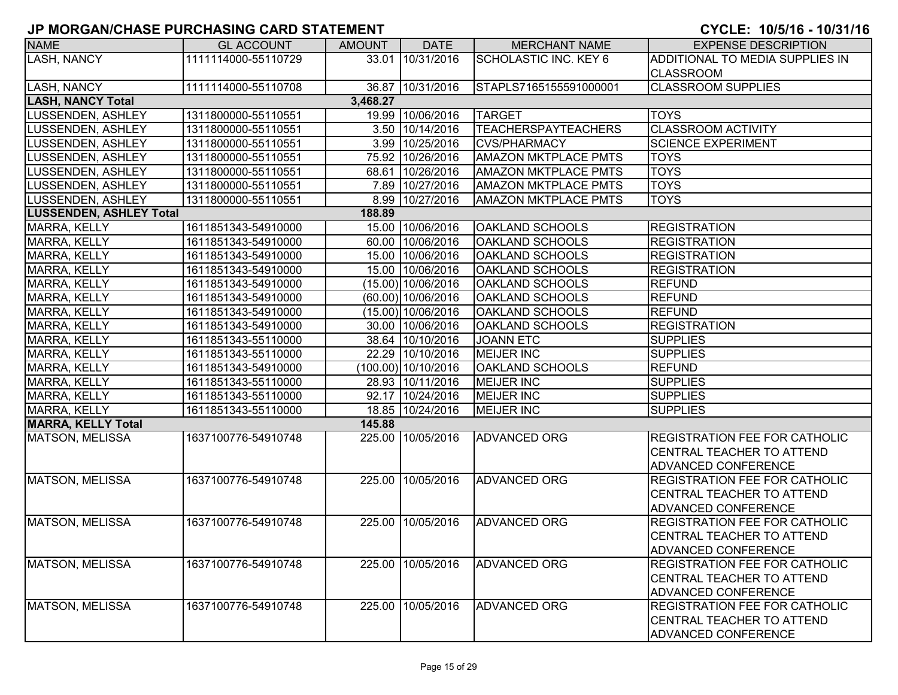| <b>NAME</b>                    | <b>GL ACCOUNT</b>   | <b>AMOUNT</b> | <b>DATE</b>          | <b>MERCHANT NAME</b>         | <b>EXPENSE DESCRIPTION</b>            |
|--------------------------------|---------------------|---------------|----------------------|------------------------------|---------------------------------------|
| <b>LASH, NANCY</b>             | 1111114000-55110729 |               | 33.01 10/31/2016     | <b>SCHOLASTIC INC. KEY 6</b> | ADDITIONAL TO MEDIA SUPPLIES IN       |
|                                |                     |               |                      |                              | <b>CLASSROOM</b>                      |
| LASH, NANCY                    | 1111114000-55110708 |               | 36.87 10/31/2016     | STAPLS7165155591000001       | <b>CLASSROOM SUPPLIES</b>             |
| <b>LASH, NANCY Total</b>       |                     | 3,468.27      |                      |                              |                                       |
| <b>LUSSENDEN, ASHLEY</b>       | 1311800000-55110551 |               | 19.99 10/06/2016     | <b>TARGET</b>                | <b>TOYS</b>                           |
| LUSSENDEN, ASHLEY              | 1311800000-55110551 |               | 3.50 10/14/2016      | <b>TEACHERSPAYTEACHERS</b>   | <b>CLASSROOM ACTIVITY</b>             |
| LUSSENDEN, ASHLEY              | 1311800000-55110551 |               | 3.99 10/25/2016      | <b>CVS/PHARMACY</b>          | <b>SCIENCE EXPERIMENT</b>             |
| LUSSENDEN, ASHLEY              | 1311800000-55110551 |               | 75.92 10/26/2016     | <b>AMAZON MKTPLACE PMTS</b>  | <b>TOYS</b>                           |
| LUSSENDEN, ASHLEY              | 1311800000-55110551 |               | 68.61 10/26/2016     | <b>AMAZON MKTPLACE PMTS</b>  | <b>TOYS</b>                           |
| LUSSENDEN, ASHLEY              | 1311800000-55110551 |               | 7.89 10/27/2016      | <b>AMAZON MKTPLACE PMTS</b>  | <b>TOYS</b>                           |
| LUSSENDEN, ASHLEY              | 1311800000-55110551 |               | 8.99 10/27/2016      | <b>AMAZON MKTPLACE PMTS</b>  | <b>TOYS</b>                           |
| <b>LUSSENDEN, ASHLEY Total</b> |                     | 188.89        |                      |                              |                                       |
| <b>MARRA, KELLY</b>            | 1611851343-54910000 |               | 15.00 10/06/2016     | <b>OAKLAND SCHOOLS</b>       | <b>REGISTRATION</b>                   |
| <b>MARRA, KELLY</b>            | 1611851343-54910000 |               | 60.00 10/06/2016     | <b>OAKLAND SCHOOLS</b>       | <b>REGISTRATION</b>                   |
| <b>MARRA, KELLY</b>            | 1611851343-54910000 |               | 15.00 10/06/2016     | <b>OAKLAND SCHOOLS</b>       | <b>REGISTRATION</b>                   |
| MARRA, KELLY                   | 1611851343-54910000 |               | 15.00 10/06/2016     | <b>OAKLAND SCHOOLS</b>       | <b>REGISTRATION</b>                   |
| MARRA, KELLY                   | 1611851343-54910000 |               | $(15.00)$ 10/06/2016 | <b>OAKLAND SCHOOLS</b>       | <b>REFUND</b>                         |
| <b>MARRA, KELLY</b>            | 1611851343-54910000 |               | (60.00) 10/06/2016   | <b>OAKLAND SCHOOLS</b>       | <b>REFUND</b>                         |
| MARRA, KELLY                   | 1611851343-54910000 |               | $(15.00)$ 10/06/2016 | <b>OAKLAND SCHOOLS</b>       | <b>REFUND</b>                         |
| MARRA, KELLY                   | 1611851343-54910000 |               | 30.00 10/06/2016     | <b>OAKLAND SCHOOLS</b>       | <b>REGISTRATION</b>                   |
| MARRA, KELLY                   | 1611851343-55110000 |               | 38.64 10/10/2016     | <b>JOANN ETC</b>             | <b>SUPPLIES</b>                       |
| MARRA, KELLY                   | 1611851343-55110000 |               | 22.29 10/10/2016     | <b>MEIJER INC</b>            | <b>SUPPLIES</b>                       |
| MARRA, KELLY                   | 1611851343-54910000 |               | (100.00) 10/10/2016  | <b>OAKLAND SCHOOLS</b>       | <b>REFUND</b>                         |
| MARRA, KELLY                   | 1611851343-55110000 |               | 28.93 10/11/2016     | <b>MEIJER INC</b>            | <b>SUPPLIES</b>                       |
| MARRA, KELLY                   | 1611851343-55110000 |               | 92.17 10/24/2016     | <b>MEIJER INC</b>            | <b>SUPPLIES</b>                       |
| <b>MARRA, KELLY</b>            | 1611851343-55110000 |               | 18.85 10/24/2016     | <b>MEIJER INC</b>            | <b>SUPPLIES</b>                       |
| <b>MARRA, KELLY Total</b>      |                     | 145.88        |                      |                              |                                       |
| <b>MATSON, MELISSA</b>         | 1637100776-54910748 |               | 225.00 10/05/2016    | <b>ADVANCED ORG</b>          | <b>REGISTRATION FEE FOR CATHOLIC</b>  |
|                                |                     |               |                      |                              | CENTRAL TEACHER TO ATTEND             |
|                                |                     |               |                      |                              | <b>ADVANCED CONFERENCE</b>            |
| <b>MATSON, MELISSA</b>         | 1637100776-54910748 |               | 225.00 10/05/2016    | <b>ADVANCED ORG</b>          | <b>REGISTRATION FEE FOR CATHOLIC</b>  |
|                                |                     |               |                      |                              | <b>CENTRAL TEACHER TO ATTEND</b>      |
|                                |                     |               |                      |                              | <b>ADVANCED CONFERENCE</b>            |
| <b>MATSON, MELISSA</b>         | 1637100776-54910748 |               | 225.00 10/05/2016    | <b>ADVANCED ORG</b>          | <b>REGISTRATION FEE FOR CATHOLIC</b>  |
|                                |                     |               |                      |                              | <b>CENTRAL TEACHER TO ATTEND</b>      |
|                                |                     |               |                      |                              | <b>ADVANCED CONFERENCE</b>            |
| <b>MATSON, MELISSA</b>         | 1637100776-54910748 |               | 225.00 10/05/2016    | <b>ADVANCED ORG</b>          | <b>IREGISTRATION FEE FOR CATHOLIC</b> |
|                                |                     |               |                      |                              | <b>CENTRAL TEACHER TO ATTEND</b>      |
|                                |                     |               |                      |                              | <b>ADVANCED CONFERENCE</b>            |
| <b>MATSON, MELISSA</b>         | 1637100776-54910748 |               | 225.00 10/05/2016    | <b>ADVANCED ORG</b>          | <b>REGISTRATION FEE FOR CATHOLIC</b>  |
|                                |                     |               |                      |                              | <b>CENTRAL TEACHER TO ATTEND</b>      |
|                                |                     |               |                      |                              | <b>ADVANCED CONFERENCE</b>            |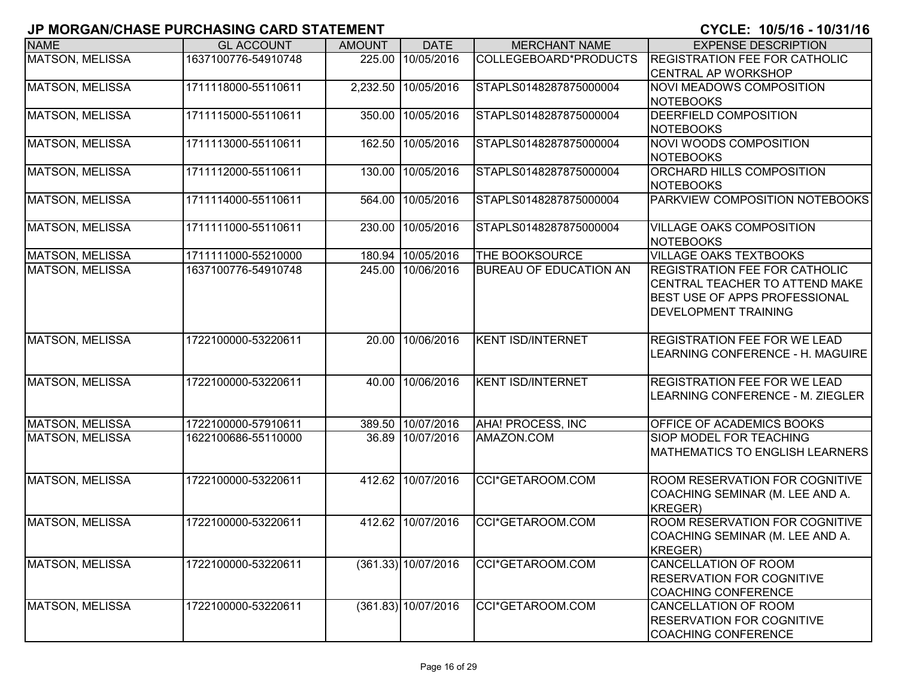| <b>NAME</b>            | <b>GL ACCOUNT</b>   | <b>AMOUNT</b> | <b>DATE</b>           | <b>MERCHANT NAME</b>          | <b>EXPENSE DESCRIPTION</b>                                      |
|------------------------|---------------------|---------------|-----------------------|-------------------------------|-----------------------------------------------------------------|
| <b>MATSON, MELISSA</b> | 1637100776-54910748 |               | 225.00 10/05/2016     | COLLEGEBOARD*PRODUCTS         | <b>REGISTRATION FEE FOR CATHOLIC</b>                            |
|                        |                     |               |                       |                               | <b>CENTRAL AP WORKSHOP</b>                                      |
| <b>MATSON, MELISSA</b> | 1711118000-55110611 |               | 2,232.50 10/05/2016   | STAPLS0148287875000004        | <b>NOVI MEADOWS COMPOSITION</b>                                 |
|                        |                     |               |                       |                               | NOTEBOOKS                                                       |
| <b>MATSON, MELISSA</b> | 1711115000-55110611 |               | 350.00 10/05/2016     | STAPLS0148287875000004        | DEERFIELD COMPOSITION                                           |
|                        |                     |               |                       |                               | <b>NOTEBOOKS</b>                                                |
| MATSON, MELISSA        | 1711113000-55110611 |               | 162.50 10/05/2016     | STAPLS0148287875000004        | <b>NOVI WOODS COMPOSITION</b>                                   |
|                        |                     |               |                       |                               | <b>NOTEBOOKS</b>                                                |
| MATSON, MELISSA        | 1711112000-55110611 |               | 130.00 10/05/2016     | STAPLS0148287875000004        | ORCHARD HILLS COMPOSITION                                       |
| MATSON, MELISSA        | 1711114000-55110611 |               | 564.00 10/05/2016     | STAPLS0148287875000004        | <b>NOTEBOOKS</b><br>PARKVIEW COMPOSITION NOTEBOOKS              |
|                        |                     |               |                       |                               |                                                                 |
| MATSON, MELISSA        | 1711111000-55110611 | 230.00        | 10/05/2016            | STAPLS0148287875000004        | <b>VILLAGE OAKS COMPOSITION</b>                                 |
|                        |                     |               |                       |                               | <b>NOTEBOOKS</b>                                                |
| <b>MATSON, MELISSA</b> | 1711111000-55210000 |               | 180.94 10/05/2016     | THE BOOKSOURCE                | <b>VILLAGE OAKS TEXTBOOKS</b>                                   |
| <b>MATSON, MELISSA</b> | 1637100776-54910748 |               | 245.00 10/06/2016     | <b>BUREAU OF EDUCATION AN</b> | <b>IREGISTRATION FEE FOR CATHOLIC</b>                           |
|                        |                     |               |                       |                               | <b>CENTRAL TEACHER TO ATTEND MAKE</b>                           |
|                        |                     |               |                       |                               | BEST USE OF APPS PROFESSIONAL                                   |
|                        |                     |               |                       |                               | <b>DEVELOPMENT TRAINING</b>                                     |
| <b>MATSON, MELISSA</b> | 1722100000-53220611 |               | 20.00 10/06/2016      | <b>KENT ISD/INTERNET</b>      | <b>REGISTRATION FEE FOR WE LEAD</b>                             |
|                        |                     |               |                       |                               | LEARNING CONFERENCE - H. MAGUIRE                                |
|                        |                     |               |                       |                               |                                                                 |
| <b>MATSON, MELISSA</b> | 1722100000-53220611 |               | 40.00 10/06/2016      | <b>KENT ISD/INTERNET</b>      | <b>REGISTRATION FEE FOR WE LEAD</b>                             |
|                        |                     |               |                       |                               | LEARNING CONFERENCE - M. ZIEGLER                                |
|                        |                     |               |                       |                               |                                                                 |
| <b>MATSON, MELISSA</b> | 1722100000-57910611 |               | 389.50 10/07/2016     | AHA! PROCESS, INC             | OFFICE OF ACADEMICS BOOKS                                       |
| <b>MATSON, MELISSA</b> | 1622100686-55110000 |               | 36.89 10/07/2016      | AMAZON.COM                    | SIOP MODEL FOR TEACHING                                         |
|                        |                     |               |                       |                               | <b>MATHEMATICS TO ENGLISH LEARNERS</b>                          |
|                        |                     |               |                       |                               |                                                                 |
| <b>MATSON, MELISSA</b> | 1722100000-53220611 |               | 412.62 10/07/2016     | CCI*GETAROOM.COM              | <b>ROOM RESERVATION FOR COGNITIVE</b>                           |
|                        |                     |               |                       |                               | COACHING SEMINAR (M. LEE AND A.                                 |
|                        |                     |               |                       |                               | KREGER)                                                         |
| <b>MATSON, MELISSA</b> | 1722100000-53220611 |               | 412.62 10/07/2016     | CCI*GETAROOM.COM              | <b>ROOM RESERVATION FOR COGNITIVE</b>                           |
|                        |                     |               |                       |                               | COACHING SEMINAR (M. LEE AND A.                                 |
|                        |                     |               |                       |                               | KREGER)                                                         |
| <b>MATSON, MELISSA</b> | 1722100000-53220611 |               | $(361.33)$ 10/07/2016 | CCI*GETAROOM.COM              | <b>CANCELLATION OF ROOM</b><br><b>RESERVATION FOR COGNITIVE</b> |
|                        |                     |               |                       |                               |                                                                 |
| MATSON, MELISSA        | 1722100000-53220611 |               | $(361.83)$ 10/07/2016 | CCI*GETAROOM.COM              | <b>COACHING CONFERENCE</b><br><b>CANCELLATION OF ROOM</b>       |
|                        |                     |               |                       |                               | <b>RESERVATION FOR COGNITIVE</b>                                |
|                        |                     |               |                       |                               | <b>COACHING CONFERENCE</b>                                      |
|                        |                     |               |                       |                               |                                                                 |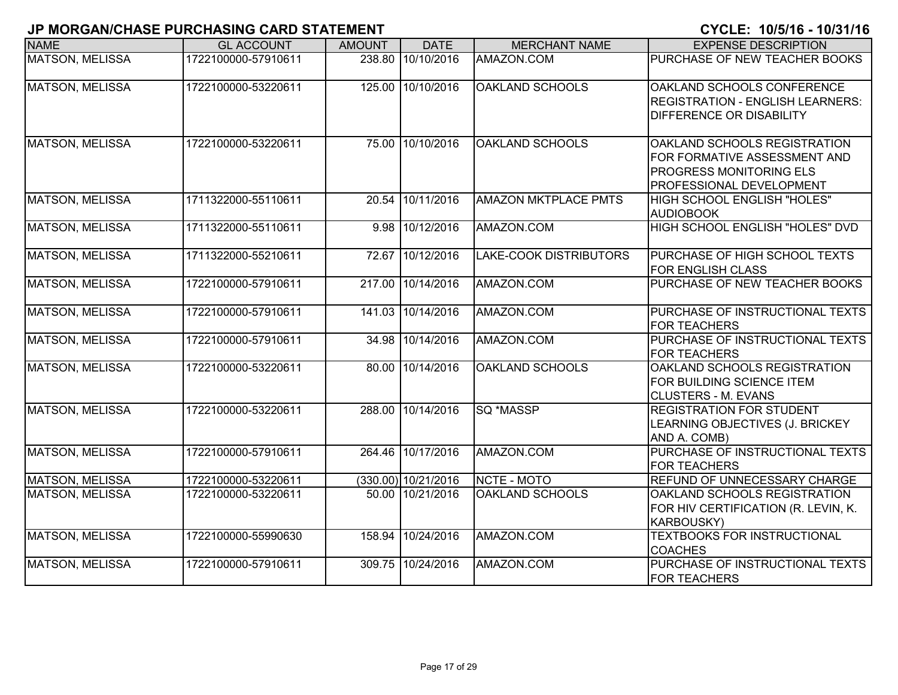| <b>NAME</b>            | <b>GL ACCOUNT</b>   | <b>AMOUNT</b> | <b>DATE</b>         | <b>MERCHANT NAME</b>        | <b>EXPENSE DESCRIPTION</b>                                                                                                 |
|------------------------|---------------------|---------------|---------------------|-----------------------------|----------------------------------------------------------------------------------------------------------------------------|
| <b>MATSON, MELISSA</b> | 1722100000-57910611 | 238.80        | 10/10/2016          | AMAZON.COM                  | PURCHASE OF NEW TEACHER BOOKS                                                                                              |
| <b>MATSON, MELISSA</b> | 1722100000-53220611 |               | 125.00 10/10/2016   | <b>OAKLAND SCHOOLS</b>      | OAKLAND SCHOOLS CONFERENCE<br><b>REGISTRATION - ENGLISH LEARNERS:</b><br><b>DIFFERENCE OR DISABILITY</b>                   |
| <b>MATSON, MELISSA</b> | 1722100000-53220611 | 75.00         | 10/10/2016          | <b>OAKLAND SCHOOLS</b>      | OAKLAND SCHOOLS REGISTRATION<br>FOR FORMATIVE ASSESSMENT AND<br><b>PROGRESS MONITORING ELS</b><br>PROFESSIONAL DEVELOPMENT |
| <b>MATSON, MELISSA</b> | 1711322000-55110611 | 20.54         | 10/11/2016          | <b>AMAZON MKTPLACE PMTS</b> | HIGH SCHOOL ENGLISH "HOLES"<br><b>AUDIOBOOK</b>                                                                            |
| <b>MATSON, MELISSA</b> | 1711322000-55110611 | 9.98          | 10/12/2016          | AMAZON.COM                  | HIGH SCHOOL ENGLISH "HOLES" DVD                                                                                            |
| <b>MATSON, MELISSA</b> | 1711322000-55210611 | 72.67         | 10/12/2016          | LAKE-COOK DISTRIBUTORS      | PURCHASE OF HIGH SCHOOL TEXTS<br><b>FOR ENGLISH CLASS</b>                                                                  |
| <b>MATSON, MELISSA</b> | 1722100000-57910611 | 217.00        | 10/14/2016          | AMAZON.COM                  | PURCHASE OF NEW TEACHER BOOKS                                                                                              |
| <b>MATSON, MELISSA</b> | 1722100000-57910611 | 141.03        | 10/14/2016          | AMAZON.COM                  | PURCHASE OF INSTRUCTIONAL TEXTS<br><b>FOR TEACHERS</b>                                                                     |
| <b>MATSON, MELISSA</b> | 1722100000-57910611 | 34.98         | 10/14/2016          | AMAZON.COM                  | PURCHASE OF INSTRUCTIONAL TEXTS<br><b>FOR TEACHERS</b>                                                                     |
| <b>MATSON, MELISSA</b> | 1722100000-53220611 |               | 80.00 10/14/2016    | <b>OAKLAND SCHOOLS</b>      | OAKLAND SCHOOLS REGISTRATION<br>FOR BUILDING SCIENCE ITEM<br><b>CLUSTERS - M. EVANS</b>                                    |
| <b>MATSON, MELISSA</b> | 1722100000-53220611 |               | 288.00 10/14/2016   | <b>SQ *MASSP</b>            | <b>REGISTRATION FOR STUDENT</b><br>LEARNING OBJECTIVES (J. BRICKEY<br>AND A. COMB)                                         |
| <b>MATSON, MELISSA</b> | 1722100000-57910611 |               | 264.46 10/17/2016   | AMAZON.COM                  | PURCHASE OF INSTRUCTIONAL TEXTS<br><b>FOR TEACHERS</b>                                                                     |
| <b>MATSON, MELISSA</b> | 1722100000-53220611 |               | (330.00) 10/21/2016 | NCTE - MOTO                 | REFUND OF UNNECESSARY CHARGE                                                                                               |
| MATSON, MELISSA        | 1722100000-53220611 |               | 50.00 10/21/2016    | OAKLAND SCHOOLS             | OAKLAND SCHOOLS REGISTRATION<br>FOR HIV CERTIFICATION (R. LEVIN, K.<br><b>KARBOUSKY)</b>                                   |
| MATSON, MELISSA        | 1722100000-55990630 | 158.94        | 10/24/2016          | AMAZON.COM                  | <b>TEXTBOOKS FOR INSTRUCTIONAL</b><br><b>COACHES</b>                                                                       |
| <b>MATSON, MELISSA</b> | 1722100000-57910611 | 309.75        | 10/24/2016          | AMAZON.COM                  | PURCHASE OF INSTRUCTIONAL TEXTS<br><b>FOR TEACHERS</b>                                                                     |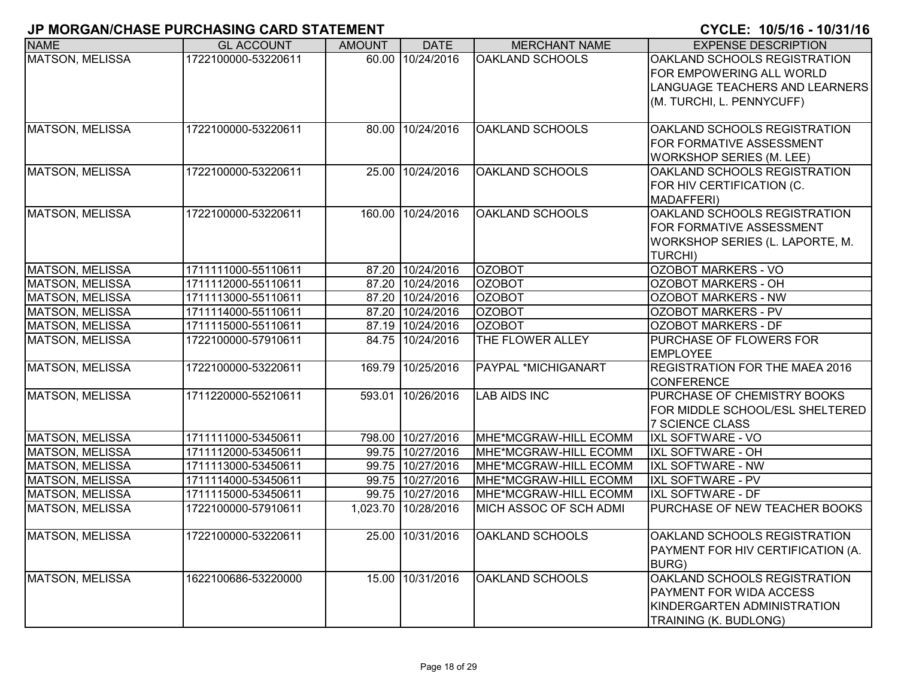| <b>NAME</b>            | <b>GL ACCOUNT</b>   | <b>AMOUNT</b> | <b>DATE</b>         | <b>MERCHANT NAME</b>   | <b>EXPENSE DESCRIPTION</b>        |
|------------------------|---------------------|---------------|---------------------|------------------------|-----------------------------------|
| <b>MATSON, MELISSA</b> | 1722100000-53220611 |               | 60.00 10/24/2016    | <b>OAKLAND SCHOOLS</b> | OAKLAND SCHOOLS REGISTRATION      |
|                        |                     |               |                     |                        | FOR EMPOWERING ALL WORLD          |
|                        |                     |               |                     |                        | LANGUAGE TEACHERS AND LEARNERS    |
|                        |                     |               |                     |                        | (M. TURCHI, L. PENNYCUFF)         |
|                        |                     |               |                     |                        |                                   |
| <b>MATSON, MELISSA</b> | 1722100000-53220611 |               | 80.00 10/24/2016    | <b>OAKLAND SCHOOLS</b> | OAKLAND SCHOOLS REGISTRATION      |
|                        |                     |               |                     |                        | FOR FORMATIVE ASSESSMENT          |
|                        |                     |               |                     |                        | <b>WORKSHOP SERIES (M. LEE)</b>   |
| <b>MATSON, MELISSA</b> | 1722100000-53220611 |               | 25.00 10/24/2016    | OAKLAND SCHOOLS        | OAKLAND SCHOOLS REGISTRATION      |
|                        |                     |               |                     |                        | FOR HIV CERTIFICATION (C.         |
|                        |                     |               |                     |                        | MADAFFERI)                        |
| <b>MATSON, MELISSA</b> | 1722100000-53220611 |               | 160.00 10/24/2016   | <b>OAKLAND SCHOOLS</b> | OAKLAND SCHOOLS REGISTRATION      |
|                        |                     |               |                     |                        | FOR FORMATIVE ASSESSMENT          |
|                        |                     |               |                     |                        | WORKSHOP SERIES (L. LAPORTE, M.   |
|                        |                     |               |                     |                        | <b>TURCHI)</b>                    |
| <b>MATSON, MELISSA</b> | 1711111000-55110611 |               | 87.20 10/24/2016    | <b>OZOBOT</b>          | <b>OZOBOT MARKERS - VO</b>        |
| <b>MATSON, MELISSA</b> | 1711112000-55110611 |               | 87.20 10/24/2016    | <b>OZOBOT</b>          | <b>OZOBOT MARKERS - OH</b>        |
| MATSON, MELISSA        | 1711113000-55110611 |               | 87.20 10/24/2016    | <b>OZOBOT</b>          | OZOBOT MARKERS - NW               |
| <b>MATSON, MELISSA</b> | 1711114000-55110611 |               | 87.20 10/24/2016    | <b>OZOBOT</b>          | <b>OZOBOT MARKERS - PV</b>        |
| <b>MATSON, MELISSA</b> | 1711115000-55110611 |               | 87.19 10/24/2016    | <b>OZOBOT</b>          | <b>OZOBOT MARKERS - DF</b>        |
| <b>MATSON, MELISSA</b> | 1722100000-57910611 |               | 84.75 10/24/2016    | THE FLOWER ALLEY       | PURCHASE OF FLOWERS FOR           |
|                        |                     |               |                     |                        | <b>EMPLOYEE</b>                   |
| <b>MATSON, MELISSA</b> | 1722100000-53220611 |               | 169.79 10/25/2016   | PAYPAL *MICHIGANART    | REGISTRATION FOR THE MAEA 2016    |
|                        |                     |               |                     |                        | <b>CONFERENCE</b>                 |
| <b>MATSON, MELISSA</b> | 1711220000-55210611 |               | 593.01 10/26/2016   | <b>LAB AIDS INC</b>    | PURCHASE OF CHEMISTRY BOOKS       |
|                        |                     |               |                     |                        | FOR MIDDLE SCHOOL/ESL SHELTERED   |
|                        |                     |               |                     |                        | <b>7 SCIENCE CLASS</b>            |
| <b>MATSON, MELISSA</b> | 1711111000-53450611 |               | 798.00 10/27/2016   | MHE*MCGRAW-HILL ECOMM  | <b>IXL SOFTWARE - VO</b>          |
| <b>MATSON, MELISSA</b> | 1711112000-53450611 |               | 99.75 10/27/2016    | MHE*MCGRAW-HILL ECOMM  | <b>IXL SOFTWARE - OH</b>          |
| <b>MATSON, MELISSA</b> | 1711113000-53450611 |               | 99.75 10/27/2016    | MHE*MCGRAW-HILL ECOMM  | <b>IXL SOFTWARE - NW</b>          |
| MATSON, MELISSA        | 1711114000-53450611 |               | 99.75 10/27/2016    | MHE*MCGRAW-HILL ECOMM  | <b>IXL SOFTWARE - PV</b>          |
| <b>MATSON, MELISSA</b> | 1711115000-53450611 |               | 99.75 10/27/2016    | MHE*MCGRAW-HILL ECOMM  | IXL SOFTWARE - DF                 |
| <b>MATSON, MELISSA</b> | 1722100000-57910611 |               | 1,023.70 10/28/2016 | MICH ASSOC OF SCH ADMI | PURCHASE OF NEW TEACHER BOOKS     |
|                        |                     |               |                     |                        |                                   |
| <b>MATSON, MELISSA</b> | 1722100000-53220611 |               | 25.00 10/31/2016    | OAKLAND SCHOOLS        | OAKLAND SCHOOLS REGISTRATION      |
|                        |                     |               |                     |                        | PAYMENT FOR HIV CERTIFICATION (A. |
|                        |                     |               |                     |                        | <b>BURG</b> )                     |
| <b>MATSON, MELISSA</b> | 1622100686-53220000 |               | 15.00 10/31/2016    | <b>OAKLAND SCHOOLS</b> | OAKLAND SCHOOLS REGISTRATION      |
|                        |                     |               |                     |                        | PAYMENT FOR WIDA ACCESS           |
|                        |                     |               |                     |                        | KINDERGARTEN ADMINISTRATION       |
|                        |                     |               |                     |                        | TRAINING (K. BUDLONG)             |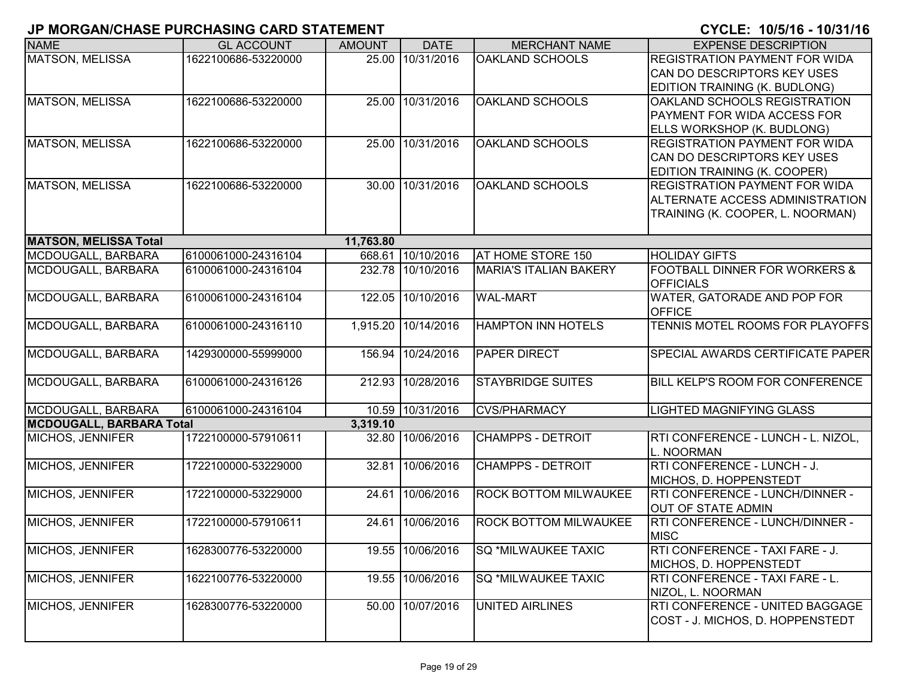| <b>NAME</b>                     | <b>GL ACCOUNT</b>   | <b>AMOUNT</b> | <b>DATE</b>       | <b>MERCHANT NAME</b>          | <b>EXPENSE DESCRIPTION</b>                                |
|---------------------------------|---------------------|---------------|-------------------|-------------------------------|-----------------------------------------------------------|
| <b>MATSON, MELISSA</b>          | 1622100686-53220000 |               | 25.00 10/31/2016  | OAKLAND SCHOOLS               | <b>REGISTRATION PAYMENT FOR WIDA</b>                      |
|                                 |                     |               |                   |                               | CAN DO DESCRIPTORS KEY USES                               |
|                                 |                     |               |                   |                               | EDITION TRAINING (K. BUDLONG)                             |
| <b>MATSON, MELISSA</b>          | 1622100686-53220000 |               | 25.00 10/31/2016  | OAKLAND SCHOOLS               | OAKLAND SCHOOLS REGISTRATION                              |
|                                 |                     |               |                   |                               | PAYMENT FOR WIDA ACCESS FOR                               |
|                                 |                     |               |                   |                               | ELLS WORKSHOP (K. BUDLONG)                                |
| <b>MATSON, MELISSA</b>          | 1622100686-53220000 |               | 25.00 10/31/2016  | <b>OAKLAND SCHOOLS</b>        | <b>REGISTRATION PAYMENT FOR WIDA</b>                      |
|                                 |                     |               |                   |                               | CAN DO DESCRIPTORS KEY USES                               |
|                                 |                     |               |                   |                               | EDITION TRAINING (K. COOPER)                              |
| <b>MATSON, MELISSA</b>          | 1622100686-53220000 |               | 30.00 10/31/2016  | <b>OAKLAND SCHOOLS</b>        | REGISTRATION PAYMENT FOR WIDA                             |
|                                 |                     |               |                   |                               | ALTERNATE ACCESS ADMINISTRATION                           |
|                                 |                     |               |                   |                               | TRAINING (K. COOPER, L. NOORMAN)                          |
| <b>MATSON, MELISSA Total</b>    |                     | 11,763.80     |                   |                               |                                                           |
| MCDOUGALL, BARBARA              | 6100061000-24316104 |               | 668.61 10/10/2016 | AT HOME STORE 150             | <b>HOLIDAY GIFTS</b>                                      |
| MCDOUGALL, BARBARA              | 6100061000-24316104 |               | 232.78 10/10/2016 | <b>MARIA'S ITALIAN BAKERY</b> | FOOTBALL DINNER FOR WORKERS &                             |
|                                 |                     |               |                   |                               | <b>OFFICIALS</b>                                          |
| MCDOUGALL, BARBARA              | 6100061000-24316104 |               | 122.05 10/10/2016 | <b>WAL-MART</b>               | WATER, GATORADE AND POP FOR                               |
|                                 |                     |               |                   | <b>HAMPTON INN HOTELS</b>     | <b>OFFICE</b><br>TENNIS MOTEL ROOMS FOR PLAYOFFS          |
| MCDOUGALL, BARBARA              | 6100061000-24316110 | 1,915.20      | 10/14/2016        |                               |                                                           |
| MCDOUGALL, BARBARA              | 1429300000-55999000 | 156.94        | 10/24/2016        | PAPER DIRECT                  | SPECIAL AWARDS CERTIFICATE PAPER                          |
| MCDOUGALL, BARBARA              | 6100061000-24316126 |               | 212.93 10/28/2016 | <b>STAYBRIDGE SUITES</b>      | BILL KELP'S ROOM FOR CONFERENCE                           |
|                                 |                     |               |                   |                               |                                                           |
| MCDOUGALL, BARBARA              | 6100061000-24316104 |               | 10.59 10/31/2016  | <b>CVS/PHARMACY</b>           | <b>LIGHTED MAGNIFYING GLASS</b>                           |
| <b>MCDOUGALL, BARBARA Total</b> |                     | 3,319.10      |                   |                               |                                                           |
| <b>MICHOS, JENNIFER</b>         | 1722100000-57910611 |               | 32.80 10/06/2016  | <b>CHAMPPS - DETROIT</b>      | RTI CONFERENCE - LUNCH - L. NIZOL,<br>L. NOORMAN          |
| MICHOS, JENNIFER                | 1722100000-53229000 |               | 32.81 10/06/2016  | <b>CHAMPPS - DETROIT</b>      | RTI CONFERENCE - LUNCH - J.                               |
|                                 |                     |               |                   |                               | MICHOS, D. HOPPENSTEDT                                    |
| MICHOS, JENNIFER                | 1722100000-53229000 |               | 24.61 10/06/2016  | ROCK BOTTOM MILWAUKEE         | RTI CONFERENCE - LUNCH/DINNER -                           |
|                                 |                     |               |                   |                               | <b>OUT OF STATE ADMIN</b>                                 |
| MICHOS, JENNIFER                | 1722100000-57910611 |               | 24.61 10/06/2016  | ROCK BOTTOM MILWAUKEE         | RTI CONFERENCE - LUNCH/DINNER -                           |
|                                 |                     |               |                   |                               | <b>MISC</b>                                               |
| MICHOS, JENNIFER                | 1628300776-53220000 |               | 19.55 10/06/2016  | <b>SQ *MILWAUKEE TAXIC</b>    | RTI CONFERENCE - TAXI FARE - J.<br>MICHOS, D. HOPPENSTEDT |
| <b>MICHOS, JENNIFER</b>         | 1622100776-53220000 |               | 19.55 10/06/2016  | SQ *MILWAUKEE TAXIC           | RTI CONFERENCE - TAXI FARE - L.                           |
|                                 |                     |               |                   |                               | NIZOL, L. NOORMAN                                         |
| MICHOS, JENNIFER                | 1628300776-53220000 |               | 50.00 10/07/2016  | UNITED AIRLINES               | RTI CONFERENCE - UNITED BAGGAGE                           |
|                                 |                     |               |                   |                               | COST - J. MICHOS, D. HOPPENSTEDT                          |
|                                 |                     |               |                   |                               |                                                           |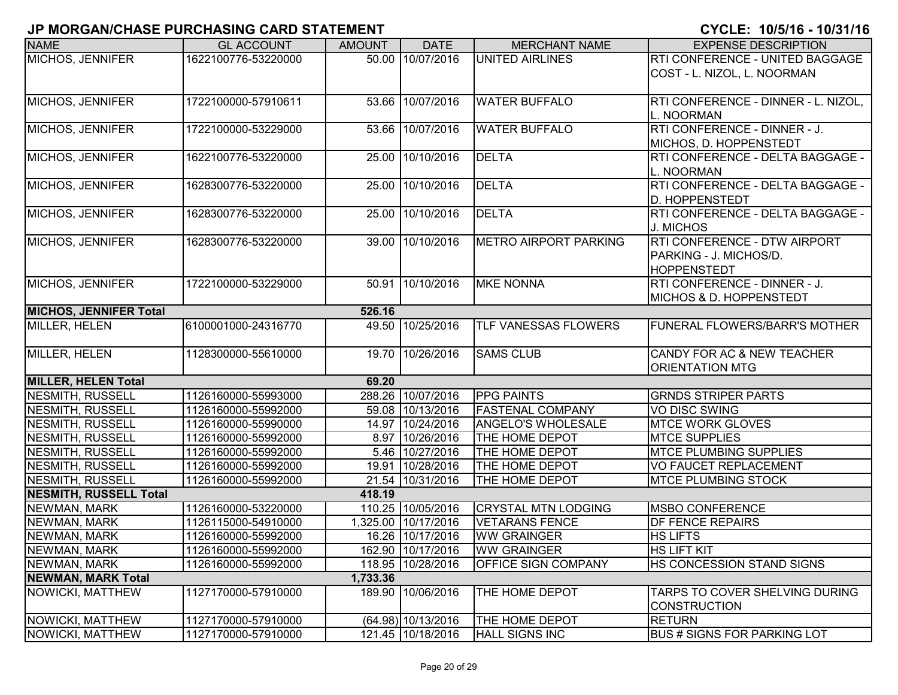| <b>NAME</b>                   | <b>GL ACCOUNT</b>   | <b>AMOUNT</b> | <b>DATE</b>         | <b>MERCHANT NAME</b>         | <b>EXPENSE DESCRIPTION</b>            |
|-------------------------------|---------------------|---------------|---------------------|------------------------------|---------------------------------------|
| MICHOS, JENNIFER              | 1622100776-53220000 |               | 50.00 10/07/2016    | <b>UNITED AIRLINES</b>       | RTI CONFERENCE - UNITED BAGGAGE       |
|                               |                     |               |                     |                              | COST - L. NIZOL, L. NOORMAN           |
|                               |                     |               |                     |                              |                                       |
| MICHOS, JENNIFER              | 1722100000-57910611 |               | 53.66 10/07/2016    | <b>WATER BUFFALO</b>         | RTI CONFERENCE - DINNER - L. NIZOL,   |
|                               |                     |               |                     |                              | L. NOORMAN                            |
| MICHOS, JENNIFER              | 1722100000-53229000 |               | 53.66 10/07/2016    | <b>WATER BUFFALO</b>         | RTI CONFERENCE - DINNER - J.          |
|                               |                     |               |                     |                              | MICHOS, D. HOPPENSTEDT                |
| MICHOS, JENNIFER              | 1622100776-53220000 |               | 25.00 10/10/2016    | <b>DELTA</b>                 | RTI CONFERENCE - DELTA BAGGAGE -      |
|                               |                     |               |                     |                              | L. NOORMAN                            |
| MICHOS, JENNIFER              | 1628300776-53220000 | 25.00         | 10/10/2016          | <b>DELTA</b>                 | RTI CONFERENCE - DELTA BAGGAGE -      |
|                               |                     |               |                     |                              | <b>D. HOPPENSTEDT</b>                 |
| MICHOS, JENNIFER              | 1628300776-53220000 |               | 25.00 10/10/2016    | <b>DELTA</b>                 | RTI CONFERENCE - DELTA BAGGAGE -      |
|                               |                     |               |                     |                              | J. MICHOS                             |
| MICHOS, JENNIFER              | 1628300776-53220000 |               | 39.00 10/10/2016    | <b>METRO AIRPORT PARKING</b> | RTI CONFERENCE - DTW AIRPORT          |
|                               |                     |               |                     |                              | PARKING - J. MICHOS/D.                |
|                               |                     |               |                     |                              | <b>HOPPENSTEDT</b>                    |
| MICHOS, JENNIFER              | 1722100000-53229000 |               | 50.91 10/10/2016    | <b>MKE NONNA</b>             | RTI CONFERENCE - DINNER - J.          |
|                               |                     |               |                     |                              | <b>MICHOS &amp; D. HOPPENSTEDT</b>    |
| <b>MICHOS, JENNIFER Total</b> |                     | 526.16        |                     |                              |                                       |
| MILLER, HELEN                 | 6100001000-24316770 | 49.50         | 10/25/2016          | TLF VANESSAS FLOWERS         | FUNERAL FLOWERS/BARR'S MOTHER         |
|                               |                     |               |                     |                              |                                       |
| MILLER, HELEN                 | 1128300000-55610000 |               | 19.70 10/26/2016    | <b>SAMS CLUB</b>             | CANDY FOR AC & NEW TEACHER            |
|                               |                     |               |                     |                              | <b>ORIENTATION MTG</b>                |
| <b>MILLER, HELEN Total</b>    |                     | 69.20         |                     |                              |                                       |
| <b>NESMITH, RUSSELL</b>       | 1126160000-55993000 |               | 288.26 10/07/2016   | <b>PPG PAINTS</b>            | <b>GRNDS STRIPER PARTS</b>            |
| <b>NESMITH, RUSSELL</b>       | 1126160000-55992000 |               | 59.08 10/13/2016    | <b>FASTENAL COMPANY</b>      | <b>VO DISC SWING</b>                  |
| <b>NESMITH, RUSSELL</b>       | 1126160000-55990000 |               | 14.97 10/24/2016    | ANGELO'S WHOLESALE           | <b>MTCE WORK GLOVES</b>               |
| <b>NESMITH, RUSSELL</b>       | 1126160000-55992000 |               | 8.97 10/26/2016     | THE HOME DEPOT               | <b>MTCE SUPPLIES</b>                  |
| <b>NESMITH, RUSSELL</b>       | 1126160000-55992000 |               | 5.46 10/27/2016     | THE HOME DEPOT               | <b>MTCE PLUMBING SUPPLIES</b>         |
| <b>NESMITH, RUSSELL</b>       | 1126160000-55992000 |               | 19.91 10/28/2016    | THE HOME DEPOT               | VO FAUCET REPLACEMENT                 |
| <b>NESMITH, RUSSELL</b>       | 1126160000-55992000 |               | 21.54 10/31/2016    | THE HOME DEPOT               | <b>MTCE PLUMBING STOCK</b>            |
| <b>NESMITH, RUSSELL Total</b> |                     | 418.19        |                     |                              |                                       |
| NEWMAN, MARK                  | 1126160000-53220000 |               | 110.25 10/05/2016   | <b>CRYSTAL MTN LODGING</b>   | <b>MSBO CONFERENCE</b>                |
| NEWMAN, MARK                  | 1126115000-54910000 |               | 1,325.00 10/17/2016 | <b>VETARANS FENCE</b>        | <b>DF FENCE REPAIRS</b>               |
| NEWMAN, MARK                  | 1126160000-55992000 |               | 16.26 10/17/2016    | <b>WW GRAINGER</b>           | <b>HS LIFTS</b>                       |
| NEWMAN, MARK                  | 1126160000-55992000 |               | 162.90 10/17/2016   | <b>IWW GRAINGER</b>          | IHS LIFT KIT                          |
| NEWMAN, MARK                  | 1126160000-55992000 |               | 118.95 10/28/2016   | <b>OFFICE SIGN COMPANY</b>   | HS CONCESSION STAND SIGNS             |
| <b>NEWMAN, MARK Total</b>     |                     | 1,733.36      |                     |                              |                                       |
| <b>NOWICKI, MATTHEW</b>       | 1127170000-57910000 |               | 189.90 10/06/2016   | THE HOME DEPOT               | <b>TARPS TO COVER SHELVING DURING</b> |
|                               |                     |               |                     |                              | <b>CONSTRUCTION</b>                   |
| NOWICKI, MATTHEW              | 1127170000-57910000 |               | (64.98) 10/13/2016  | THE HOME DEPOT               | <b>RETURN</b>                         |
| NOWICKI, MATTHEW              | 1127170000-57910000 |               | 121.45 10/18/2016   | <b>HALL SIGNS INC</b>        | <b>BUS # SIGNS FOR PARKING LOT</b>    |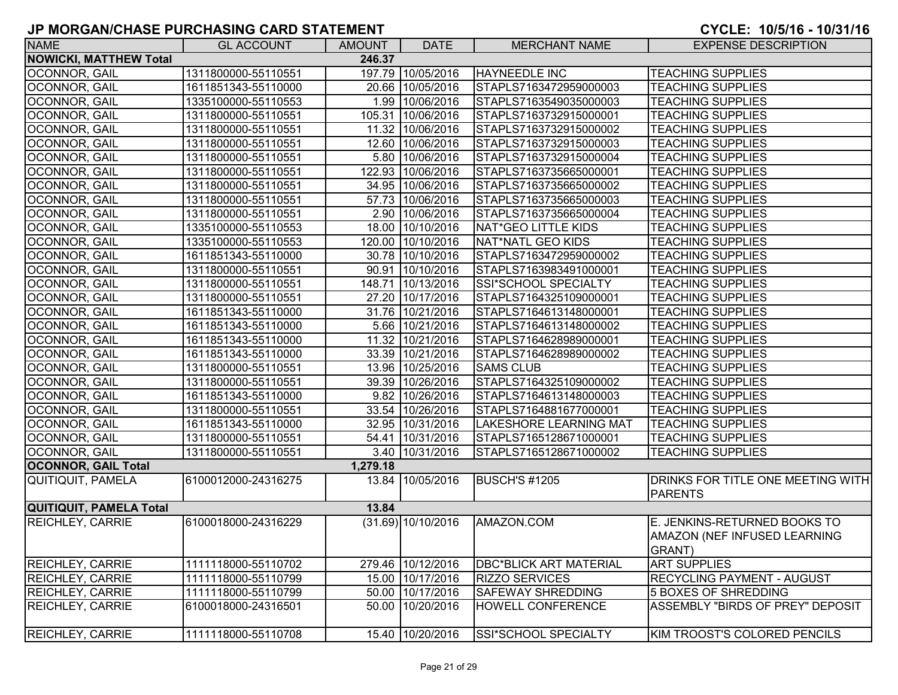| <b>NAME</b>                   | <b>GL ACCOUNT</b>   | <b>AMOUNT</b> | <b>DATE</b>        | <b>MERCHANT NAME</b>          | <b>EXPENSE DESCRIPTION</b>                                             |
|-------------------------------|---------------------|---------------|--------------------|-------------------------------|------------------------------------------------------------------------|
| <b>NOWICKI, MATTHEW Total</b> |                     | 246.37        |                    |                               |                                                                        |
| OCONNOR, GAIL                 | 1311800000-55110551 |               | 197.79 10/05/2016  | <b>HAYNEEDLE INC</b>          | <b>TEACHING SUPPLIES</b>                                               |
| <b>OCONNOR, GAIL</b>          | 1611851343-55110000 |               | 20.66 10/05/2016   | STAPLS7163472959000003        | <b>TEACHING SUPPLIES</b>                                               |
| OCONNOR, GAIL                 | 1335100000-55110553 |               | 1.99 10/06/2016    | STAPLS7163549035000003        | <b>TEACHING SUPPLIES</b>                                               |
| OCONNOR, GAIL                 | 1311800000-55110551 |               | 105.31 10/06/2016  | STAPLS7163732915000001        | <b>TEACHING SUPPLIES</b>                                               |
| OCONNOR, GAIL                 | 1311800000-55110551 |               | 11.32 10/06/2016   | STAPLS7163732915000002        | <b>TEACHING SUPPLIES</b>                                               |
| OCONNOR, GAIL                 | 1311800000-55110551 |               | 12.60 10/06/2016   | STAPLS7163732915000003        | <b>TEACHING SUPPLIES</b>                                               |
| <b>OCONNOR, GAIL</b>          | 1311800000-55110551 |               | 5.80 10/06/2016    | STAPLS7163732915000004        | <b>TEACHING SUPPLIES</b>                                               |
| <b>OCONNOR, GAIL</b>          | 1311800000-55110551 |               | 122.93 10/06/2016  | STAPLS7163735665000001        | <b>TEACHING SUPPLIES</b>                                               |
| OCONNOR, GAIL                 | 1311800000-55110551 |               | 34.95 10/06/2016   | STAPLS7163735665000002        | <b>TEACHING SUPPLIES</b>                                               |
| OCONNOR, GAIL                 | 1311800000-55110551 |               | 57.73 10/06/2016   | STAPLS7163735665000003        | <b>TEACHING SUPPLIES</b>                                               |
| OCONNOR, GAIL                 | 1311800000-55110551 |               | 2.90 10/06/2016    | STAPLS7163735665000004        | <b>TEACHING SUPPLIES</b>                                               |
| OCONNOR, GAIL                 | 1335100000-55110553 |               | 18.00 10/10/2016   | NAT*GEO LITTLE KIDS           | <b>TEACHING SUPPLIES</b>                                               |
| OCONNOR, GAIL                 | 1335100000-55110553 |               | 120.00 10/10/2016  | NAT*NATL GEO KIDS             | <b>TEACHING SUPPLIES</b>                                               |
| OCONNOR, GAIL                 | 1611851343-55110000 |               | 30.78 10/10/2016   | STAPLS7163472959000002        | <b>TEACHING SUPPLIES</b>                                               |
| OCONNOR, GAIL                 | 1311800000-55110551 |               | 90.91 10/10/2016   | STAPLS7163983491000001        | <b>TEACHING SUPPLIES</b>                                               |
| OCONNOR, GAIL                 | 1311800000-55110551 |               | 148.71 10/13/2016  | SSI*SCHOOL SPECIALTY          | <b>TEACHING SUPPLIES</b>                                               |
| OCONNOR, GAIL                 | 1311800000-55110551 |               | 27.20 10/17/2016   | STAPLS7164325109000001        | <b>TEACHING SUPPLIES</b>                                               |
| OCONNOR, GAIL                 | 1611851343-55110000 |               | 31.76 10/21/2016   | STAPLS7164613148000001        | <b>TEACHING SUPPLIES</b>                                               |
| <b>OCONNOR, GAIL</b>          | 1611851343-55110000 |               | 5.66 10/21/2016    | STAPLS7164613148000002        | <b>TEACHING SUPPLIES</b>                                               |
| <b>OCONNOR, GAIL</b>          | 1611851343-55110000 |               | 11.32 10/21/2016   | STAPLS7164628989000001        | <b>TEACHING SUPPLIES</b>                                               |
| <b>OCONNOR, GAIL</b>          | 1611851343-55110000 |               | 33.39 10/21/2016   | STAPLS7164628989000002        | <b>TEACHING SUPPLIES</b>                                               |
| OCONNOR, GAIL                 | 1311800000-55110551 |               | 13.96 10/25/2016   | <b>SAMS CLUB</b>              | <b>TEACHING SUPPLIES</b>                                               |
| <b>OCONNOR, GAIL</b>          | 1311800000-55110551 |               | 39.39 10/26/2016   | STAPLS7164325109000002        | <b>TEACHING SUPPLIES</b>                                               |
| OCONNOR, GAIL                 | 1611851343-55110000 |               | 9.82 10/26/2016    | STAPLS7164613148000003        | <b>TEACHING SUPPLIES</b>                                               |
| OCONNOR, GAIL                 | 1311800000-55110551 |               | 33.54 10/26/2016   | STAPLS7164881677000001        | <b>TEACHING SUPPLIES</b>                                               |
| OCONNOR, GAIL                 | 1611851343-55110000 |               | 32.95 10/31/2016   | <b>LAKESHORE LEARNING MAT</b> | <b>TEACHING SUPPLIES</b>                                               |
| OCONNOR, GAIL                 | 1311800000-55110551 |               | 54.41 10/31/2016   | STAPLS7165128671000001        | <b>TEACHING SUPPLIES</b>                                               |
| OCONNOR, GAIL                 | 1311800000-55110551 |               | 3.40 10/31/2016    | STAPLS7165128671000002        | <b>TEACHING SUPPLIES</b>                                               |
| <b>OCONNOR, GAIL Total</b>    |                     | 1,279.18      |                    |                               |                                                                        |
| QUITIQUIT, PAMELA             | 6100012000-24316275 | 13.84         | 10/05/2016         | <b>BUSCH'S #1205</b>          | DRINKS FOR TITLE ONE MEETING WITH<br><b>PARENTS</b>                    |
| QUITIQUIT, PAMELA Total       |                     | 13.84         |                    |                               |                                                                        |
| <b>REICHLEY, CARRIE</b>       | 6100018000-24316229 |               | (31.69) 10/10/2016 | AMAZON.COM                    | E. JENKINS-RETURNED BOOKS TO<br>AMAZON (NEF INFUSED LEARNING<br>GRANT) |
| <b>REICHLEY, CARRIE</b>       | 1111118000-55110702 |               | 279.46 10/12/2016  | <b>DBC*BLICK ART MATERIAL</b> | <b>ART SUPPLIES</b>                                                    |
| <b>REICHLEY, CARRIE</b>       | 1111118000-55110799 |               | 15.00 10/17/2016   | <b>RIZZO SERVICES</b>         | <b>RECYCLING PAYMENT - AUGUST</b>                                      |
| <b>REICHLEY, CARRIE</b>       | 1111118000-55110799 |               | 50.00 10/17/2016   | <b>SAFEWAY SHREDDING</b>      | <b>5 BOXES OF SHREDDING</b>                                            |
| <b>REICHLEY, CARRIE</b>       | 6100018000-24316501 |               | 50.00 10/20/2016   | <b>HOWELL CONFERENCE</b>      | ASSEMBLY "BIRDS OF PREY" DEPOSIT                                       |
| <b>REICHLEY, CARRIE</b>       | 1111118000-55110708 |               | 15.40 10/20/2016   | SSI*SCHOOL SPECIALTY          | KIM TROOST'S COLORED PENCILS                                           |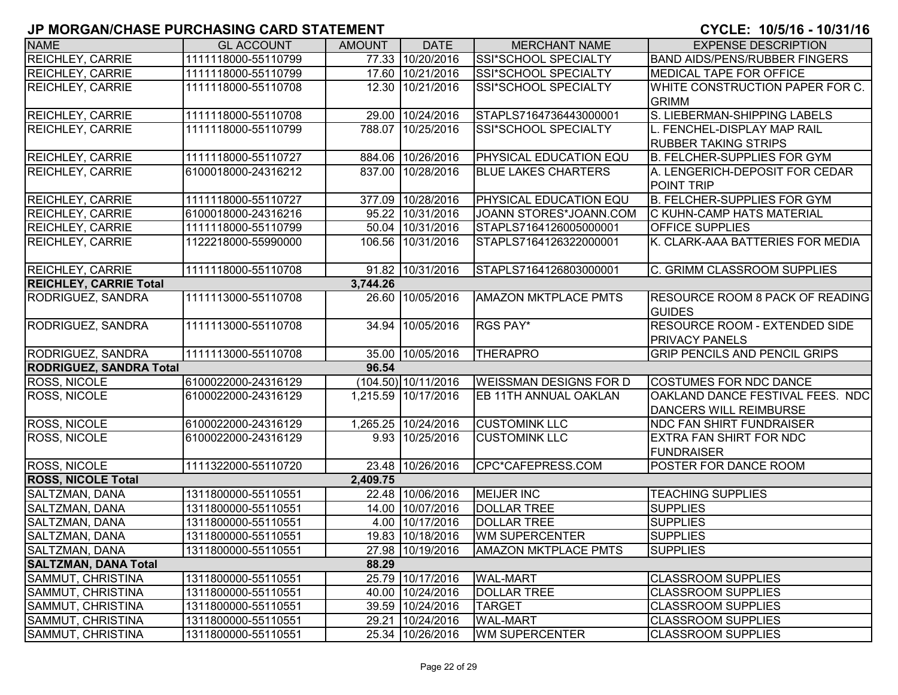| <b>NAME</b>                    | <b>GL ACCOUNT</b>   | <b>AMOUNT</b> | <b>DATE</b>         | <b>MERCHANT NAME</b>          | <b>EXPENSE DESCRIPTION</b>                                    |
|--------------------------------|---------------------|---------------|---------------------|-------------------------------|---------------------------------------------------------------|
| <b>REICHLEY, CARRIE</b>        | 1111118000-55110799 |               | 77.33 10/20/2016    | SSI*SCHOOL SPECIALTY          | <b>BAND AIDS/PENS/RUBBER FINGERS</b>                          |
| <b>REICHLEY, CARRIE</b>        | 1111118000-55110799 |               | 17.60 10/21/2016    | SSI*SCHOOL SPECIALTY          | <b>MEDICAL TAPE FOR OFFICE</b>                                |
| <b>REICHLEY, CARRIE</b>        | 1111118000-55110708 |               | 12.30 10/21/2016    | SSI*SCHOOL SPECIALTY          | WHITE CONSTRUCTION PAPER FOR C.                               |
|                                |                     |               |                     |                               | <b>GRIMM</b>                                                  |
| <b>REICHLEY, CARRIE</b>        | 1111118000-55110708 |               | 29.00 10/24/2016    | STAPLS7164736443000001        | S. LIEBERMAN-SHIPPING LABELS                                  |
| <b>REICHLEY, CARRIE</b>        | 1111118000-55110799 |               | 788.07 10/25/2016   | SSI*SCHOOL SPECIALTY          | L. FENCHEL-DISPLAY MAP RAIL<br><b>RUBBER TAKING STRIPS</b>    |
| <b>REICHLEY, CARRIE</b>        | 1111118000-55110727 |               | 884.06 10/26/2016   | <b>PHYSICAL EDUCATION EQU</b> | <b>B. FELCHER-SUPPLIES FOR GYM</b>                            |
| <b>REICHLEY, CARRIE</b>        | 6100018000-24316212 |               | 837.00 10/28/2016   | <b>BLUE LAKES CHARTERS</b>    | A. LENGERICH-DEPOSIT FOR CEDAR                                |
|                                |                     |               |                     |                               | POINT TRIP                                                    |
| <b>REICHLEY, CARRIE</b>        | 1111118000-55110727 | 377.09        | 10/28/2016          | <b>PHYSICAL EDUCATION EQU</b> | <b>B. FELCHER-SUPPLIES FOR GYM</b>                            |
| <b>REICHLEY, CARRIE</b>        | 6100018000-24316216 |               | 95.22 10/31/2016    | JOANN STORES*JOANN.COM        | <b>C KUHN-CAMP HATS MATERIAL</b>                              |
| <b>REICHLEY, CARRIE</b>        | 1111118000-55110799 |               | 50.04 10/31/2016    | STAPLS7164126005000001        | <b>OFFICE SUPPLIES</b>                                        |
| <b>REICHLEY, CARRIE</b>        | 1122218000-55990000 |               | 106.56 10/31/2016   | STAPLS7164126322000001        | K. CLARK-AAA BATTERIES FOR MEDIA                              |
| <b>REICHLEY, CARRIE</b>        | 1111118000-55110708 |               | 91.82 10/31/2016    | STAPLS7164126803000001        | C. GRIMM CLASSROOM SUPPLIES                                   |
| <b>REICHLEY, CARRIE Total</b>  |                     | 3,744.26      |                     |                               |                                                               |
| <b>RODRIGUEZ, SANDRA</b>       | 1111113000-55110708 |               | 26.60 10/05/2016    | <b>AMAZON MKTPLACE PMTS</b>   | <b>RESOURCE ROOM 8 PACK OF READING</b><br><b>GUIDES</b>       |
| RODRIGUEZ, SANDRA              | 1111113000-55110708 | 34.94         | 10/05/2016          | RGS PAY*                      | <b>RESOURCE ROOM - EXTENDED SIDE</b><br><b>PRIVACY PANELS</b> |
| RODRIGUEZ, SANDRA              | 1111113000-55110708 |               | 35.00 10/05/2016    | <b>THERAPRO</b>               | <b>GRIP PENCILS AND PENCIL GRIPS</b>                          |
| <b>RODRIGUEZ, SANDRA Total</b> |                     | 96.54         |                     |                               |                                                               |
| <b>ROSS, NICOLE</b>            | 6100022000-24316129 |               | (104.50) 10/11/2016 | <b>WEISSMAN DESIGNS FOR D</b> | <b>COSTUMES FOR NDC DANCE</b>                                 |
| <b>ROSS, NICOLE</b>            | 6100022000-24316129 |               | 1,215.59 10/17/2016 | EB 11TH ANNUAL OAKLAN         | OAKLAND DANCE FESTIVAL FEES. NDC<br>DANCERS WILL REIMBURSE    |
| <b>ROSS, NICOLE</b>            | 6100022000-24316129 |               | 1,265.25 10/24/2016 | <b>CUSTOMINK LLC</b>          | <b>NDC FAN SHIRT FUNDRAISER</b>                               |
| <b>ROSS, NICOLE</b>            | 6100022000-24316129 |               | 9.93 10/25/2016     | <b>CUSTOMINK LLC</b>          | <b>EXTRA FAN SHIRT FOR NDC</b><br><b>FUNDRAISER</b>           |
| <b>ROSS, NICOLE</b>            | 1111322000-55110720 |               | 23.48 10/26/2016    | CPC*CAFEPRESS.COM             | POSTER FOR DANCE ROOM                                         |
| <b>ROSS, NICOLE Total</b>      |                     | 2,409.75      |                     |                               |                                                               |
| SALTZMAN, DANA                 | 1311800000-55110551 |               | 22.48 10/06/2016    | <b>MEIJER INC</b>             | <b>TEACHING SUPPLIES</b>                                      |
| SALTZMAN, DANA                 | 1311800000-55110551 |               | 14.00 10/07/2016    | <b>DOLLAR TREE</b>            | <b>SUPPLIES</b>                                               |
| SALTZMAN, DANA                 | 1311800000-55110551 |               | 4.00 10/17/2016     | <b>DOLLAR TREE</b>            | <b>SUPPLIES</b>                                               |
| SALTZMAN, DANA                 | 1311800000-55110551 |               | 19.83 10/18/2016    | <b>WM SUPERCENTER</b>         | <b>SUPPLIES</b>                                               |
| SALTZMAN, DANA                 | 1311800000-55110551 |               | 27.98 10/19/2016    | <b>AMAZON MKTPLACE PMTS</b>   | <b>SUPPLIES</b>                                               |
| <b>SALTZMAN, DANA Total</b>    |                     | 88.29         |                     |                               |                                                               |
| SAMMUT, CHRISTINA              | 1311800000-55110551 |               | 25.79 10/17/2016    | <b>WAL-MART</b>               | <b>CLASSROOM SUPPLIES</b>                                     |
| SAMMUT, CHRISTINA              | 1311800000-55110551 |               | 40.00 10/24/2016    | <b>DOLLAR TREE</b>            | <b>CLASSROOM SUPPLIES</b>                                     |
| SAMMUT, CHRISTINA              | 1311800000-55110551 |               | 39.59 10/24/2016    | <b>TARGET</b>                 | <b>CLASSROOM SUPPLIES</b>                                     |
| SAMMUT, CHRISTINA              | 1311800000-55110551 |               | 29.21 10/24/2016    | <b>WAL-MART</b>               | <b>CLASSROOM SUPPLIES</b>                                     |
| SAMMUT, CHRISTINA              | 1311800000-55110551 |               | 25.34 10/26/2016    | <b>WM SUPERCENTER</b>         | <b>CLASSROOM SUPPLIES</b>                                     |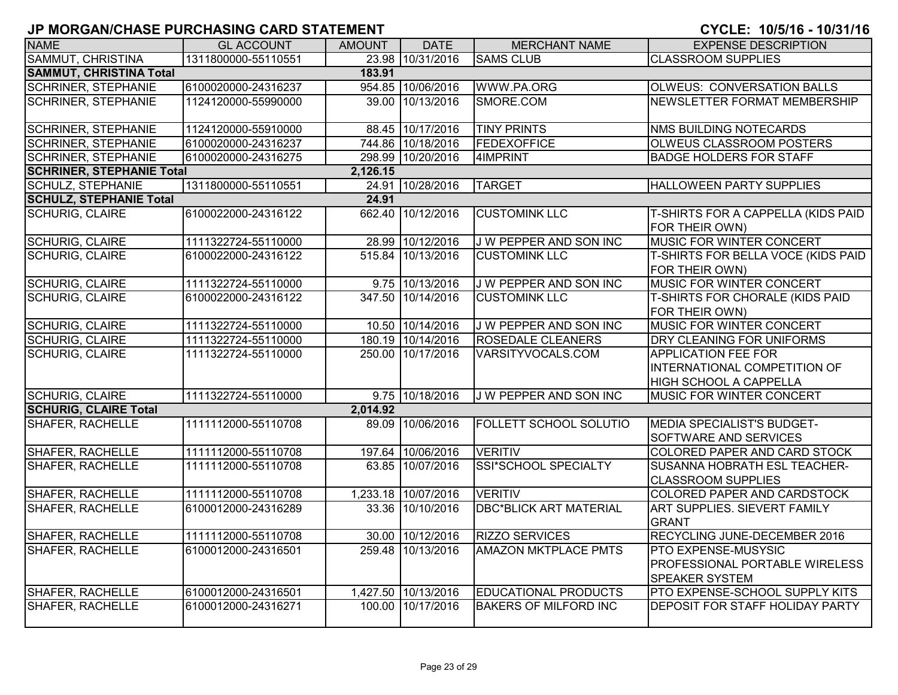| <b>NAME</b>                      | <b>GL ACCOUNT</b>   | <b>AMOUNT</b> | <b>DATE</b>         | <b>MERCHANT NAME</b>          | <b>EXPENSE DESCRIPTION</b>                                                                  |
|----------------------------------|---------------------|---------------|---------------------|-------------------------------|---------------------------------------------------------------------------------------------|
| SAMMUT, CHRISTINA                | 1311800000-55110551 |               | 23.98 10/31/2016    | <b>SAMS CLUB</b>              | <b>CLASSROOM SUPPLIES</b>                                                                   |
| <b>SAMMUT, CHRISTINA Total</b>   |                     | 183.91        |                     |                               |                                                                                             |
| <b>SCHRINER, STEPHANIE</b>       | 6100020000-24316237 | 954.85        | 10/06/2016          | WWW.PA.ORG                    | <b>OLWEUS: CONVERSATION BALLS</b>                                                           |
| <b>SCHRINER, STEPHANIE</b>       | 1124120000-55990000 | 39.00         | 10/13/2016          | SMORE.COM                     | NEWSLETTER FORMAT MEMBERSHIP                                                                |
| <b>SCHRINER, STEPHANIE</b>       | 1124120000-55910000 |               | 88.45 10/17/2016    | <b>TINY PRINTS</b>            | <b>NMS BUILDING NOTECARDS</b>                                                               |
| <b>SCHRINER, STEPHANIE</b>       | 6100020000-24316237 |               | 744.86 10/18/2016   | FEDEXOFFICE                   | <b>OLWEUS CLASSROOM POSTERS</b>                                                             |
| <b>SCHRINER, STEPHANIE</b>       | 6100020000-24316275 |               | 298.99 10/20/2016   | 4IMPRINT                      | <b>BADGE HOLDERS FOR STAFF</b>                                                              |
| <b>SCHRINER, STEPHANIE Total</b> |                     | 2,126.15      |                     |                               |                                                                                             |
| <b>SCHULZ, STEPHANIE</b>         | 1311800000-55110551 |               | 24.91 10/28/2016    | <b>TARGET</b>                 | HALLOWEEN PARTY SUPPLIES                                                                    |
| <b>SCHULZ, STEPHANIE Total</b>   |                     | 24.91         |                     |                               |                                                                                             |
| <b>SCHURIG, CLAIRE</b>           | 6100022000-24316122 | 662.40        | 10/12/2016          | <b>CUSTOMINK LLC</b>          | T-SHIRTS FOR A CAPPELLA (KIDS PAID<br>FOR THEIR OWN)                                        |
| SCHURIG, CLAIRE                  | 1111322724-55110000 |               | 28.99 10/12/2016    | J W PEPPER AND SON INC        | MUSIC FOR WINTER CONCERT                                                                    |
| <b>SCHURIG, CLAIRE</b>           | 6100022000-24316122 |               | 515.84 10/13/2016   | <b>CUSTOMINK LLC</b>          | <b>T-SHIRTS FOR BELLA VOCE (KIDS PAID</b><br>FOR THEIR OWN)                                 |
| <b>SCHURIG, CLAIRE</b>           | 1111322724-55110000 |               | 9.75 10/13/2016     | J W PEPPER AND SON INC        | MUSIC FOR WINTER CONCERT                                                                    |
| <b>SCHURIG, CLAIRE</b>           | 6100022000-24316122 |               | 347.50 10/14/2016   | <b>CUSTOMINK LLC</b>          | <b>T-SHIRTS FOR CHORALE (KIDS PAID</b><br>FOR THEIR OWN)                                    |
| <b>SCHURIG, CLAIRE</b>           | 1111322724-55110000 |               | 10.50 10/14/2016    | J W PEPPER AND SON INC        | <b>MUSIC FOR WINTER CONCERT</b>                                                             |
| <b>SCHURIG, CLAIRE</b>           | 1111322724-55110000 |               | 180.19 10/14/2016   | <b>ROSEDALE CLEANERS</b>      | DRY CLEANING FOR UNIFORMS                                                                   |
| <b>SCHURIG, CLAIRE</b>           | 1111322724-55110000 |               | 250.00 10/17/2016   | VARSITYVOCALS.COM             | <b>APPLICATION FEE FOR</b><br>INTERNATIONAL COMPETITION OF<br><b>HIGH SCHOOL A CAPPELLA</b> |
| <b>SCHURIG, CLAIRE</b>           | 1111322724-55110000 |               | 9.75 10/18/2016     | J W PEPPER AND SON INC        | <b>MUSIC FOR WINTER CONCERT</b>                                                             |
| <b>SCHURIG, CLAIRE Total</b>     |                     | 2,014.92      |                     |                               |                                                                                             |
| <b>SHAFER, RACHELLE</b>          | 1111112000-55110708 |               | 89.09 10/06/2016    | <b>FOLLETT SCHOOL SOLUTIO</b> | <b>MEDIA SPECIALIST'S BUDGET-</b><br><b>SOFTWARE AND SERVICES</b>                           |
| <b>SHAFER, RACHELLE</b>          | 1111112000-55110708 |               | 197.64 10/06/2016   | <b>VERITIV</b>                | COLORED PAPER AND CARD STOCK                                                                |
| <b>SHAFER, RACHELLE</b>          | 1111112000-55110708 |               | 63.85 10/07/2016    | <b>SSI*SCHOOL SPECIALTY</b>   | <b>SUSANNA HOBRATH ESL TEACHER-</b><br><b>CLASSROOM SUPPLIES</b>                            |
| <b>SHAFER, RACHELLE</b>          | 1111112000-55110708 |               | 1,233.18 10/07/2016 | <b>VERITIV</b>                | COLORED PAPER AND CARDSTOCK                                                                 |
| <b>SHAFER, RACHELLE</b>          | 6100012000-24316289 |               | 33.36 10/10/2016    | <b>DBC*BLICK ART MATERIAL</b> | ART SUPPLIES. SIEVERT FAMILY<br><b>GRANT</b>                                                |
| SHAFER, RACHELLE                 | 1111112000-55110708 |               | 30.00 10/12/2016    | <b>RIZZO SERVICES</b>         | RECYCLING JUNE-DECEMBER 2016                                                                |
| SHAFER, RACHELLE                 | 6100012000-24316501 |               | 259.48 10/13/2016   | <b>AMAZON MKTPLACE PMTS</b>   | PTO EXPENSE-MUSYSIC<br>PROFESSIONAL PORTABLE WIRELESS<br><b>SPEAKER SYSTEM</b>              |
| SHAFER, RACHELLE                 | 6100012000-24316501 |               | 1,427.50 10/13/2016 | <b>EDUCATIONAL PRODUCTS</b>   | PTO EXPENSE-SCHOOL SUPPLY KITS                                                              |
| <b>SHAFER, RACHELLE</b>          | 6100012000-24316271 |               | 100.00 10/17/2016   | <b>BAKERS OF MILFORD INC</b>  | DEPOSIT FOR STAFF HOLIDAY PARTY                                                             |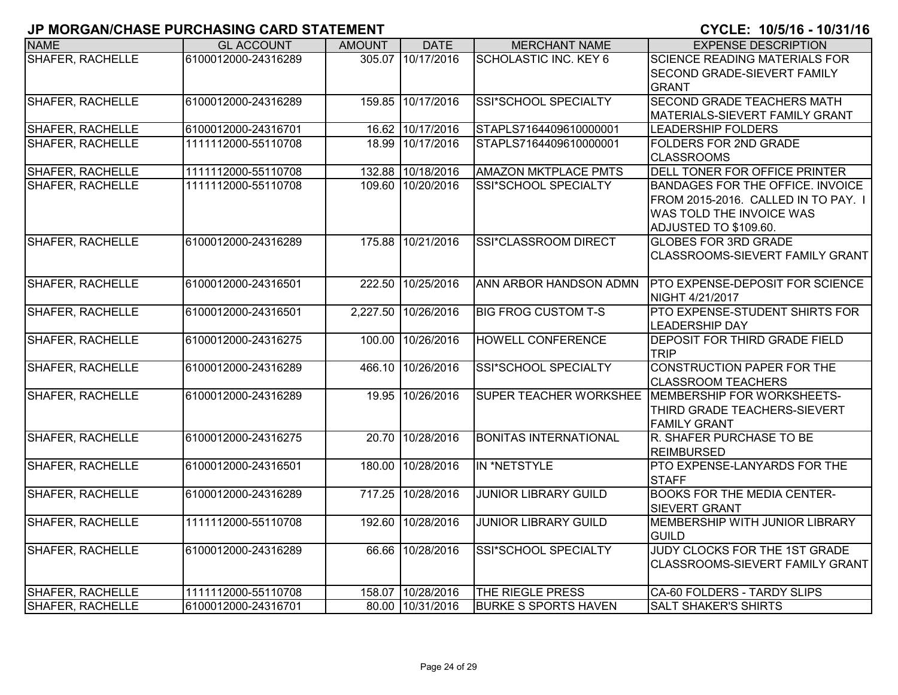| <b>NAME</b>             | <b>GL ACCOUNT</b>   | <b>AMOUNT</b> | <b>DATE</b>         | <b>MERCHANT NAME</b>         | <b>EXPENSE DESCRIPTION</b>                                                                                                          |
|-------------------------|---------------------|---------------|---------------------|------------------------------|-------------------------------------------------------------------------------------------------------------------------------------|
| <b>SHAFER, RACHELLE</b> | 6100012000-24316289 |               | 305.07 10/17/2016   | SCHOLASTIC INC. KEY 6        | <b>SCIENCE READING MATERIALS FOR</b><br>SECOND GRADE-SIEVERT FAMILY<br><b>GRANT</b>                                                 |
| <b>SHAFER, RACHELLE</b> | 6100012000-24316289 |               | 159.85 10/17/2016   | SSI*SCHOOL SPECIALTY         | <b>SECOND GRADE TEACHERS MATH</b><br>MATERIALS-SIEVERT FAMILY GRANT                                                                 |
| <b>SHAFER, RACHELLE</b> | 6100012000-24316701 |               | 16.62 10/17/2016    | STAPLS7164409610000001       | <b>LEADERSHIP FOLDERS</b>                                                                                                           |
| <b>SHAFER, RACHELLE</b> | 1111112000-55110708 | 18.99         | 10/17/2016          | STAPLS7164409610000001       | FOLDERS FOR 2ND GRADE<br><b>CLASSROOMS</b>                                                                                          |
| SHAFER, RACHELLE        | 1111112000-55110708 |               | 132.88 10/18/2016   | <b>AMAZON MKTPLACE PMTS</b>  | DELL TONER FOR OFFICE PRINTER                                                                                                       |
| SHAFER, RACHELLE        | 1111112000-55110708 |               | 109.60 10/20/2016   | SSI*SCHOOL SPECIALTY         | <b>BANDAGES FOR THE OFFICE. INVOICE</b><br>FROM 2015-2016. CALLED IN TO PAY. I<br>WAS TOLD THE INVOICE WAS<br>ADJUSTED TO \$109.60. |
| <b>SHAFER, RACHELLE</b> | 6100012000-24316289 |               | 175.88 10/21/2016   | SSI*CLASSROOM DIRECT         | <b>GLOBES FOR 3RD GRADE</b><br>CLASSROOMS-SIEVERT FAMILY GRANT                                                                      |
| <b>SHAFER, RACHELLE</b> | 6100012000-24316501 | 222.50        | 10/25/2016          | ANN ARBOR HANDSON ADMN       | <b>PTO EXPENSE-DEPOSIT FOR SCIENCE</b><br>NIGHT 4/21/2017                                                                           |
| SHAFER, RACHELLE        | 6100012000-24316501 |               | 2,227.50 10/26/2016 | <b>BIG FROG CUSTOM T-S</b>   | PTO EXPENSE-STUDENT SHIRTS FOR<br><b>LEADERSHIP DAY</b>                                                                             |
| SHAFER, RACHELLE        | 6100012000-24316275 | 100.00        | 10/26/2016          | <b>HOWELL CONFERENCE</b>     | <b>DEPOSIT FOR THIRD GRADE FIELD</b><br><b>TRIP</b>                                                                                 |
| <b>SHAFER, RACHELLE</b> | 6100012000-24316289 | 466.10        | 10/26/2016          | <b>SSI*SCHOOL SPECIALTY</b>  | <b>CONSTRUCTION PAPER FOR THE</b><br><b>CLASSROOM TEACHERS</b>                                                                      |
| <b>SHAFER, RACHELLE</b> | 6100012000-24316289 |               | 19.95 10/26/2016    |                              | SUPER TEACHER WORKSHEE MEMBERSHIP FOR WORKSHEETS-<br>THIRD GRADE TEACHERS-SIEVERT<br><b>FAMILY GRANT</b>                            |
| <b>SHAFER, RACHELLE</b> | 6100012000-24316275 | 20.70         | 10/28/2016          | <b>BONITAS INTERNATIONAL</b> | R. SHAFER PURCHASE TO BE<br><b>REIMBURSED</b>                                                                                       |
| <b>SHAFER, RACHELLE</b> | 6100012000-24316501 | 180.00        | 10/28/2016          | IN *NETSTYLE                 | PTO EXPENSE-LANYARDS FOR THE<br><b>STAFF</b>                                                                                        |
| <b>SHAFER, RACHELLE</b> | 6100012000-24316289 | 717.25        | 10/28/2016          | <b>JUNIOR LIBRARY GUILD</b>  | <b>BOOKS FOR THE MEDIA CENTER-</b><br><b>SIEVERT GRANT</b>                                                                          |
| <b>SHAFER, RACHELLE</b> | 1111112000-55110708 | 192.60        | 10/28/2016          | <b>JUNIOR LIBRARY GUILD</b>  | MEMBERSHIP WITH JUNIOR LIBRARY<br><b>GUILD</b>                                                                                      |
| SHAFER, RACHELLE        | 6100012000-24316289 |               | 66.66 10/28/2016    | SSI*SCHOOL SPECIALTY         | JUDY CLOCKS FOR THE 1ST GRADE<br>CLASSROOMS-SIEVERT FAMILY GRANT                                                                    |
| SHAFER, RACHELLE        | 1111112000-55110708 |               | 158.07 10/28/2016   | THE RIEGLE PRESS             | CA-60 FOLDERS - TARDY SLIPS                                                                                                         |
| SHAFER, RACHELLE        | 6100012000-24316701 |               | 80.00 10/31/2016    | <b>BURKE S SPORTS HAVEN</b>  | <b>SALT SHAKER'S SHIRTS</b>                                                                                                         |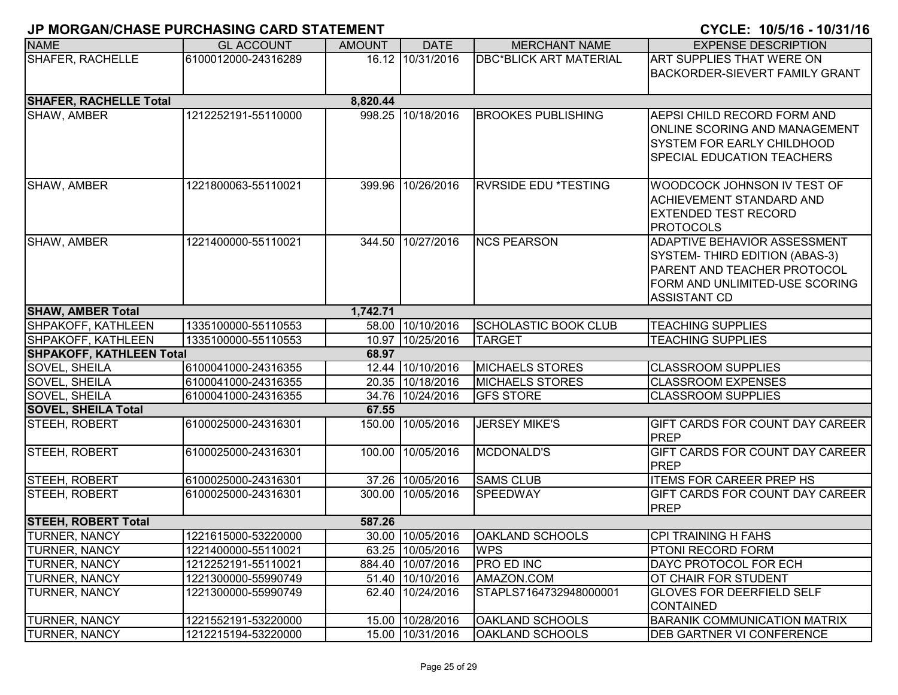| <b>NAME</b>                     | <b>GL ACCOUNT</b>   | <b>AMOUNT</b> | <b>DATE</b>       | <b>MERCHANT NAME</b>          | <b>EXPENSE DESCRIPTION</b>                                           |
|---------------------------------|---------------------|---------------|-------------------|-------------------------------|----------------------------------------------------------------------|
| <b>SHAFER, RACHELLE</b>         | 6100012000-24316289 |               | 16.12 10/31/2016  | <b>DBC*BLICK ART MATERIAL</b> | <b>ART SUPPLIES THAT WERE ON</b>                                     |
|                                 |                     |               |                   |                               | <b>BACKORDER-SIEVERT FAMILY GRANT</b>                                |
|                                 |                     |               |                   |                               |                                                                      |
| <b>SHAFER, RACHELLE Total</b>   |                     | 8,820.44      |                   |                               |                                                                      |
| SHAW, AMBER                     | 1212252191-55110000 |               | 998.25 10/18/2016 | <b>BROOKES PUBLISHING</b>     | <b>AEPSI CHILD RECORD FORM AND</b>                                   |
|                                 |                     |               |                   |                               | <b>ONLINE SCORING AND MANAGEMENT</b>                                 |
|                                 |                     |               |                   |                               | <b>SYSTEM FOR EARLY CHILDHOOD</b>                                    |
|                                 |                     |               |                   |                               | <b>SPECIAL EDUCATION TEACHERS</b>                                    |
|                                 |                     |               |                   |                               |                                                                      |
| SHAW, AMBER                     | 1221800063-55110021 |               | 399.96 10/26/2016 | <b>RVRSIDE EDU *TESTING</b>   | WOODCOCK JOHNSON IV TEST OF                                          |
|                                 |                     |               |                   |                               | <b>ACHIEVEMENT STANDARD AND</b>                                      |
|                                 |                     |               |                   |                               | <b>EXTENDED TEST RECORD</b>                                          |
| SHAW, AMBER                     | 1221400000-55110021 |               | 344.50 10/27/2016 | <b>NCS PEARSON</b>            | <b>PROTOCOLS</b>                                                     |
|                                 |                     |               |                   |                               | <b>ADAPTIVE BEHAVIOR ASSESSMENT</b>                                  |
|                                 |                     |               |                   |                               | SYSTEM- THIRD EDITION (ABAS-3)<br><b>PARENT AND TEACHER PROTOCOL</b> |
|                                 |                     |               |                   |                               | FORM AND UNLIMITED-USE SCORING                                       |
|                                 |                     |               |                   |                               | <b>ASSISTANT CD</b>                                                  |
| <b>SHAW, AMBER Total</b>        |                     | 1,742.71      |                   |                               |                                                                      |
| SHPAKOFF, KATHLEEN              | 1335100000-55110553 |               | 58.00 10/10/2016  | SCHOLASTIC BOOK CLUB          | <b>TEACHING SUPPLIES</b>                                             |
| SHPAKOFF, KATHLEEN              | 1335100000-55110553 |               | 10.97 10/25/2016  | <b>TARGET</b>                 | <b>TEACHING SUPPLIES</b>                                             |
| <b>SHPAKOFF, KATHLEEN Total</b> |                     | 68.97         |                   |                               |                                                                      |
| SOVEL, SHEILA                   | 6100041000-24316355 |               | 12.44 10/10/2016  | <b>MICHAELS STORES</b>        | <b>CLASSROOM SUPPLIES</b>                                            |
| SOVEL, SHEILA                   | 6100041000-24316355 |               | 20.35 10/18/2016  | <b>MICHAELS STORES</b>        | <b>CLASSROOM EXPENSES</b>                                            |
| SOVEL, SHEILA                   | 6100041000-24316355 |               | 34.76 10/24/2016  | <b>GFS STORE</b>              | <b>CLASSROOM SUPPLIES</b>                                            |
| <b>SOVEL, SHEILA Total</b>      |                     | 67.55         |                   |                               |                                                                      |
| STEEH, ROBERT                   | 6100025000-24316301 |               | 150.00 10/05/2016 | <b>JERSEY MIKE'S</b>          | <b>GIFT CARDS FOR COUNT DAY CAREER</b>                               |
|                                 |                     |               |                   |                               | PREP                                                                 |
| STEEH, ROBERT                   | 6100025000-24316301 |               | 100.00 10/05/2016 | <b>MCDONALD'S</b>             | GIFT CARDS FOR COUNT DAY CAREER                                      |
|                                 |                     |               |                   |                               | PREP                                                                 |
| STEEH, ROBERT                   | 6100025000-24316301 |               | 37.26 10/05/2016  | <b>SAMS CLUB</b>              | <b>ITEMS FOR CAREER PREP HS</b>                                      |
| STEEH, ROBERT                   | 6100025000-24316301 |               | 300.00 10/05/2016 | <b>SPEEDWAY</b>               | <b>GIFT CARDS FOR COUNT DAY CAREER</b>                               |
|                                 |                     |               |                   |                               | <b>PREP</b>                                                          |
| <b>STEEH, ROBERT Total</b>      |                     | 587.26        |                   |                               |                                                                      |
| <b>TURNER, NANCY</b>            | 1221615000-53220000 |               | 30.00 10/05/2016  | <b>OAKLAND SCHOOLS</b>        | CPI TRAINING H FAHS                                                  |
| <b>TURNER, NANCY</b>            | 1221400000-55110021 |               | 63.25 10/05/2016  | <b>WPS</b>                    | <b>PTONI RECORD FORM</b>                                             |
| <b>TURNER, NANCY</b>            | 1212252191-55110021 |               | 884.40 10/07/2016 | <b>PRO ED INC</b>             | <b>DAYC PROTOCOL FOR ECH</b>                                         |
| <b>TURNER, NANCY</b>            | 1221300000-55990749 |               | 51.40 10/10/2016  | AMAZON.COM                    | OT CHAIR FOR STUDENT                                                 |
| <b>TURNER, NANCY</b>            | 1221300000-55990749 |               | 62.40 10/24/2016  | STAPLS7164732948000001        | <b>GLOVES FOR DEERFIELD SELF</b>                                     |
|                                 |                     |               |                   |                               | CONTAINED                                                            |
| <b>TURNER, NANCY</b>            | 1221552191-53220000 |               | 15.00 10/28/2016  | <b>OAKLAND SCHOOLS</b>        | <b>BARANIK COMMUNICATION MATRIX</b>                                  |
| <b>TURNER, NANCY</b>            | 1212215194-53220000 |               | 15.00 10/31/2016  | <b>OAKLAND SCHOOLS</b>        | <b>DEB GARTNER VI CONFERENCE</b>                                     |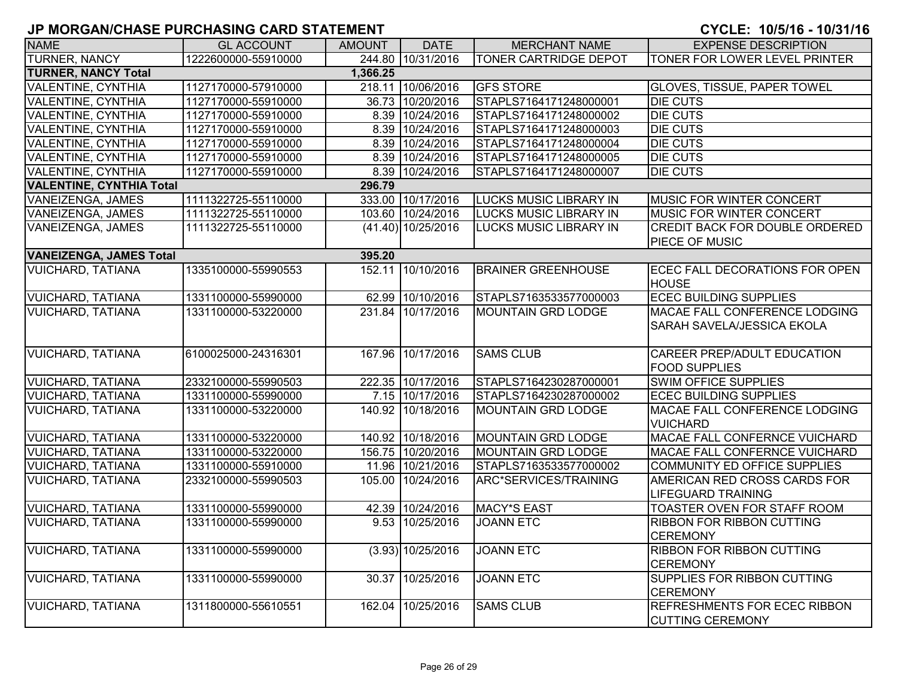| <b>NAME</b>                            | <b>GL ACCOUNT</b>   | <b>AMOUNT</b> | <b>DATE</b>          | <b>MERCHANT NAME</b>          | <b>EXPENSE DESCRIPTION</b>                                     |  |
|----------------------------------------|---------------------|---------------|----------------------|-------------------------------|----------------------------------------------------------------|--|
| <b>TURNER, NANCY</b>                   | 1222600000-55910000 |               | 244.80 10/31/2016    | <b>TONER CARTRIDGE DEPOT</b>  | TONER FOR LOWER LEVEL PRINTER                                  |  |
| <b>TURNER, NANCY Total</b><br>1,366.25 |                     |               |                      |                               |                                                                |  |
| <b>VALENTINE, CYNTHIA</b>              | 1127170000-57910000 |               | 218.11 10/06/2016    | <b>GFS STORE</b>              | <b>GLOVES, TISSUE, PAPER TOWEL</b>                             |  |
| <b>VALENTINE, CYNTHIA</b>              | 1127170000-55910000 |               | 36.73 10/20/2016     | STAPLS7164171248000001        | <b>DIE CUTS</b>                                                |  |
| <b>VALENTINE, CYNTHIA</b>              | 1127170000-55910000 |               | 8.39 10/24/2016      | STAPLS7164171248000002        | <b>DIE CUTS</b>                                                |  |
| VALENTINE, CYNTHIA                     | 1127170000-55910000 |               | 8.39 10/24/2016      | STAPLS7164171248000003        | <b>DIE CUTS</b>                                                |  |
| <b>VALENTINE, CYNTHIA</b>              | 1127170000-55910000 |               | 8.39 10/24/2016      | STAPLS7164171248000004        | <b>DIE CUTS</b>                                                |  |
| VALENTINE, CYNTHIA                     | 1127170000-55910000 |               | 8.39 10/24/2016      | STAPLS7164171248000005        | <b>DIE CUTS</b>                                                |  |
| VALENTINE, CYNTHIA                     | 1127170000-55910000 |               | 8.39 10/24/2016      | STAPLS7164171248000007        | <b>DIE CUTS</b>                                                |  |
| <b>VALENTINE, CYNTHIA Total</b>        |                     | 296.79        |                      |                               |                                                                |  |
| VANEIZENGA, JAMES                      | 1111322725-55110000 |               | 333.00 10/17/2016    | <b>LUCKS MUSIC LIBRARY IN</b> | MUSIC FOR WINTER CONCERT                                       |  |
| VANEIZENGA, JAMES                      | 1111322725-55110000 |               | 103.60 10/24/2016    | <b>LUCKS MUSIC LIBRARY IN</b> | MUSIC FOR WINTER CONCERT                                       |  |
| VANEIZENGA, JAMES                      | 1111322725-55110000 |               | $(41.40)$ 10/25/2016 | LUCKS MUSIC LIBRARY IN        | <b>CREDIT BACK FOR DOUBLE ORDERED</b>                          |  |
|                                        |                     |               |                      |                               | PIECE OF MUSIC                                                 |  |
| <b>VANEIZENGA, JAMES Total</b>         |                     | 395.20        |                      |                               |                                                                |  |
| <b>VUICHARD, TATIANA</b>               | 1335100000-55990553 | 152.11        | 10/10/2016           | <b>BRAINER GREENHOUSE</b>     | ECEC FALL DECORATIONS FOR OPEN<br><b>HOUSE</b>                 |  |
| <b>VUICHARD, TATIANA</b>               | 1331100000-55990000 |               | 62.99 10/10/2016     | STAPLS7163533577000003        | <b>ECEC BUILDING SUPPLIES</b>                                  |  |
| <b>VUICHARD, TATIANA</b>               | 1331100000-53220000 |               | 231.84 10/17/2016    | <b>MOUNTAIN GRD LODGE</b>     | MACAE FALL CONFERENCE LODGING<br>SARAH SAVELA/JESSICA EKOLA    |  |
| <b>VUICHARD, TATIANA</b>               | 6100025000-24316301 |               | 167.96 10/17/2016    | <b>SAMS CLUB</b>              | CAREER PREP/ADULT EDUCATION<br><b>FOOD SUPPLIES</b>            |  |
| <b>VUICHARD, TATIANA</b>               | 2332100000-55990503 |               | 222.35 10/17/2016    | STAPLS7164230287000001        | <b>SWIM OFFICE SUPPLIES</b>                                    |  |
| <b>VUICHARD, TATIANA</b>               | 1331100000-55990000 |               | 7.15 10/17/2016      | STAPLS7164230287000002        | <b>ECEC BUILDING SUPPLIES</b>                                  |  |
| <b>VUICHARD, TATIANA</b>               | 1331100000-53220000 |               | 140.92 10/18/2016    | <b>MOUNTAIN GRD LODGE</b>     | MACAE FALL CONFERENCE LODGING<br><b>VUICHARD</b>               |  |
| <b>VUICHARD, TATIANA</b>               | 1331100000-53220000 |               | 140.92 10/18/2016    | <b>MOUNTAIN GRD LODGE</b>     | MACAE FALL CONFERNCE VUICHARD                                  |  |
| <b>VUICHARD, TATIANA</b>               | 1331100000-53220000 |               | 156.75 10/20/2016    | <b>MOUNTAIN GRD LODGE</b>     | MACAE FALL CONFERNCE VUICHARD                                  |  |
| <b>VUICHARD, TATIANA</b>               | 1331100000-55910000 |               | 11.96 10/21/2016     | STAPLS7163533577000002        | <b>COMMUNITY ED OFFICE SUPPLIES</b>                            |  |
| <b>VUICHARD, TATIANA</b>               | 2332100000-55990503 | 105.00        | 10/24/2016           | ARC*SERVICES/TRAINING         | AMERICAN RED CROSS CARDS FOR<br><b>LIFEGUARD TRAINING</b>      |  |
| <b>VUICHARD, TATIANA</b>               | 1331100000-55990000 |               | 42.39 10/24/2016     | MACY*S EAST                   | TOASTER OVEN FOR STAFF ROOM                                    |  |
| <b>VUICHARD, TATIANA</b>               | 1331100000-55990000 |               | 9.53 10/25/2016      | <b>JOANN ETC</b>              | <b>RIBBON FOR RIBBON CUTTING</b>                               |  |
|                                        |                     |               |                      |                               | <b>CEREMONY</b>                                                |  |
| <b>VUICHARD, TATIANA</b>               | 1331100000-55990000 |               | $(3.93)$ 10/25/2016  | <b>JOANN ETC</b>              | <b>RIBBON FOR RIBBON CUTTING</b><br><b>CEREMONY</b>            |  |
| <b>VUICHARD, TATIANA</b>               | 1331100000-55990000 |               | 30.37 10/25/2016     | <b>JOANN ETC</b>              | SUPPLIES FOR RIBBON CUTTING<br><b>CEREMONY</b>                 |  |
| <b>VUICHARD, TATIANA</b>               | 1311800000-55610551 | 162.04        | 10/25/2016           | <b>SAMS CLUB</b>              | <b>REFRESHMENTS FOR ECEC RIBBON</b><br><b>CUTTING CEREMONY</b> |  |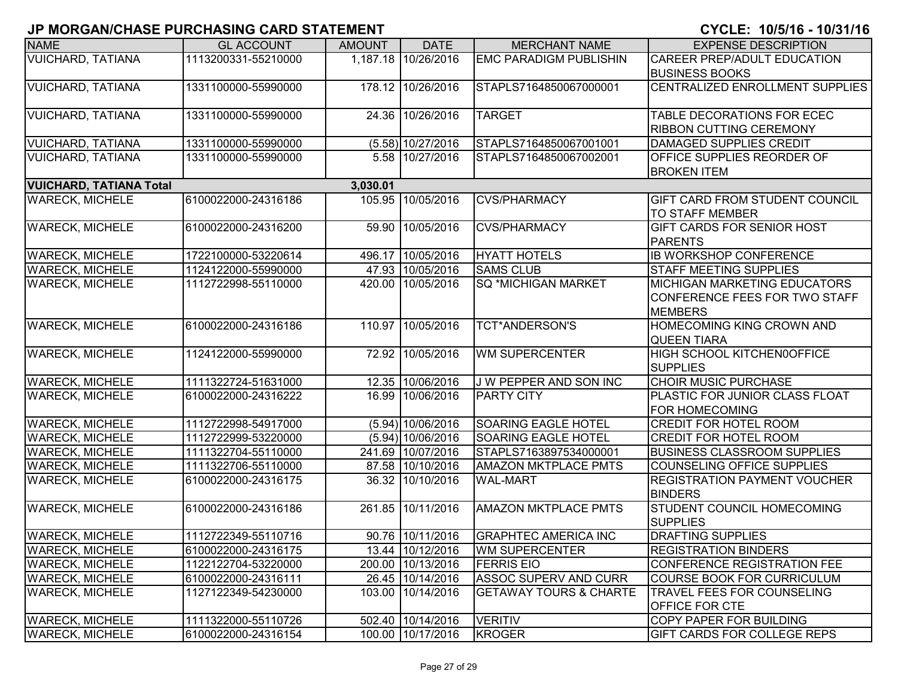| <b>NAME</b>                    | <b>GL ACCOUNT</b>   | <b>AMOUNT</b> | <b>DATE</b>         | <b>MERCHANT NAME</b>              | <b>EXPENSE DESCRIPTION</b>                                     |
|--------------------------------|---------------------|---------------|---------------------|-----------------------------------|----------------------------------------------------------------|
| <b>VUICHARD, TATIANA</b>       | 1113200331-55210000 |               | 1,187.18 10/26/2016 | <b>EMC PARADIGM PUBLISHIN</b>     | <b>CAREER PREP/ADULT EDUCATION</b>                             |
|                                |                     |               |                     |                                   | <b>BUSINESS BOOKS</b>                                          |
| <b>VUICHARD, TATIANA</b>       | 1331100000-55990000 |               | 178.12 10/26/2016   | STAPLS7164850067000001            | CENTRALIZED ENROLLMENT SUPPLIES                                |
| <b>VUICHARD, TATIANA</b>       | 1331100000-55990000 |               | 24.36 10/26/2016    | <b>TARGET</b>                     | TABLE DECORATIONS FOR ECEC                                     |
|                                |                     |               |                     |                                   | <b>RIBBON CUTTING CEREMONY</b>                                 |
| <b>VUICHARD, TATIANA</b>       | 1331100000-55990000 |               | $(5.58)$ 10/27/2016 | STAPLS7164850067001001            | <b>DAMAGED SUPPLIES CREDIT</b>                                 |
| <b>VUICHARD, TATIANA</b>       | 1331100000-55990000 |               | 5.58 10/27/2016     | STAPLS7164850067002001            | OFFICE SUPPLIES REORDER OF                                     |
|                                |                     |               |                     |                                   | <b>BROKEN ITEM</b>                                             |
| <b>VUICHARD, TATIANA Total</b> |                     | 3,030.01      |                     |                                   |                                                                |
| <b>WARECK, MICHELE</b>         | 6100022000-24316186 | 105.95        | 10/05/2016          | <b>CVS/PHARMACY</b>               | GIFT CARD FROM STUDENT COUNCIL<br>TO STAFF MEMBER              |
| <b>WARECK, MICHELE</b>         | 6100022000-24316200 | 59.90         | 10/05/2016          | <b>CVS/PHARMACY</b>               | GIFT CARDS FOR SENIOR HOST                                     |
|                                |                     |               |                     |                                   | <b>PARENTS</b>                                                 |
| <b>WARECK, MICHELE</b>         | 1722100000-53220614 | 496.17        | 10/05/2016          | <b>HYATT HOTELS</b>               | <b>IB WORKSHOP CONFERENCE</b>                                  |
| <b>WARECK, MICHELE</b>         | 1124122000-55990000 |               | 47.93 10/05/2016    | <b>SAMS CLUB</b>                  | <b>STAFF MEETING SUPPLIES</b>                                  |
| <b>WARECK, MICHELE</b>         | 1112722998-55110000 |               | 420.00 10/05/2016   | SQ *MICHIGAN MARKET               | <b>MICHIGAN MARKETING EDUCATORS</b>                            |
|                                |                     |               |                     |                                   | CONFERENCE FEES FOR TWO STAFF                                  |
|                                |                     |               |                     |                                   | <b>MEMBERS</b>                                                 |
| <b>WARECK, MICHELE</b>         | 6100022000-24316186 |               | 110.97 10/05/2016   | <b>TCT*ANDERSON'S</b>             | HOMECOMING KING CROWN AND                                      |
|                                |                     |               |                     |                                   | <b>QUEEN TIARA</b>                                             |
| <b>WARECK, MICHELE</b>         | 1124122000-55990000 |               | 72.92 10/05/2016    | <b>WM SUPERCENTER</b>             | HIGH SCHOOL KITCHEN0OFFICE                                     |
|                                |                     |               |                     |                                   | <b>SUPPLIES</b>                                                |
| <b>WARECK, MICHELE</b>         | 1111322724-51631000 |               | 12.35 10/06/2016    | J W PEPPER AND SON INC            | <b>CHOIR MUSIC PURCHASE</b>                                    |
| <b>WARECK, MICHELE</b>         | 6100022000-24316222 | 16.99         | 10/06/2016          | <b>PARTY CITY</b>                 | <b>PLASTIC FOR JUNIOR CLASS FLOAT</b><br><b>FOR HOMECOMING</b> |
| <b>WARECK, MICHELE</b>         | 1112722998-54917000 |               | $(5.94)$ 10/06/2016 | SOARING EAGLE HOTEL               | <b>CREDIT FOR HOTEL ROOM</b>                                   |
| <b>WARECK, MICHELE</b>         | 1112722999-53220000 |               | $(5.94)$ 10/06/2016 | SOARING EAGLE HOTEL               | <b>CREDIT FOR HOTEL ROOM</b>                                   |
| <b>WARECK, MICHELE</b>         | 1111322704-55110000 |               | 241.69 10/07/2016   | STAPLS7163897534000001            | <b>BUSINESS CLASSROOM SUPPLIES</b>                             |
| <b>WARECK, MICHELE</b>         | 1111322706-55110000 |               | 87.58 10/10/2016    | AMAZON MKTPLACE PMTS              | <b>COUNSELING OFFICE SUPPLIES</b>                              |
| <b>WARECK, MICHELE</b>         | 6100022000-24316175 |               | 36.32 10/10/2016    | <b>WAL-MART</b>                   | <b>REGISTRATION PAYMENT VOUCHER</b><br><b>BINDERS</b>          |
| <b>WARECK, MICHELE</b>         | 6100022000-24316186 |               | 261.85 10/11/2016   | <b>AMAZON MKTPLACE PMTS</b>       | STUDENT COUNCIL HOMECOMING                                     |
|                                |                     |               |                     |                                   | <b>SUPPLIES</b>                                                |
| <b>WARECK, MICHELE</b>         | 1112722349-55110716 |               | 90.76 10/11/2016    | <b>GRAPHTEC AMERICA INC</b>       | <b>DRAFTING SUPPLIES</b>                                       |
| <b>WARECK, MICHELE</b>         | 6100022000-24316175 |               | 13.44 10/12/2016    | <b>WM SUPERCENTER</b>             | <b>REGISTRATION BINDERS</b>                                    |
| <b>WARECK, MICHELE</b>         | 1122122704-53220000 |               | 200.00 10/13/2016   | <b>FERRIS EIO</b>                 | CONFERENCE REGISTRATION FEE                                    |
| <b>WARECK, MICHELE</b>         | 6100022000-24316111 |               | 26.45 10/14/2016    | <b>ASSOC SUPERV AND CURR</b>      | <b>COURSE BOOK FOR CURRICULUM</b>                              |
| <b>WARECK, MICHELE</b>         | 1127122349-54230000 |               | 103.00 10/14/2016   | <b>GETAWAY TOURS &amp; CHARTE</b> | TRAVEL FEES FOR COUNSELING                                     |
|                                |                     |               |                     |                                   | OFFICE FOR CTE                                                 |
| <b>WARECK, MICHELE</b>         | 1111322000-55110726 |               | 502.40 10/14/2016   | <b>VERITIV</b>                    | <b>COPY PAPER FOR BUILDING</b>                                 |
| <b>WARECK, MICHELE</b>         | 6100022000-24316154 |               | 100.00 10/17/2016   | <b>KROGER</b>                     | GIFT CARDS FOR COLLEGE REPS                                    |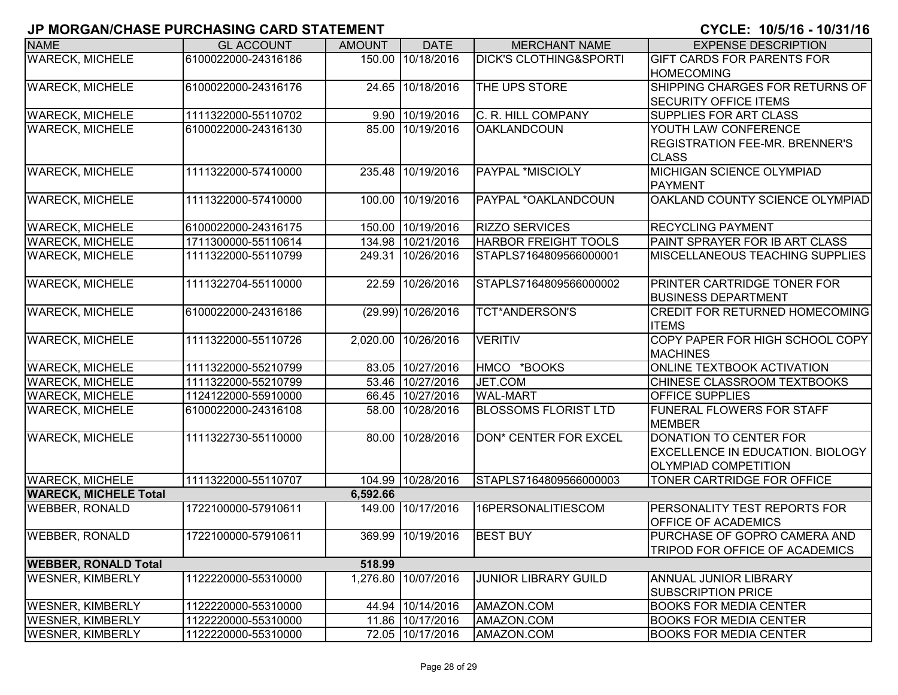| <b>NAME</b>                  | <b>GL ACCOUNT</b>   | <b>AMOUNT</b> | <b>DATE</b>         | <b>MERCHANT NAME</b>              | <b>EXPENSE DESCRIPTION</b>                                            |
|------------------------------|---------------------|---------------|---------------------|-----------------------------------|-----------------------------------------------------------------------|
| <b>WARECK, MICHELE</b>       | 6100022000-24316186 | 150.00        | 10/18/2016          | <b>DICK'S CLOTHING&amp;SPORTI</b> | <b>GIFT CARDS FOR PARENTS FOR</b>                                     |
|                              |                     |               |                     |                                   | <b>IHOMECOMING</b>                                                    |
| <b>WARECK, MICHELE</b>       | 6100022000-24316176 |               | 24.65 10/18/2016    | THE UPS STORE                     | SHIPPING CHARGES FOR RETURNS OF                                       |
|                              |                     |               |                     |                                   | <b>SECURITY OFFICE ITEMS</b>                                          |
| <b>WARECK, MICHELE</b>       | 1111322000-55110702 |               | 9.90 10/19/2016     | C. R. HILL COMPANY                | SUPPLIES FOR ART CLASS                                                |
| <b>WARECK, MICHELE</b>       | 6100022000-24316130 |               | 85.00 10/19/2016    | <b>OAKLANDCOUN</b>                | YOUTH LAW CONFERENCE                                                  |
|                              |                     |               |                     |                                   | <b>REGISTRATION FEE-MR. BRENNER'S</b><br><b>CLASS</b>                 |
| <b>WARECK, MICHELE</b>       | 1111322000-57410000 |               | 235.48 10/19/2016   | PAYPAL *MISCIOLY                  | <b>MICHIGAN SCIENCE OLYMPIAD</b>                                      |
|                              |                     |               |                     |                                   | <b>PAYMENT</b>                                                        |
| <b>WARECK, MICHELE</b>       | 1111322000-57410000 | 100.00        | 10/19/2016          | PAYPAL *OAKLANDCOUN               | OAKLAND COUNTY SCIENCE OLYMPIAD                                       |
|                              |                     |               |                     |                                   |                                                                       |
| <b>WARECK, MICHELE</b>       | 6100022000-24316175 |               | 150.00 10/19/2016   | <b>RIZZO SERVICES</b>             | <b>RECYCLING PAYMENT</b>                                              |
| <b>WARECK, MICHELE</b>       | 1711300000-55110614 |               | 134.98 10/21/2016   | <b>HARBOR FREIGHT TOOLS</b>       | PAINT SPRAYER FOR IB ART CLASS                                        |
| <b>WARECK, MICHELE</b>       | 1111322000-55110799 |               | 249.31 10/26/2016   | STAPLS7164809566000001            | <b>MISCELLANEOUS TEACHING SUPPLIES</b>                                |
|                              |                     |               |                     |                                   |                                                                       |
| <b>WARECK, MICHELE</b>       | 1111322704-55110000 |               | 22.59 10/26/2016    | STAPLS7164809566000002            | <b>PRINTER CARTRIDGE TONER FOR</b>                                    |
| <b>WARECK, MICHELE</b>       | 6100022000-24316186 |               | (29.99) 10/26/2016  | <b>TCT*ANDERSON'S</b>             | <b>BUSINESS DEPARTMENT</b><br><b>CREDIT FOR RETURNED HOMECOMING</b>   |
|                              |                     |               |                     |                                   | <b>ITEMS</b>                                                          |
| <b>WARECK, MICHELE</b>       | 1111322000-55110726 |               | 2,020.00 10/26/2016 | <b>VERITIV</b>                    | COPY PAPER FOR HIGH SCHOOL COPY                                       |
|                              |                     |               |                     |                                   | <b>MACHINES</b>                                                       |
| <b>WARECK, MICHELE</b>       | 1111322000-55210799 |               | 83.05 10/27/2016    | HMCO *BOOKS                       | <b>ONLINE TEXTBOOK ACTIVATION</b>                                     |
| <b>WARECK, MICHELE</b>       | 1111322000-55210799 |               | 53.46 10/27/2016    | JET.COM                           | CHINESE CLASSROOM TEXTBOOKS                                           |
| <b>WARECK, MICHELE</b>       | 1124122000-55910000 |               | 66.45 10/27/2016    | <b>WAL-MART</b>                   | <b>OFFICE SUPPLIES</b>                                                |
| <b>WARECK, MICHELE</b>       | 6100022000-24316108 |               | 58.00 10/28/2016    | <b>BLOSSOMS FLORIST LTD</b>       | <b>FUNERAL FLOWERS FOR STAFF</b>                                      |
|                              |                     |               |                     |                                   | <b>MEMBER</b>                                                         |
| <b>WARECK, MICHELE</b>       | 1111322730-55110000 |               | 80.00 10/28/2016    | DON* CENTER FOR EXCEL             | DONATION TO CENTER FOR                                                |
|                              |                     |               |                     |                                   | <b>EXCELLENCE IN EDUCATION. BIOLOGY</b>                               |
|                              |                     |               |                     |                                   | <b>OLYMPIAD COMPETITION</b>                                           |
| <b>WARECK, MICHELE</b>       | 1111322000-55110707 |               | 104.99 10/28/2016   | STAPLS7164809566000003            | <b>TONER CARTRIDGE FOR OFFICE</b>                                     |
| <b>WARECK, MICHELE Total</b> |                     | 6,592.66      |                     |                                   |                                                                       |
| <b>WEBBER, RONALD</b>        | 1722100000-57910611 | 149.00        | 10/17/2016          | 16PERSONALITIESCOM                | <b>PERSONALITY TEST REPORTS FOR</b>                                   |
|                              |                     |               |                     |                                   | <b>OFFICE OF ACADEMICS</b>                                            |
| <b>WEBBER, RONALD</b>        | 1722100000-57910611 |               | 369.99 10/19/2016   | <b>BEST BUY</b>                   | PURCHASE OF GOPRO CAMERA AND<br><b>TRIPOD FOR OFFICE OF ACADEMICS</b> |
| <b>WEBBER, RONALD Total</b>  |                     | 518.99        |                     |                                   |                                                                       |
| <b>WESNER, KIMBERLY</b>      | 1122220000-55310000 |               | 1,276.80 10/07/2016 | <b>JUNIOR LIBRARY GUILD</b>       | <b>ANNUAL JUNIOR LIBRARY</b>                                          |
|                              |                     |               |                     |                                   | <b>SUBSCRIPTION PRICE</b>                                             |
| <b>WESNER, KIMBERLY</b>      | 1122220000-55310000 |               | 44.94 10/14/2016    | AMAZON.COM                        | <b>BOOKS FOR MEDIA CENTER</b>                                         |
| <b>WESNER, KIMBERLY</b>      | 1122220000-55310000 |               | 11.86 10/17/2016    | AMAZON.COM                        | <b>BOOKS FOR MEDIA CENTER</b>                                         |
| <b>WESNER, KIMBERLY</b>      | 1122220000-55310000 |               | 72.05 10/17/2016    | AMAZON.COM                        | <b>BOOKS FOR MEDIA CENTER</b>                                         |